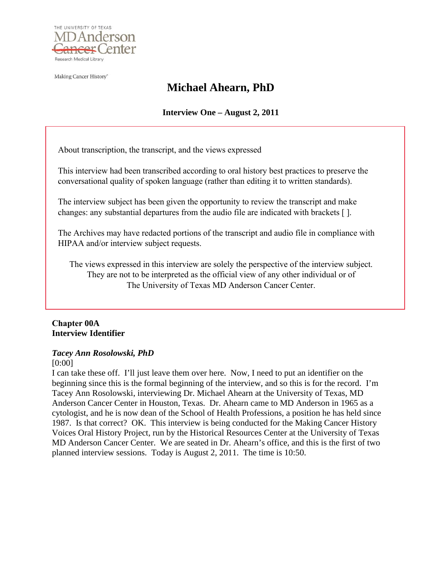

Making Cancer History<sup>®</sup>

# **Michael Ahearn, PhD**

**Interview One – August 2, 2011** 

About transcription, the transcript, and the views expressed

This interview had been transcribed according to oral history best practices to preserve the conversational quality of spoken language (rather than editing it to written standards).

The interview subject has been given the opportunity to review the transcript and make changes: any substantial departures from the audio file are indicated with brackets [ ].

The Archives may have redacted portions of the transcript and audio file in compliance with HIPAA and/or interview subject requests.

The views expressed in this interview are solely the perspective of the interview subject. They are not to be interpreted as the official view of any other individual or of The University of Texas MD Anderson Cancer Center.

# **Chapter 00A Interview Identifier**

# *Tacey Ann Rosolowski, PhD*

[0:00]

I can take these off. I'll just leave them over here. Now, I need to put an identifier on the beginning since this is the formal beginning of the interview, and so this is for the record. I'm Tacey Ann Rosolowski, interviewing Dr. Michael Ahearn at the University of Texas, MD Anderson Cancer Center in Houston, Texas. Dr. Ahearn came to MD Anderson in 1965 as a cytologist, and he is now dean of the School of Health Professions, a position he has held since 1987. Is that correct? OK. This interview is being conducted for the Making Cancer History Voices Oral History Project, run by the Historical Resources Center at the University of Texas MD Anderson Cancer Center. We are seated in Dr. Ahearn's office, and this is the first of two planned interview sessions. Today is August 2, 2011. The time is 10:50.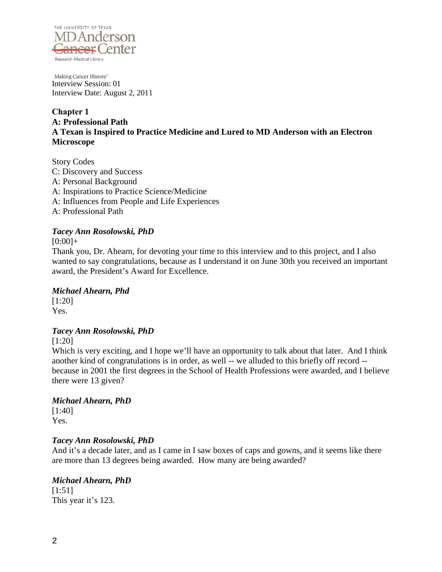

**Chapter 1 A: Professional Path A Texan is Inspired to Practice Medicine and Lured to MD Anderson with an Electron Microscope**

Story Codes C: Discovery and Success A: Personal Background A: Inspirations to Practice Science/Medicine A: Influences from People and Life Experiences A: Professional Path

### *Tacey Ann Rosolowski, PhD*

 $[0:00]+$ 

Thank you, Dr. Ahearn, for devoting your time to this interview and to this project, and I also wanted to say congratulations, because as I understand it on June 30th you received an important award, the President's Award for Excellence.

# *Michael Ahearn, Phd*

[1:20] Yes.

# *Tacey Ann Rosolowski, PhD*

[1:20]

Which is very exciting, and I hope we'll have an opportunity to talk about that later. And I think another kind of congratulations is in order, as well -- we alluded to this briefly off record - because in 2001 the first degrees in the School of Health Professions were awarded, and I believe there were 13 given?

### *Michael Ahearn, PhD*

[1:40] Yes.

# *Tacey Ann Rosolowski, PhD*

And it's a decade later, and as I came in I saw boxes of caps and gowns, and it seems like there are more than 13 degrees being awarded. How many are being awarded?

### *Michael Ahearn, PhD* [1:51] This year it's 123.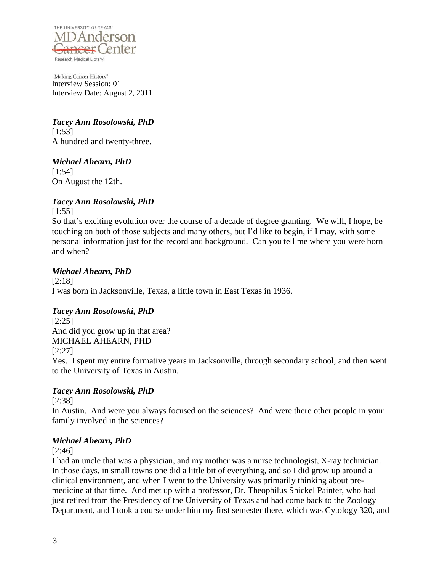

*Tacey Ann Rosolowski, PhD* [1:53] A hundred and twenty-three.

# *Michael Ahearn, PhD*

[1:54] On August the 12th.

# *Tacey Ann Rosolowski, PhD*

 $[1:55]$ 

So that's exciting evolution over the course of a decade of degree granting. We will, I hope, be touching on both of those subjects and many others, but I'd like to begin, if I may, with some personal information just for the record and background. Can you tell me where you were born and when?

# *Michael Ahearn, PhD*

[2:18] I was born in Jacksonville, Texas, a little town in East Texas in 1936.

# *Tacey Ann Rosolowski, PhD*

[2:25] And did you grow up in that area? MICHAEL AHEARN, PHD [2:27] Yes. I spent my entire formative years in Jacksonville, through secondary school, and then went to the University of Texas in Austin.

# *Tacey Ann Rosolowski, PhD*

[2:38]

In Austin. And were you always focused on the sciences? And were there other people in your family involved in the sciences?

# *Michael Ahearn, PhD*

[2:46]

I had an uncle that was a physician, and my mother was a nurse technologist, X-ray technician. In those days, in small towns one did a little bit of everything, and so I did grow up around a clinical environment, and when I went to the University was primarily thinking about premedicine at that time. And met up with a professor, Dr. Theophilus Shickel Painter, who had just retired from the Presidency of the University of Texas and had come back to the Zoology Department, and I took a course under him my first semester there, which was Cytology 320, and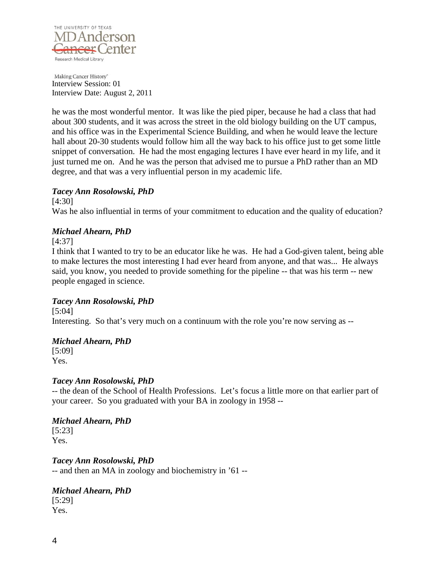

he was the most wonderful mentor. It was like the pied piper, because he had a class that had about 300 students, and it was across the street in the old biology building on the UT campus, and his office was in the Experimental Science Building, and when he would leave the lecture hall about 20-30 students would follow him all the way back to his office just to get some little snippet of conversation. He had the most engaging lectures I have ever heard in my life, and it just turned me on. And he was the person that advised me to pursue a PhD rather than an MD degree, and that was a very influential person in my academic life.

# *Tacey Ann Rosolowski, PhD*

[4:30] Was he also influential in terms of your commitment to education and the quality of education?

### *Michael Ahearn, PhD*

[4:37]

I think that I wanted to try to be an educator like he was. He had a God-given talent, being able to make lectures the most interesting I had ever heard from anyone, and that was... He always said, you know, you needed to provide something for the pipeline -- that was his term -- new people engaged in science.

# *Tacey Ann Rosolowski, PhD*

[5:04] Interesting. So that's very much on a continuum with the role you're now serving as --

# *Michael Ahearn, PhD*

[5:09] Yes.

### *Tacey Ann Rosolowski, PhD*

-- the dean of the School of Health Professions. Let's focus a little more on that earlier part of your career. So you graduated with your BA in zoology in 1958 --

*Michael Ahearn, PhD* [5:23] Yes.

*Tacey Ann Rosolowski, PhD* -- and then an MA in zoology and biochemistry in '61 --

*Michael Ahearn, PhD* [5:29] Yes.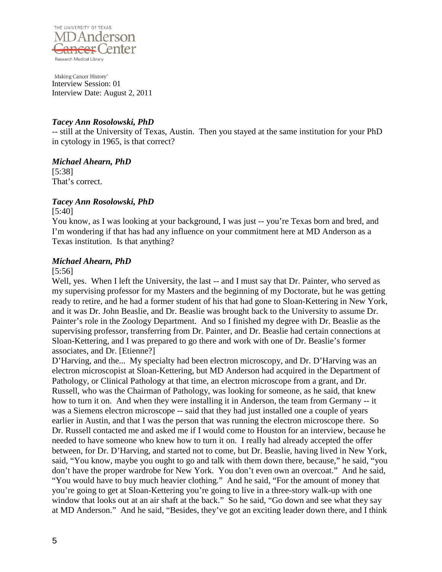

# *Tacey Ann Rosolowski, PhD*

-- still at the University of Texas, Austin. Then you stayed at the same institution for your PhD in cytology in 1965, is that correct?

*Michael Ahearn, PhD* [5:38] That's correct.

# *Tacey Ann Rosolowski, PhD*

[5:40]

You know, as I was looking at your background, I was just -- you're Texas born and bred, and I'm wondering if that has had any influence on your commitment here at MD Anderson as a Texas institution. Is that anything?

# *Michael Ahearn, PhD*

### [5:56]

Well, yes. When I left the University, the last -- and I must say that Dr. Painter, who served as my supervising professor for my Masters and the beginning of my Doctorate, but he was getting ready to retire, and he had a former student of his that had gone to Sloan-Kettering in New York, and it was Dr. John Beaslie, and Dr. Beaslie was brought back to the University to assume Dr. Painter's role in the Zoology Department. And so I finished my degree with Dr. Beaslie as the supervising professor, transferring from Dr. Painter, and Dr. Beaslie had certain connections at Sloan-Kettering, and I was prepared to go there and work with one of Dr. Beaslie's former associates, and Dr. [Etienne?]

D'Harving, and the... My specialty had been electron microscopy, and Dr. D'Harving was an electron microscopist at Sloan-Kettering, but MD Anderson had acquired in the Department of Pathology, or Clinical Pathology at that time, an electron microscope from a grant, and Dr. Russell, who was the Chairman of Pathology, was looking for someone, as he said, that knew how to turn it on. And when they were installing it in Anderson, the team from Germany -- it was a Siemens electron microscope -- said that they had just installed one a couple of years earlier in Austin, and that I was the person that was running the electron microscope there. So Dr. Russell contacted me and asked me if I would come to Houston for an interview, because he needed to have someone who knew how to turn it on. I really had already accepted the offer between, for Dr. D'Harving, and started not to come, but Dr. Beaslie, having lived in New York, said, "You know, maybe you ought to go and talk with them down there, because," he said, "you don't have the proper wardrobe for New York. You don't even own an overcoat." And he said, "You would have to buy much heavier clothing." And he said, "For the amount of money that you're going to get at Sloan-Kettering you're going to live in a three-story walk-up with one window that looks out at an air shaft at the back." So he said, "Go down and see what they say at MD Anderson." And he said, "Besides, they've got an exciting leader down there, and I think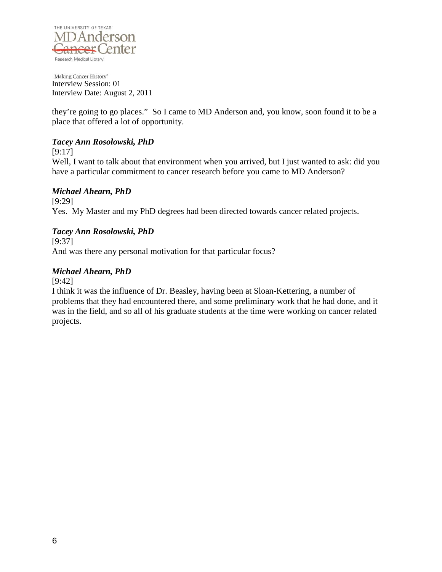

they're going to go places." So I came to MD Anderson and, you know, soon found it to be a place that offered a lot of opportunity.

# *Tacey Ann Rosolowski, PhD*

[9:17]

Well, I want to talk about that environment when you arrived, but I just wanted to ask: did you have a particular commitment to cancer research before you came to MD Anderson?

# *Michael Ahearn, PhD*

[9:29] Yes. My Master and my PhD degrees had been directed towards cancer related projects.

# *Tacey Ann Rosolowski, PhD*

[9:37]

And was there any personal motivation for that particular focus?

# *Michael Ahearn, PhD*

[9:42]

I think it was the influence of Dr. Beasley, having been at Sloan-Kettering, a number of problems that they had encountered there, and some preliminary work that he had done, and it was in the field, and so all of his graduate students at the time were working on cancer related projects.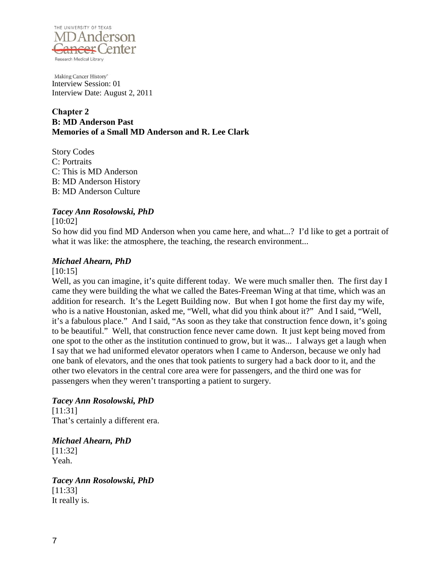

**Chapter 2 B: MD Anderson Past Memories of a Small MD Anderson and R. Lee Clark**

Story Codes C: Portraits C: This is MD Anderson B: MD Anderson History B: MD Anderson Culture

# *Tacey Ann Rosolowski, PhD*

[10:02]

So how did you find MD Anderson when you came here, and what...? I'd like to get a portrait of what it was like: the atmosphere, the teaching, the research environment...

# *Michael Ahearn, PhD*

### [10:15]

Well, as you can imagine, it's quite different today. We were much smaller then. The first day I came they were building the what we called the Bates-Freeman Wing at that time, which was an addition for research. It's the Legett Building now. But when I got home the first day my wife, who is a native Houstonian, asked me, "Well, what did you think about it?" And I said, "Well, it's a fabulous place." And I said, "As soon as they take that construction fence down, it's going to be beautiful." Well, that construction fence never came down. It just kept being moved from one spot to the other as the institution continued to grow, but it was... I always get a laugh when I say that we had uniformed elevator operators when I came to Anderson, because we only had one bank of elevators, and the ones that took patients to surgery had a back door to it, and the other two elevators in the central core area were for passengers, and the third one was for passengers when they weren't transporting a patient to surgery.

*Tacey Ann Rosolowski, PhD* [11:31] That's certainly a different era.

*Michael Ahearn, PhD* [11:32] Yeah.

*Tacey Ann Rosolowski, PhD* [11:33] It really is.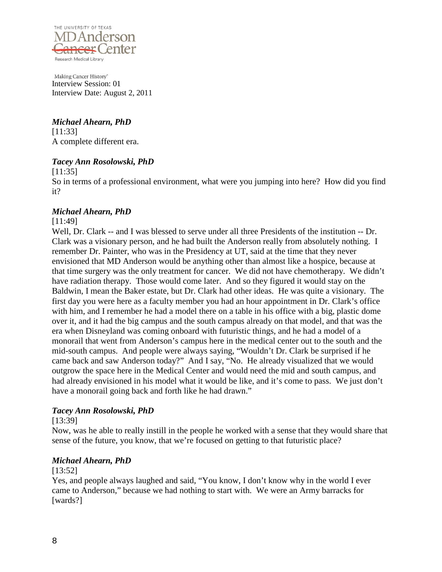

*Michael Ahearn, PhD* [11:33] A complete different era.

# *Tacey Ann Rosolowski, PhD*

[11:35]

So in terms of a professional environment, what were you jumping into here? How did you find it?

### *Michael Ahearn, PhD*

[11:49]

Well, Dr. Clark -- and I was blessed to serve under all three Presidents of the institution -- Dr. Clark was a visionary person, and he had built the Anderson really from absolutely nothing. I remember Dr. Painter, who was in the Presidency at UT, said at the time that they never envisioned that MD Anderson would be anything other than almost like a hospice, because at that time surgery was the only treatment for cancer. We did not have chemotherapy. We didn't have radiation therapy. Those would come later. And so they figured it would stay on the Baldwin, I mean the Baker estate, but Dr. Clark had other ideas. He was quite a visionary. The first day you were here as a faculty member you had an hour appointment in Dr. Clark's office with him, and I remember he had a model there on a table in his office with a big, plastic dome over it, and it had the big campus and the south campus already on that model, and that was the era when Disneyland was coming onboard with futuristic things, and he had a model of a monorail that went from Anderson's campus here in the medical center out to the south and the mid-south campus. And people were always saying, "Wouldn't Dr. Clark be surprised if he came back and saw Anderson today?" And I say, "No. He already visualized that we would outgrow the space here in the Medical Center and would need the mid and south campus, and had already envisioned in his model what it would be like, and it's come to pass. We just don't have a monorail going back and forth like he had drawn."

### *Tacey Ann Rosolowski, PhD*

[13:39]

Now, was he able to really instill in the people he worked with a sense that they would share that sense of the future, you know, that we're focused on getting to that futuristic place?

### *Michael Ahearn, PhD*

#### [13:52]

Yes, and people always laughed and said, "You know, I don't know why in the world I ever came to Anderson," because we had nothing to start with. We were an Army barracks for [wards?]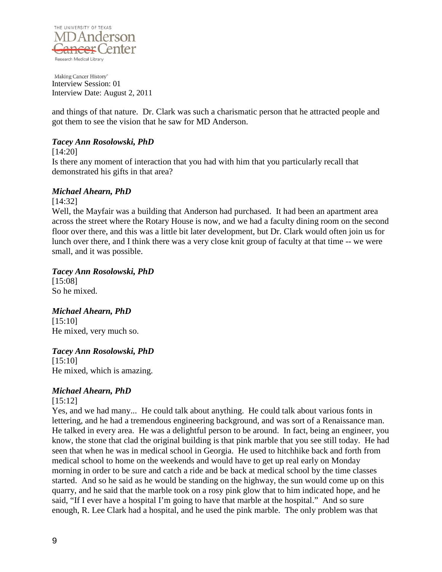

and things of that nature. Dr. Clark was such a charismatic person that he attracted people and got them to see the vision that he saw for MD Anderson.

# *Tacey Ann Rosolowski, PhD*

[14:20]

Is there any moment of interaction that you had with him that you particularly recall that demonstrated his gifts in that area?

### *Michael Ahearn, PhD*

[14:32]

Well, the Mayfair was a building that Anderson had purchased. It had been an apartment area across the street where the Rotary House is now, and we had a faculty dining room on the second floor over there, and this was a little bit later development, but Dr. Clark would often join us for lunch over there, and I think there was a very close knit group of faculty at that time -- we were small, and it was possible.

*Tacey Ann Rosolowski, PhD*

[15:08] So he mixed.

*Michael Ahearn, PhD* [15:10] He mixed, very much so.

# *Tacey Ann Rosolowski, PhD*

[15:10] He mixed, which is amazing.

# *Michael Ahearn, PhD*

[15:12]

Yes, and we had many... He could talk about anything. He could talk about various fonts in lettering, and he had a tremendous engineering background, and was sort of a Renaissance man. He talked in every area. He was a delightful person to be around. In fact, being an engineer, you know, the stone that clad the original building is that pink marble that you see still today. He had seen that when he was in medical school in Georgia. He used to hitchhike back and forth from medical school to home on the weekends and would have to get up real early on Monday morning in order to be sure and catch a ride and be back at medical school by the time classes started. And so he said as he would be standing on the highway, the sun would come up on this quarry, and he said that the marble took on a rosy pink glow that to him indicated hope, and he said, "If I ever have a hospital I'm going to have that marble at the hospital." And so sure enough, R. Lee Clark had a hospital, and he used the pink marble. The only problem was that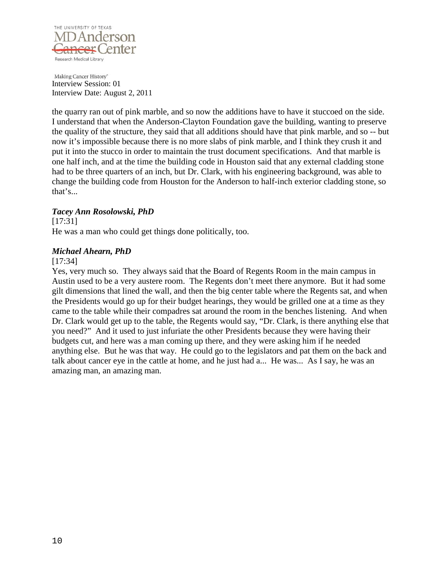

the quarry ran out of pink marble, and so now the additions have to have it stuccoed on the side. I understand that when the Anderson-Clayton Foundation gave the building, wanting to preserve the quality of the structure, they said that all additions should have that pink marble, and so -- but now it's impossible because there is no more slabs of pink marble, and I think they crush it and put it into the stucco in order to maintain the trust document specifications. And that marble is one half inch, and at the time the building code in Houston said that any external cladding stone had to be three quarters of an inch, but Dr. Clark, with his engineering background, was able to change the building code from Houston for the Anderson to half-inch exterior cladding stone, so that's...

# *Tacey Ann Rosolowski, PhD*

[17:31] He was a man who could get things done politically, too.

### *Michael Ahearn, PhD*

### [17:34]

Yes, very much so. They always said that the Board of Regents Room in the main campus in Austin used to be a very austere room. The Regents don't meet there anymore. But it had some gilt dimensions that lined the wall, and then the big center table where the Regents sat, and when the Presidents would go up for their budget hearings, they would be grilled one at a time as they came to the table while their compadres sat around the room in the benches listening. And when Dr. Clark would get up to the table, the Regents would say, "Dr. Clark, is there anything else that you need?" And it used to just infuriate the other Presidents because they were having their budgets cut, and here was a man coming up there, and they were asking him if he needed anything else. But he was that way. He could go to the legislators and pat them on the back and talk about cancer eye in the cattle at home, and he just had a... He was... As I say, he was an amazing man, an amazing man.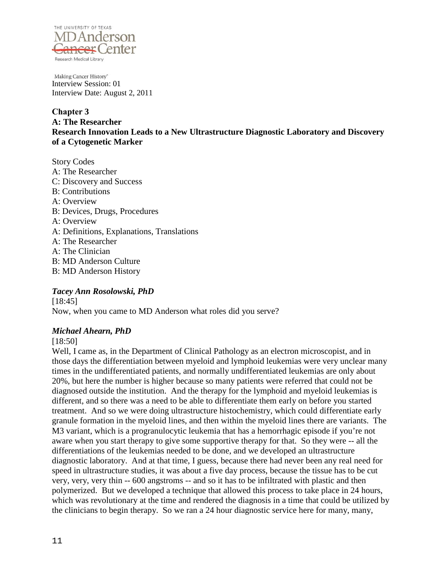

**Chapter 3 A: The Researcher Research Innovation Leads to a New Ultrastructure Diagnostic Laboratory and Discovery of a Cytogenetic Marker**

Story Codes A: The Researcher C: Discovery and Success B: Contributions A: Overview B: Devices, Drugs, Procedures A: Overview A: Definitions, Explanations, Translations A: The Researcher A: The Clinician B: MD Anderson Culture B: MD Anderson History

# *Tacey Ann Rosolowski, PhD*

[18:45] Now, when you came to MD Anderson what roles did you serve?

# *Michael Ahearn, PhD*

### [18:50]

Well, I came as, in the Department of Clinical Pathology as an electron microscopist, and in those days the differentiation between myeloid and lymphoid leukemias were very unclear many times in the undifferentiated patients, and normally undifferentiated leukemias are only about 20%, but here the number is higher because so many patients were referred that could not be diagnosed outside the institution. And the therapy for the lymphoid and myeloid leukemias is different, and so there was a need to be able to differentiate them early on before you started treatment. And so we were doing ultrastructure histochemistry, which could differentiate early granule formation in the myeloid lines, and then within the myeloid lines there are variants. The M3 variant, which is a progranulocytic leukemia that has a hemorrhagic episode if you're not aware when you start therapy to give some supportive therapy for that. So they were -- all the differentiations of the leukemias needed to be done, and we developed an ultrastructure diagnostic laboratory. And at that time, I guess, because there had never been any real need for speed in ultrastructure studies, it was about a five day process, because the tissue has to be cut very, very, very thin -- 600 angstroms -- and so it has to be infiltrated with plastic and then polymerized. But we developed a technique that allowed this process to take place in 24 hours, which was revolutionary at the time and rendered the diagnosis in a time that could be utilized by the clinicians to begin therapy. So we ran a 24 hour diagnostic service here for many, many,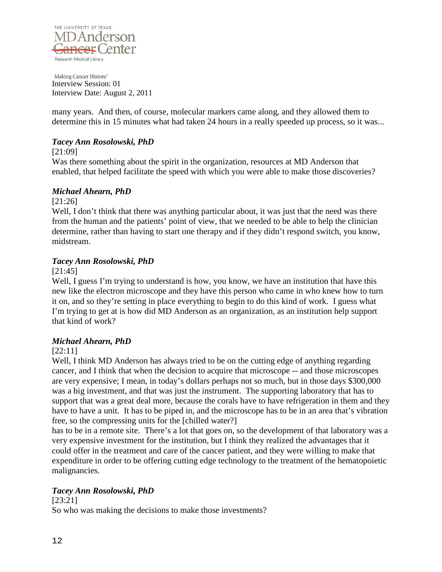

many years. And then, of course, molecular markers came along, and they allowed them to determine this in 15 minutes what had taken 24 hours in a really speeded up process, so it was...

# *Tacey Ann Rosolowski, PhD*

### [21:09]

Was there something about the spirit in the organization, resources at MD Anderson that enabled, that helped facilitate the speed with which you were able to make those discoveries?

### *Michael Ahearn, PhD*

[21:26]

Well, I don't think that there was anything particular about, it was just that the need was there from the human and the patients' point of view, that we needed to be able to help the clinician determine, rather than having to start one therapy and if they didn't respond switch, you know, midstream.

### *Tacey Ann Rosolowski, PhD*

[21:45]

Well, I guess I'm trying to understand is how, you know, we have an institution that have this new like the electron microscope and they have this person who came in who knew how to turn it on, and so they're setting in place everything to begin to do this kind of work. I guess what I'm trying to get at is how did MD Anderson as an organization, as an institution help support that kind of work?

# *Michael Ahearn, PhD*

### [22:11]

Well, I think MD Anderson has always tried to be on the cutting edge of anything regarding cancer, and I think that when the decision to acquire that microscope -- and those microscopes are very expensive; I mean, in today's dollars perhaps not so much, but in those days \$300,000 was a big investment, and that was just the instrument. The supporting laboratory that has to support that was a great deal more, because the corals have to have refrigeration in them and they have to have a unit. It has to be piped in, and the microscope has to be in an area that's vibration free, so the compressing units for the [chilled water?]

has to be in a remote site. There's a lot that goes on, so the development of that laboratory was a very expensive investment for the institution, but I think they realized the advantages that it could offer in the treatment and care of the cancer patient, and they were willing to make that expenditure in order to be offering cutting edge technology to the treatment of the hematopoietic malignancies.

# *Tacey Ann Rosolowski, PhD*

[23:21] So who was making the decisions to make those investments?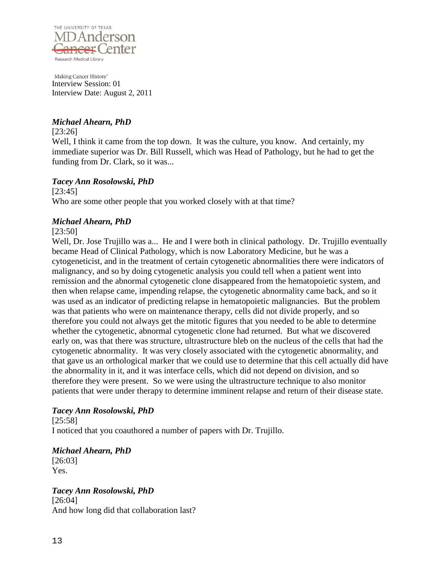

# *Michael Ahearn, PhD*

[23:26]

Well, I think it came from the top down. It was the culture, you know. And certainly, my immediate superior was Dr. Bill Russell, which was Head of Pathology, but he had to get the funding from Dr. Clark, so it was...

# *Tacey Ann Rosolowski, PhD*

[23:45] Who are some other people that you worked closely with at that time?

### *Michael Ahearn, PhD*

[23:50]

Well, Dr. Jose Trujillo was a... He and I were both in clinical pathology. Dr. Trujillo eventually became Head of Clinical Pathology, which is now Laboratory Medicine, but he was a cytogeneticist, and in the treatment of certain cytogenetic abnormalities there were indicators of malignancy, and so by doing cytogenetic analysis you could tell when a patient went into remission and the abnormal cytogenetic clone disappeared from the hematopoietic system, and then when relapse came, impending relapse, the cytogenetic abnormality came back, and so it was used as an indicator of predicting relapse in hematopoietic malignancies. But the problem was that patients who were on maintenance therapy, cells did not divide properly, and so therefore you could not always get the mitotic figures that you needed to be able to determine whether the cytogenetic, abnormal cytogenetic clone had returned. But what we discovered early on, was that there was structure, ultrastructure bleb on the nucleus of the cells that had the cytogenetic abnormality. It was very closely associated with the cytogenetic abnormality, and that gave us an orthological marker that we could use to determine that this cell actually did have the abnormality in it, and it was interface cells, which did not depend on division, and so therefore they were present. So we were using the ultrastructure technique to also monitor patients that were under therapy to determine imminent relapse and return of their disease state.

# *Tacey Ann Rosolowski, PhD*

[25:58] I noticed that you coauthored a number of papers with Dr. Trujillo.

*Michael Ahearn, PhD* [26:03] Yes.

*Tacey Ann Rosolowski, PhD* [26:04] And how long did that collaboration last?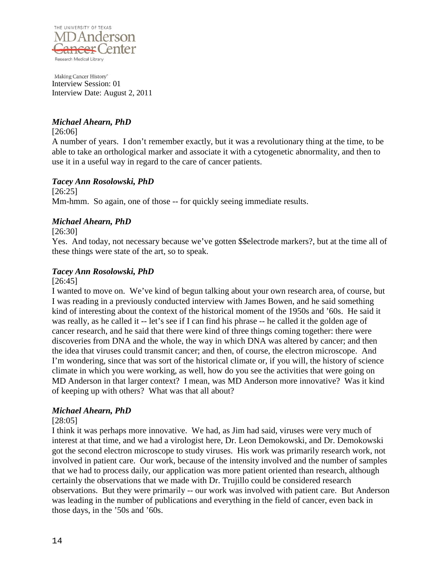

# *Michael Ahearn, PhD*

[26:06]

A number of years. I don't remember exactly, but it was a revolutionary thing at the time, to be able to take an orthological marker and associate it with a cytogenetic abnormality, and then to use it in a useful way in regard to the care of cancer patients.

# *Tacey Ann Rosolowski, PhD*

[26:25] Mm-hmm. So again, one of those -- for quickly seeing immediate results.

### *Michael Ahearn, PhD*

[26:30]

Yes. And today, not necessary because we've gotten \$\$electrode markers?, but at the time all of these things were state of the art, so to speak.

# *Tacey Ann Rosolowski, PhD*

[26:45]

I wanted to move on. We've kind of begun talking about your own research area, of course, but I was reading in a previously conducted interview with James Bowen, and he said something kind of interesting about the context of the historical moment of the 1950s and '60s. He said it was really, as he called it -- let's see if I can find his phrase -- he called it the golden age of cancer research, and he said that there were kind of three things coming together: there were discoveries from DNA and the whole, the way in which DNA was altered by cancer; and then the idea that viruses could transmit cancer; and then, of course, the electron microscope. And I'm wondering, since that was sort of the historical climate or, if you will, the history of science climate in which you were working, as well, how do you see the activities that were going on MD Anderson in that larger context? I mean, was MD Anderson more innovative? Was it kind of keeping up with others? What was that all about?

# *Michael Ahearn, PhD*

### [28:05]

I think it was perhaps more innovative. We had, as Jim had said, viruses were very much of interest at that time, and we had a virologist here, Dr. Leon Demokowski, and Dr. Demokowski got the second electron microscope to study viruses. His work was primarily research work, not involved in patient care. Our work, because of the intensity involved and the number of samples that we had to process daily, our application was more patient oriented than research, although certainly the observations that we made with Dr. Trujillo could be considered research observations. But they were primarily -- our work was involved with patient care. But Anderson was leading in the number of publications and everything in the field of cancer, even back in those days, in the '50s and '60s.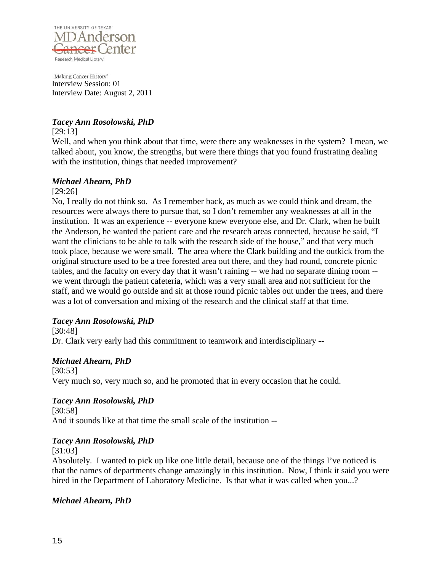

# *Tacey Ann Rosolowski, PhD*

[29:13]

Well, and when you think about that time, were there any weaknesses in the system? I mean, we talked about, you know, the strengths, but were there things that you found frustrating dealing with the institution, things that needed improvement?

### *Michael Ahearn, PhD*

[29:26]

No, I really do not think so. As I remember back, as much as we could think and dream, the resources were always there to pursue that, so I don't remember any weaknesses at all in the institution. It was an experience -- everyone knew everyone else, and Dr. Clark, when he built the Anderson, he wanted the patient care and the research areas connected, because he said, "I want the clinicians to be able to talk with the research side of the house," and that very much took place, because we were small. The area where the Clark building and the outkick from the original structure used to be a tree forested area out there, and they had round, concrete picnic tables, and the faculty on every day that it wasn't raining -- we had no separate dining room - we went through the patient cafeteria, which was a very small area and not sufficient for the staff, and we would go outside and sit at those round picnic tables out under the trees, and there was a lot of conversation and mixing of the research and the clinical staff at that time.

# *Tacey Ann Rosolowski, PhD*

[30:48]

Dr. Clark very early had this commitment to teamwork and interdisciplinary --

# *Michael Ahearn, PhD*

[30:53] Very much so, very much so, and he promoted that in every occasion that he could.

# *Tacey Ann Rosolowski, PhD*

[30:58] And it sounds like at that time the small scale of the institution --

# *Tacey Ann Rosolowski, PhD*

[31:03]

Absolutely. I wanted to pick up like one little detail, because one of the things I've noticed is that the names of departments change amazingly in this institution. Now, I think it said you were hired in the Department of Laboratory Medicine. Is that what it was called when you...?

# *Michael Ahearn, PhD*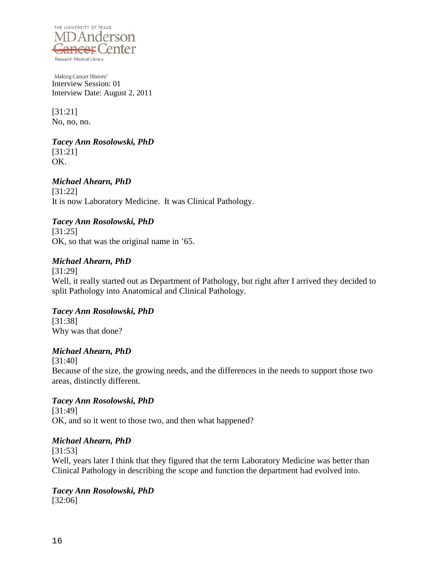

[31:21] No, no, no.

### *Tacey Ann Rosolowski, PhD* [31:21]

OK.

# *Michael Ahearn, PhD*

[31:22] It is now Laboratory Medicine. It was Clinical Pathology.

# *Tacey Ann Rosolowski, PhD*

[31:25] OK, so that was the original name in '65.

# *Michael Ahearn, PhD*

[31:29] Well, it really started out as Department of Pathology, but right after I arrived they decided to split Pathology into Anatomical and Clinical Pathology.

# *Tacey Ann Rosolowski, PhD* [31:38]

Why was that done?

# *Michael Ahearn, PhD*

[31:40] Because of the size, the growing needs, and the differences in the needs to support those two areas, distinctly different.

# *Tacey Ann Rosolowski, PhD*

[31:49] OK, and so it went to those two, and then what happened?

# *Michael Ahearn, PhD*

[31:53]

Well, years later I think that they figured that the term Laboratory Medicine was better than Clinical Pathology in describing the scope and function the department had evolved into.

#### *Tacey Ann Rosolowski, PhD* [32:06]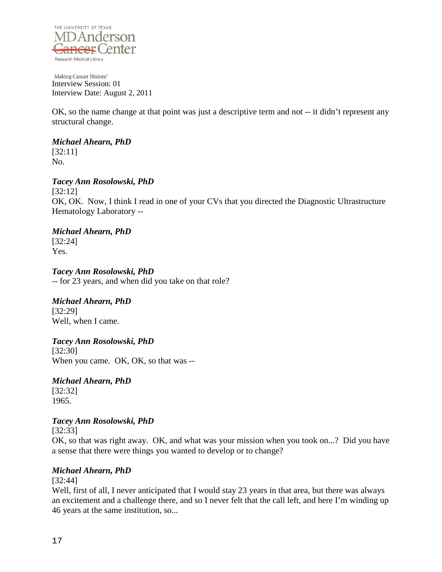

OK, so the name change at that point was just a descriptive term and not -- it didn't represent any structural change.

# *Michael Ahearn, PhD*

[32:11] No.

# *Tacey Ann Rosolowski, PhD*

[32:12] OK, OK. Now, I think I read in one of your CVs that you directed the Diagnostic Ultrastructure Hematology Laboratory --

# *Michael Ahearn, PhD*

[32:24] Yes.

*Tacey Ann Rosolowski, PhD* -- for 23 years, and when did you take on that role?

# *Michael Ahearn, PhD*

[32:29] Well, when I came.

# *Tacey Ann Rosolowski, PhD*

[32:30] When you came. OK, OK, so that was --

### *Michael Ahearn, PhD* [32:32]

1965.

# *Tacey Ann Rosolowski, PhD*

[32:33]

OK, so that was right away. OK, and what was your mission when you took on...? Did you have a sense that there were things you wanted to develop or to change?

# *Michael Ahearn, PhD*

[32:44]

Well, first of all, I never anticipated that I would stay 23 years in that area, but there was always an excitement and a challenge there, and so I never felt that the call left, and here I'm winding up 46 years at the same institution, so...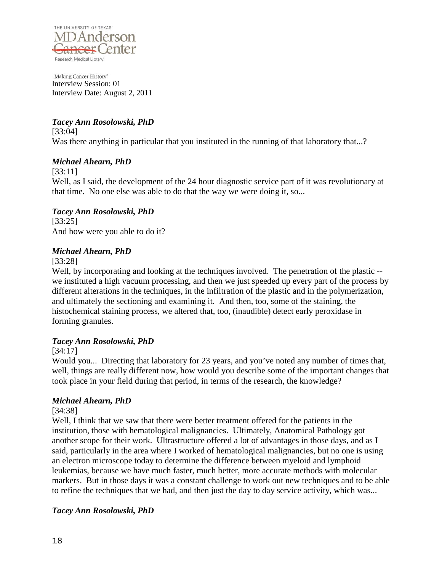

# *Tacey Ann Rosolowski, PhD*

[33:04] Was there anything in particular that you instituted in the running of that laboratory that...?

# *Michael Ahearn, PhD*

[33:11]

Well, as I said, the development of the 24 hour diagnostic service part of it was revolutionary at that time. No one else was able to do that the way we were doing it, so...

# *Tacey Ann Rosolowski, PhD*

[33:25] And how were you able to do it?

# *Michael Ahearn, PhD*

[33:28]

Well, by incorporating and looking at the techniques involved. The penetration of the plastic -we instituted a high vacuum processing, and then we just speeded up every part of the process by different alterations in the techniques, in the infiltration of the plastic and in the polymerization, and ultimately the sectioning and examining it. And then, too, some of the staining, the histochemical staining process, we altered that, too, (inaudible) detect early peroxidase in forming granules.

# *Tacey Ann Rosolowski, PhD*

### [34:17]

Would you... Directing that laboratory for 23 years, and you've noted any number of times that, well, things are really different now, how would you describe some of the important changes that took place in your field during that period, in terms of the research, the knowledge?

# *Michael Ahearn, PhD*

[34:38]

Well, I think that we saw that there were better treatment offered for the patients in the institution, those with hematological malignancies. Ultimately, Anatomical Pathology got another scope for their work. Ultrastructure offered a lot of advantages in those days, and as I said, particularly in the area where I worked of hematological malignancies, but no one is using an electron microscope today to determine the difference between myeloid and lymphoid leukemias, because we have much faster, much better, more accurate methods with molecular markers. But in those days it was a constant challenge to work out new techniques and to be able to refine the techniques that we had, and then just the day to day service activity, which was...

# *Tacey Ann Rosolowski, PhD*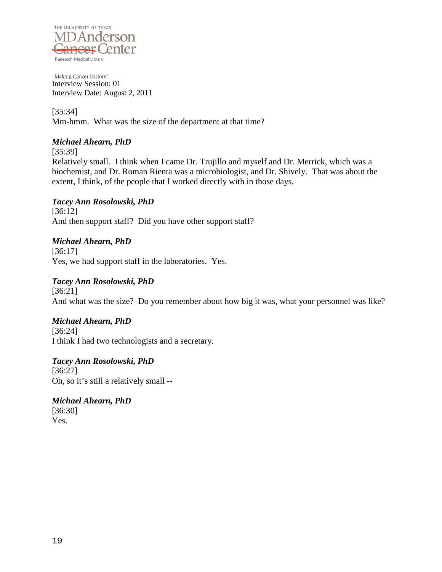

[35:34] Mm-hmm. What was the size of the department at that time?

# *Michael Ahearn, PhD*

[35:39]

Relatively small. I think when I came Dr. Trujillo and myself and Dr. Merrick, which was a biochemist, and Dr. Roman Rienta was a microbiologist, and Dr. Shively. That was about the extent, I think, of the people that I worked directly with in those days.

# *Tacey Ann Rosolowski, PhD*

[36:12] And then support staff? Did you have other support staff?

# *Michael Ahearn, PhD*

[36:17] Yes, we had support staff in the laboratories. Yes.

# *Tacey Ann Rosolowski, PhD*

[36:21] And what was the size? Do you remember about how big it was, what your personnel was like?

# *Michael Ahearn, PhD*

[36:24] I think I had two technologists and a secretary.

*Tacey Ann Rosolowski, PhD* [36:27] Oh, so it's still a relatively small --

*Michael Ahearn, PhD* [36:30] Yes.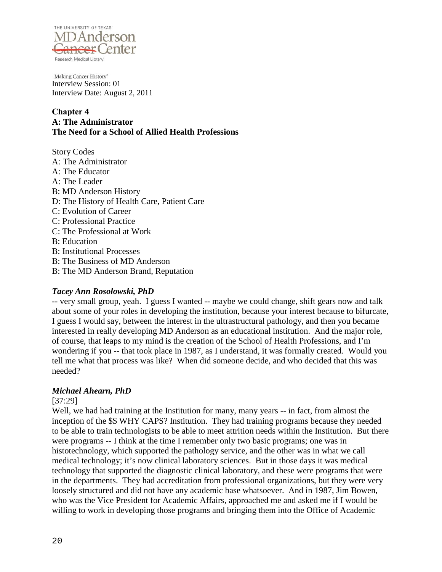

### **Chapter 4 A: The Administrator The Need for a School of Allied Health Professions**

Story Codes A: The Administrator A: The Educator A: The Leader B: MD Anderson History D: The History of Health Care, Patient Care C: Evolution of Career C: Professional Practice C: The Professional at Work B: Education B: Institutional Processes B: The Business of MD Anderson B: The MD Anderson Brand, Reputation

### *Tacey Ann Rosolowski, PhD*

-- very small group, yeah. I guess I wanted -- maybe we could change, shift gears now and talk about some of your roles in developing the institution, because your interest because to bifurcate, I guess I would say, between the interest in the ultrastructural pathology, and then you became interested in really developing MD Anderson as an educational institution. And the major role, of course, that leaps to my mind is the creation of the School of Health Professions, and I'm wondering if you -- that took place in 1987, as I understand, it was formally created. Would you tell me what that process was like? When did someone decide, and who decided that this was needed?

# *Michael Ahearn, PhD*

### [37:29]

Well, we had had training at the Institution for many, many years -- in fact, from almost the inception of the \$\$ WHY CAPS? Institution. They had training programs because they needed to be able to train technologists to be able to meet attrition needs within the Institution. But there were programs -- I think at the time I remember only two basic programs; one was in histotechnology, which supported the pathology service, and the other was in what we call medical technology; it's now clinical laboratory sciences. But in those days it was medical technology that supported the diagnostic clinical laboratory, and these were programs that were in the departments. They had accreditation from professional organizations, but they were very loosely structured and did not have any academic base whatsoever. And in 1987, Jim Bowen, who was the Vice President for Academic Affairs, approached me and asked me if I would be willing to work in developing those programs and bringing them into the Office of Academic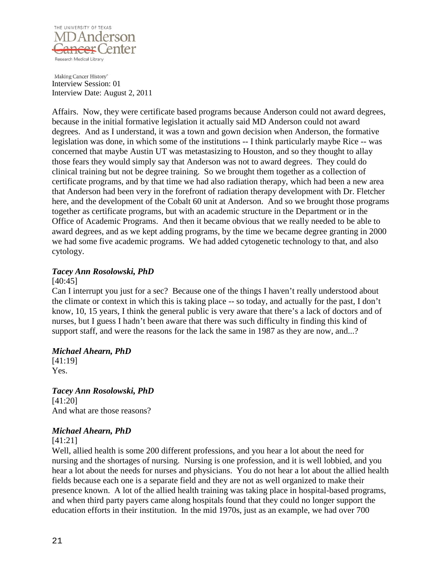

Affairs. Now, they were certificate based programs because Anderson could not award degrees, because in the initial formative legislation it actually said MD Anderson could not award degrees. And as I understand, it was a town and gown decision when Anderson, the formative legislation was done, in which some of the institutions -- I think particularly maybe Rice -- was concerned that maybe Austin UT was metastasizing to Houston, and so they thought to allay those fears they would simply say that Anderson was not to award degrees. They could do clinical training but not be degree training. So we brought them together as a collection of certificate programs, and by that time we had also radiation therapy, which had been a new area that Anderson had been very in the forefront of radiation therapy development with Dr. Fletcher here, and the development of the Cobalt 60 unit at Anderson. And so we brought those programs together as certificate programs, but with an academic structure in the Department or in the Office of Academic Programs. And then it became obvious that we really needed to be able to award degrees, and as we kept adding programs, by the time we became degree granting in 2000 we had some five academic programs. We had added cytogenetic technology to that, and also cytology.

# *Tacey Ann Rosolowski, PhD*

#### [40:45]

Can I interrupt you just for a sec? Because one of the things I haven't really understood about the climate or context in which this is taking place -- so today, and actually for the past, I don't know, 10, 15 years, I think the general public is very aware that there's a lack of doctors and of nurses, but I guess I hadn't been aware that there was such difficulty in finding this kind of support staff, and were the reasons for the lack the same in 1987 as they are now, and...?

### *Michael Ahearn, PhD*

[41:19] Yes.

*Tacey Ann Rosolowski, PhD* [41:20] And what are those reasons?

# *Michael Ahearn, PhD*

[41:21]

Well, allied health is some 200 different professions, and you hear a lot about the need for nursing and the shortages of nursing. Nursing is one profession, and it is well lobbied, and you hear a lot about the needs for nurses and physicians. You do not hear a lot about the allied health fields because each one is a separate field and they are not as well organized to make their presence known. A lot of the allied health training was taking place in hospital-based programs, and when third party payers came along hospitals found that they could no longer support the education efforts in their institution. In the mid 1970s, just as an example, we had over 700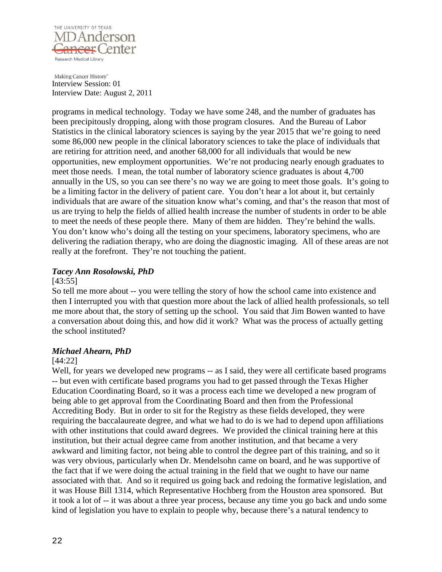

programs in medical technology. Today we have some 248, and the number of graduates has been precipitously dropping, along with those program closures. And the Bureau of Labor Statistics in the clinical laboratory sciences is saying by the year 2015 that we're going to need some 86,000 new people in the clinical laboratory sciences to take the place of individuals that are retiring for attrition need, and another 68,000 for all individuals that would be new opportunities, new employment opportunities. We're not producing nearly enough graduates to meet those needs. I mean, the total number of laboratory science graduates is about 4,700 annually in the US, so you can see there's no way we are going to meet those goals. It's going to be a limiting factor in the delivery of patient care. You don't hear a lot about it, but certainly individuals that are aware of the situation know what's coming, and that's the reason that most of us are trying to help the fields of allied health increase the number of students in order to be able to meet the needs of these people there. Many of them are hidden. They're behind the walls. You don't know who's doing all the testing on your specimens, laboratory specimens, who are delivering the radiation therapy, who are doing the diagnostic imaging. All of these areas are not really at the forefront. They're not touching the patient.

# *Tacey Ann Rosolowski, PhD*

#### [43:55]

So tell me more about -- you were telling the story of how the school came into existence and then I interrupted you with that question more about the lack of allied health professionals, so tell me more about that, the story of setting up the school. You said that Jim Bowen wanted to have a conversation about doing this, and how did it work? What was the process of actually getting the school instituted?

### *Michael Ahearn, PhD*

### [44:22]

Well, for years we developed new programs -- as I said, they were all certificate based programs -- but even with certificate based programs you had to get passed through the Texas Higher Education Coordinating Board, so it was a process each time we developed a new program of being able to get approval from the Coordinating Board and then from the Professional Accrediting Body. But in order to sit for the Registry as these fields developed, they were requiring the baccalaureate degree, and what we had to do is we had to depend upon affiliations with other institutions that could award degrees. We provided the clinical training here at this institution, but their actual degree came from another institution, and that became a very awkward and limiting factor, not being able to control the degree part of this training, and so it was very obvious, particularly when Dr. Mendelsohn came on board, and he was supportive of the fact that if we were doing the actual training in the field that we ought to have our name associated with that. And so it required us going back and redoing the formative legislation, and it was House Bill 1314, which Representative Hochberg from the Houston area sponsored. But it took a lot of -- it was about a three year process, because any time you go back and undo some kind of legislation you have to explain to people why, because there's a natural tendency to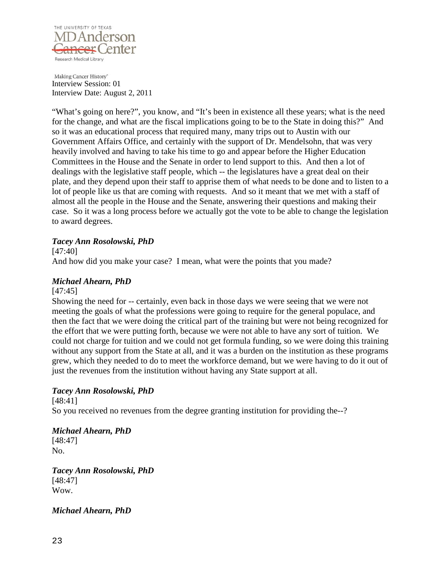

"What's going on here?", you know, and "It's been in existence all these years; what is the need for the change, and what are the fiscal implications going to be to the State in doing this?" And so it was an educational process that required many, many trips out to Austin with our Government Affairs Office, and certainly with the support of Dr. Mendelsohn, that was very heavily involved and having to take his time to go and appear before the Higher Education Committees in the House and the Senate in order to lend support to this. And then a lot of dealings with the legislative staff people, which -- the legislatures have a great deal on their plate, and they depend upon their staff to apprise them of what needs to be done and to listen to a lot of people like us that are coming with requests. And so it meant that we met with a staff of almost all the people in the House and the Senate, answering their questions and making their case. So it was a long process before we actually got the vote to be able to change the legislation to award degrees.

### *Tacey Ann Rosolowski, PhD*

[47:40]

And how did you make your case? I mean, what were the points that you made?

# *Michael Ahearn, PhD*

[47:45]

Showing the need for -- certainly, even back in those days we were seeing that we were not meeting the goals of what the professions were going to require for the general populace, and then the fact that we were doing the critical part of the training but were not being recognized for the effort that we were putting forth, because we were not able to have any sort of tuition. We could not charge for tuition and we could not get formula funding, so we were doing this training without any support from the State at all, and it was a burden on the institution as these programs grew, which they needed to do to meet the workforce demand, but we were having to do it out of just the revenues from the institution without having any State support at all.

# *Tacey Ann Rosolowski, PhD*

[48:41] So you received no revenues from the degree granting institution for providing the--?

### *Michael Ahearn, PhD*

[48:47] No.

*Tacey Ann Rosolowski, PhD* [48:47] Wow.

*Michael Ahearn, PhD*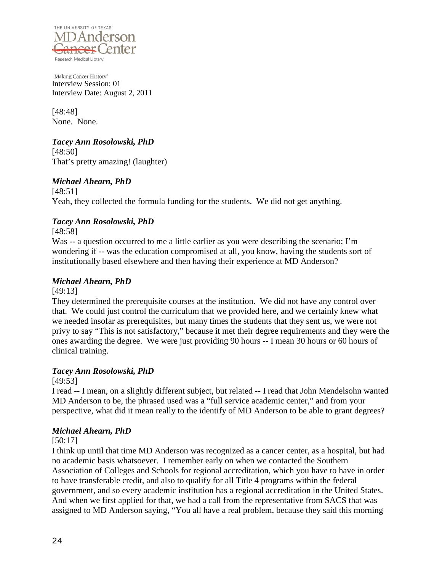

[48:48] None. None.

# *Tacey Ann Rosolowski, PhD*

[48:50] That's pretty amazing! (laughter)

# *Michael Ahearn, PhD*

[48:51] Yeah, they collected the formula funding for the students. We did not get anything.

# *Tacey Ann Rosolowski, PhD*

[48:58]

Was -- a question occurred to me a little earlier as you were describing the scenario; I'm wondering if -- was the education compromised at all, you know, having the students sort of institutionally based elsewhere and then having their experience at MD Anderson?

# *Michael Ahearn, PhD*

[49:13]

They determined the prerequisite courses at the institution. We did not have any control over that. We could just control the curriculum that we provided here, and we certainly knew what we needed insofar as prerequisites, but many times the students that they sent us, we were not privy to say "This is not satisfactory," because it met their degree requirements and they were the ones awarding the degree. We were just providing 90 hours -- I mean 30 hours or 60 hours of clinical training.

# *Tacey Ann Rosolowski, PhD*

[49:53]

I read -- I mean, on a slightly different subject, but related -- I read that John Mendelsohn wanted MD Anderson to be, the phrased used was a "full service academic center," and from your perspective, what did it mean really to the identify of MD Anderson to be able to grant degrees?

# *Michael Ahearn, PhD*

[50:17]

I think up until that time MD Anderson was recognized as a cancer center, as a hospital, but had no academic basis whatsoever. I remember early on when we contacted the Southern Association of Colleges and Schools for regional accreditation, which you have to have in order to have transferable credit, and also to qualify for all Title 4 programs within the federal government, and so every academic institution has a regional accreditation in the United States. And when we first applied for that, we had a call from the representative from SACS that was assigned to MD Anderson saying, "You all have a real problem, because they said this morning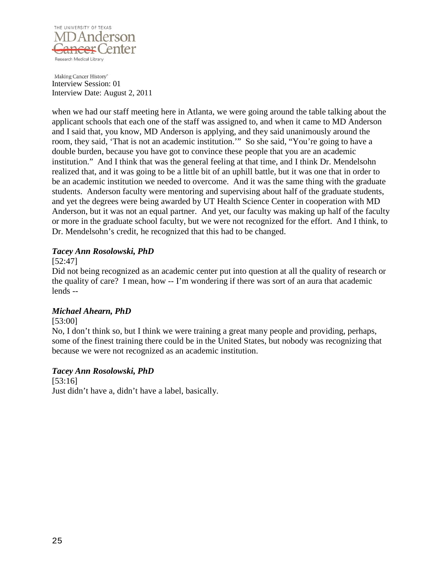![](_page_24_Picture_0.jpeg)

when we had our staff meeting here in Atlanta, we were going around the table talking about the applicant schools that each one of the staff was assigned to, and when it came to MD Anderson and I said that, you know, MD Anderson is applying, and they said unanimously around the room, they said, 'That is not an academic institution.'" So she said, "You're going to have a double burden, because you have got to convince these people that you are an academic institution." And I think that was the general feeling at that time, and I think Dr. Mendelsohn realized that, and it was going to be a little bit of an uphill battle, but it was one that in order to be an academic institution we needed to overcome. And it was the same thing with the graduate students. Anderson faculty were mentoring and supervising about half of the graduate students, and yet the degrees were being awarded by UT Health Science Center in cooperation with MD Anderson, but it was not an equal partner. And yet, our faculty was making up half of the faculty or more in the graduate school faculty, but we were not recognized for the effort. And I think, to Dr. Mendelsohn's credit, he recognized that this had to be changed.

### *Tacey Ann Rosolowski, PhD*

### [52:47]

Did not being recognized as an academic center put into question at all the quality of research or the quality of care? I mean, how -- I'm wondering if there was sort of an aura that academic lends --

# *Michael Ahearn, PhD*

### [53:00]

No, I don't think so, but I think we were training a great many people and providing, perhaps, some of the finest training there could be in the United States, but nobody was recognizing that because we were not recognized as an academic institution.

# *Tacey Ann Rosolowski, PhD*

[53:16] Just didn't have a, didn't have a label, basically.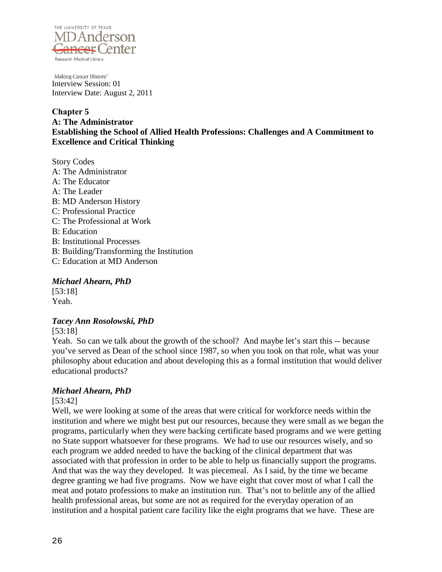![](_page_25_Picture_0.jpeg)

**Chapter 5 A: The Administrator Establishing the School of Allied Health Professions: Challenges and A Commitment to Excellence and Critical Thinking**

Story Codes A: The Administrator A: The Educator A: The Leader B: MD Anderson History C: Professional Practice C: The Professional at Work B: Education B: Institutional Processes B: Building/Transforming the Institution C: Education at MD Anderson

### *Michael Ahearn, PhD*

[53:18] Yeah.

# *Tacey Ann Rosolowski, PhD*

[53:18]

Yeah. So can we talk about the growth of the school? And maybe let's start this -- because you've served as Dean of the school since 1987, so when you took on that role, what was your philosophy about education and about developing this as a formal institution that would deliver educational products?

# *Michael Ahearn, PhD*

### [53:42]

Well, we were looking at some of the areas that were critical for workforce needs within the institution and where we might best put our resources, because they were small as we began the programs, particularly when they were backing certificate based programs and we were getting no State support whatsoever for these programs. We had to use our resources wisely, and so each program we added needed to have the backing of the clinical department that was associated with that profession in order to be able to help us financially support the programs. And that was the way they developed. It was piecemeal. As I said, by the time we became degree granting we had five programs. Now we have eight that cover most of what I call the meat and potato professions to make an institution run. That's not to belittle any of the allied health professional areas, but some are not as required for the everyday operation of an institution and a hospital patient care facility like the eight programs that we have. These are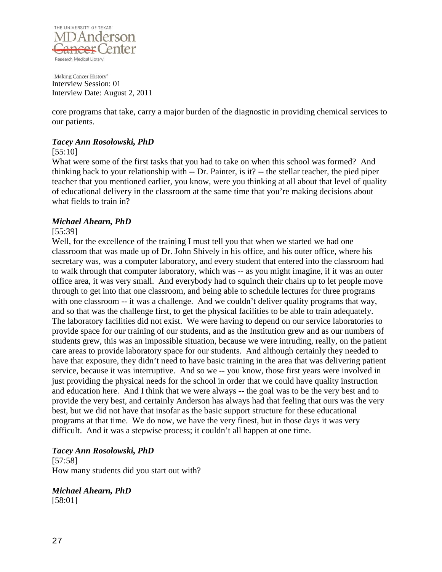![](_page_26_Picture_0.jpeg)

core programs that take, carry a major burden of the diagnostic in providing chemical services to our patients.

### *Tacey Ann Rosolowski, PhD*

#### [55:10]

What were some of the first tasks that you had to take on when this school was formed? And thinking back to your relationship with -- Dr. Painter, is it? -- the stellar teacher, the pied piper teacher that you mentioned earlier, you know, were you thinking at all about that level of quality of educational delivery in the classroom at the same time that you're making decisions about what fields to train in?

### *Michael Ahearn, PhD*

### [55:39]

Well, for the excellence of the training I must tell you that when we started we had one classroom that was made up of Dr. John Shively in his office, and his outer office, where his secretary was, was a computer laboratory, and every student that entered into the classroom had to walk through that computer laboratory, which was -- as you might imagine, if it was an outer office area, it was very small. And everybody had to squinch their chairs up to let people move through to get into that one classroom, and being able to schedule lectures for three programs with one classroom -- it was a challenge. And we couldn't deliver quality programs that way, and so that was the challenge first, to get the physical facilities to be able to train adequately. The laboratory facilities did not exist. We were having to depend on our service laboratories to provide space for our training of our students, and as the Institution grew and as our numbers of students grew, this was an impossible situation, because we were intruding, really, on the patient care areas to provide laboratory space for our students. And although certainly they needed to have that exposure, they didn't need to have basic training in the area that was delivering patient service, because it was interruptive. And so we -- you know, those first years were involved in just providing the physical needs for the school in order that we could have quality instruction and education here. And I think that we were always -- the goal was to be the very best and to provide the very best, and certainly Anderson has always had that feeling that ours was the very best, but we did not have that insofar as the basic support structure for these educational programs at that time. We do now, we have the very finest, but in those days it was very difficult. And it was a stepwise process; it couldn't all happen at one time.

# *Tacey Ann Rosolowski, PhD*

[57:58] How many students did you start out with?

*Michael Ahearn, PhD* [58:01]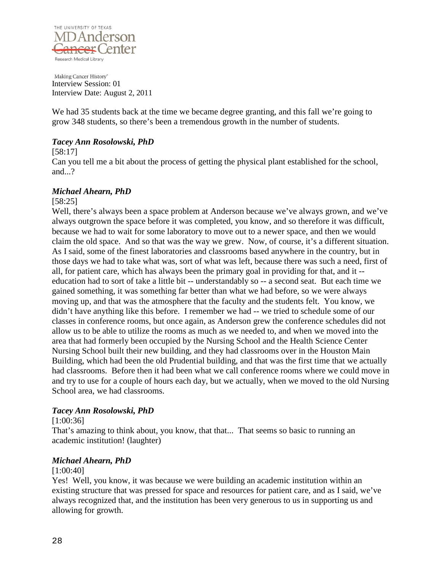![](_page_27_Picture_0.jpeg)

We had 35 students back at the time we became degree granting, and this fall we're going to grow 348 students, so there's been a tremendous growth in the number of students.

### *Tacey Ann Rosolowski, PhD*

[58:17]

Can you tell me a bit about the process of getting the physical plant established for the school, and...?

### *Michael Ahearn, PhD*

#### [58:25]

Well, there's always been a space problem at Anderson because we've always grown, and we've always outgrown the space before it was completed, you know, and so therefore it was difficult, because we had to wait for some laboratory to move out to a newer space, and then we would claim the old space. And so that was the way we grew. Now, of course, it's a different situation. As I said, some of the finest laboratories and classrooms based anywhere in the country, but in those days we had to take what was, sort of what was left, because there was such a need, first of all, for patient care, which has always been the primary goal in providing for that, and it - education had to sort of take a little bit -- understandably so -- a second seat. But each time we gained something, it was something far better than what we had before, so we were always moving up, and that was the atmosphere that the faculty and the students felt. You know, we didn't have anything like this before. I remember we had -- we tried to schedule some of our classes in conference rooms, but once again, as Anderson grew the conference schedules did not allow us to be able to utilize the rooms as much as we needed to, and when we moved into the area that had formerly been occupied by the Nursing School and the Health Science Center Nursing School built their new building, and they had classrooms over in the Houston Main Building, which had been the old Prudential building, and that was the first time that we actually had classrooms. Before then it had been what we call conference rooms where we could move in and try to use for a couple of hours each day, but we actually, when we moved to the old Nursing School area, we had classrooms.

### *Tacey Ann Rosolowski, PhD*

### [1:00:36]

That's amazing to think about, you know, that that... That seems so basic to running an academic institution! (laughter)

# *Michael Ahearn, PhD*

### [1:00:40]

Yes! Well, you know, it was because we were building an academic institution within an existing structure that was pressed for space and resources for patient care, and as I said, we've always recognized that, and the institution has been very generous to us in supporting us and allowing for growth.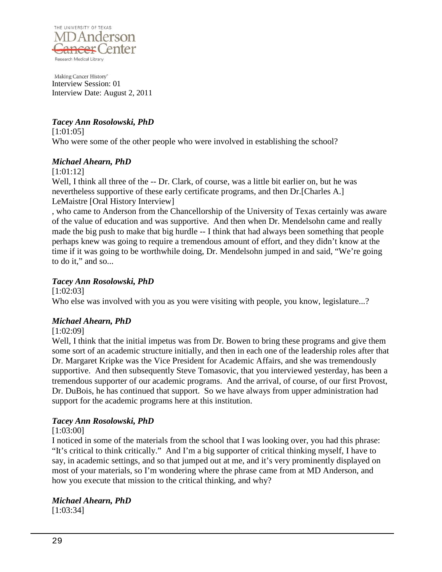![](_page_28_Picture_0.jpeg)

# *Tacey Ann Rosolowski, PhD*

[1:01:05] Who were some of the other people who were involved in establishing the school?

# *Michael Ahearn, PhD*

[1:01:12]

Well, I think all three of the -- Dr. Clark, of course, was a little bit earlier on, but he was nevertheless supportive of these early certificate programs, and then Dr.[Charles A.] LeMaistre [Oral History Interview]

, who came to Anderson from the Chancellorship of the University of Texas certainly was aware of the value of education and was supportive. And then when Dr. Mendelsohn came and really made the big push to make that big hurdle -- I think that had always been something that people perhaps knew was going to require a tremendous amount of effort, and they didn't know at the time if it was going to be worthwhile doing, Dr. Mendelsohn jumped in and said, "We're going to do it," and so...

# *Tacey Ann Rosolowski, PhD*

[1:02:03]

Who else was involved with you as you were visiting with people, you know, legislature...?

# *Michael Ahearn, PhD*

[1:02:09]

Well, I think that the initial impetus was from Dr. Bowen to bring these programs and give them some sort of an academic structure initially, and then in each one of the leadership roles after that Dr. Margaret Kripke was the Vice President for Academic Affairs, and she was tremendously supportive. And then subsequently Steve Tomasovic, that you interviewed yesterday, has been a tremendous supporter of our academic programs. And the arrival, of course, of our first Provost, Dr. DuBois, he has continued that support. So we have always from upper administration had support for the academic programs here at this institution.

# *Tacey Ann Rosolowski, PhD*

# [1:03:00]

I noticed in some of the materials from the school that I was looking over, you had this phrase: "It's critical to think critically." And I'm a big supporter of critical thinking myself, I have to say, in academic settings, and so that jumped out at me, and it's very prominently displayed on most of your materials, so I'm wondering where the phrase came from at MD Anderson, and how you execute that mission to the critical thinking, and why?

# *Michael Ahearn, PhD*

[1:03:34]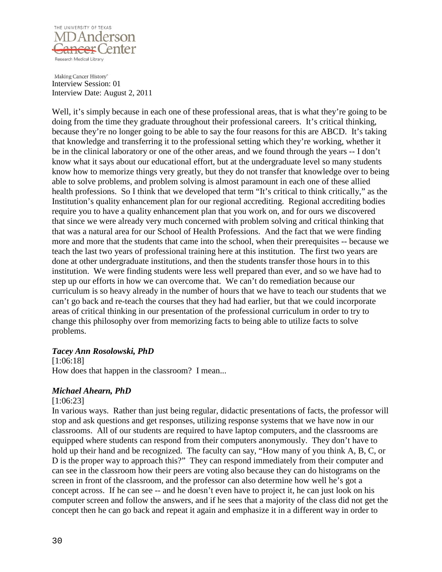![](_page_29_Picture_0.jpeg)

Well, it's simply because in each one of these professional areas, that is what they're going to be doing from the time they graduate throughout their professional careers. It's critical thinking, because they're no longer going to be able to say the four reasons for this are ABCD. It's taking that knowledge and transferring it to the professional setting which they're working, whether it be in the clinical laboratory or one of the other areas, and we found through the years -- I don't know what it says about our educational effort, but at the undergraduate level so many students know how to memorize things very greatly, but they do not transfer that knowledge over to being able to solve problems, and problem solving is almost paramount in each one of these allied health professions. So I think that we developed that term "It's critical to think critically," as the Institution's quality enhancement plan for our regional accrediting. Regional accrediting bodies require you to have a quality enhancement plan that you work on, and for ours we discovered that since we were already very much concerned with problem solving and critical thinking that that was a natural area for our School of Health Professions. And the fact that we were finding more and more that the students that came into the school, when their prerequisites -- because we teach the last two years of professional training here at this institution. The first two years are done at other undergraduate institutions, and then the students transfer those hours in to this institution. We were finding students were less well prepared than ever, and so we have had to step up our efforts in how we can overcome that. We can't do remediation because our curriculum is so heavy already in the number of hours that we have to teach our students that we can't go back and re-teach the courses that they had had earlier, but that we could incorporate areas of critical thinking in our presentation of the professional curriculum in order to try to change this philosophy over from memorizing facts to being able to utilize facts to solve problems.

### *Tacey Ann Rosolowski, PhD*

[1:06:18] How does that happen in the classroom? I mean...

# *Michael Ahearn, PhD*

[1:06:23]

In various ways. Rather than just being regular, didactic presentations of facts, the professor will stop and ask questions and get responses, utilizing response systems that we have now in our classrooms. All of our students are required to have laptop computers, and the classrooms are equipped where students can respond from their computers anonymously. They don't have to hold up their hand and be recognized. The faculty can say, "How many of you think A, B, C, or D is the proper way to approach this?" They can respond immediately from their computer and can see in the classroom how their peers are voting also because they can do histograms on the screen in front of the classroom, and the professor can also determine how well he's got a concept across. If he can see -- and he doesn't even have to project it, he can just look on his computer screen and follow the answers, and if he sees that a majority of the class did not get the concept then he can go back and repeat it again and emphasize it in a different way in order to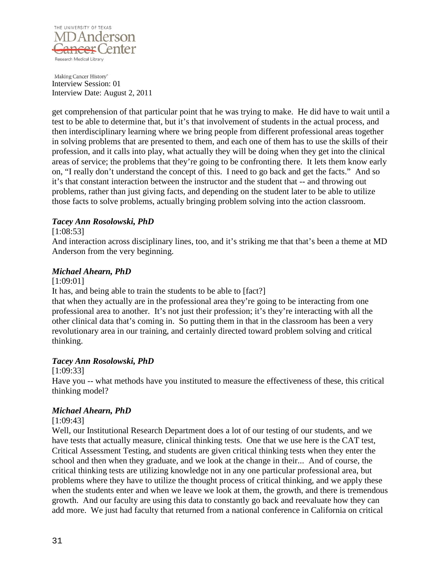![](_page_30_Picture_0.jpeg)

get comprehension of that particular point that he was trying to make. He did have to wait until a test to be able to determine that, but it's that involvement of students in the actual process, and then interdisciplinary learning where we bring people from different professional areas together in solving problems that are presented to them, and each one of them has to use the skills of their profession, and it calls into play, what actually they will be doing when they get into the clinical areas of service; the problems that they're going to be confronting there. It lets them know early on, "I really don't understand the concept of this. I need to go back and get the facts." And so it's that constant interaction between the instructor and the student that -- and throwing out problems, rather than just giving facts, and depending on the student later to be able to utilize those facts to solve problems, actually bringing problem solving into the action classroom.

### *Tacey Ann Rosolowski, PhD*

### [1:08:53]

And interaction across disciplinary lines, too, and it's striking me that that's been a theme at MD Anderson from the very beginning.

### *Michael Ahearn, PhD*

[1:09:01]

It has, and being able to train the students to be able to [fact?]

that when they actually are in the professional area they're going to be interacting from one professional area to another. It's not just their profession; it's they're interacting with all the other clinical data that's coming in. So putting them in that in the classroom has been a very revolutionary area in our training, and certainly directed toward problem solving and critical thinking.

### *Tacey Ann Rosolowski, PhD*

[1:09:33]

Have you -- what methods have you instituted to measure the effectiveness of these, this critical thinking model?

### *Michael Ahearn, PhD*

### [1:09:43]

Well, our Institutional Research Department does a lot of our testing of our students, and we have tests that actually measure, clinical thinking tests. One that we use here is the CAT test, Critical Assessment Testing, and students are given critical thinking tests when they enter the school and then when they graduate, and we look at the change in their... And of course, the critical thinking tests are utilizing knowledge not in any one particular professional area, but problems where they have to utilize the thought process of critical thinking, and we apply these when the students enter and when we leave we look at them, the growth, and there is tremendous growth. And our faculty are using this data to constantly go back and reevaluate how they can add more. We just had faculty that returned from a national conference in California on critical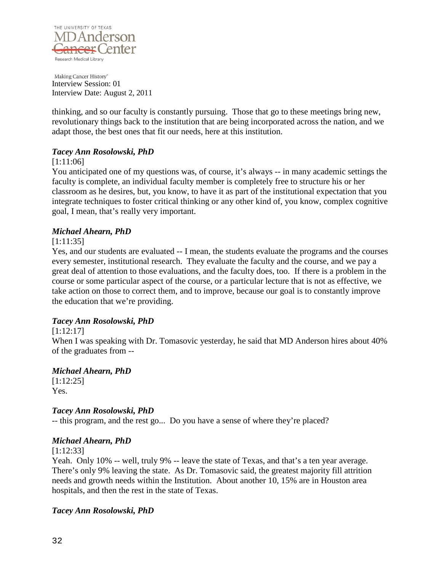![](_page_31_Picture_0.jpeg)

thinking, and so our faculty is constantly pursuing. Those that go to these meetings bring new, revolutionary things back to the institution that are being incorporated across the nation, and we adapt those, the best ones that fit our needs, here at this institution.

### *Tacey Ann Rosolowski, PhD*

### [1:11:06]

You anticipated one of my questions was, of course, it's always -- in many academic settings the faculty is complete, an individual faculty member is completely free to structure his or her classroom as he desires, but, you know, to have it as part of the institutional expectation that you integrate techniques to foster critical thinking or any other kind of, you know, complex cognitive goal, I mean, that's really very important.

### *Michael Ahearn, PhD*

### [1:11:35]

Yes, and our students are evaluated -- I mean, the students evaluate the programs and the courses every semester, institutional research. They evaluate the faculty and the course, and we pay a great deal of attention to those evaluations, and the faculty does, too. If there is a problem in the course or some particular aspect of the course, or a particular lecture that is not as effective, we take action on those to correct them, and to improve, because our goal is to constantly improve the education that we're providing.

### *Tacey Ann Rosolowski, PhD*

### [1:12:17]

When I was speaking with Dr. Tomasovic yesterday, he said that MD Anderson hires about 40% of the graduates from --

# *Michael Ahearn, PhD*

[1:12:25] Yes.

# *Tacey Ann Rosolowski, PhD*

-- this program, and the rest go... Do you have a sense of where they're placed?

# *Michael Ahearn, PhD*

[1:12:33]

Yeah. Only 10% -- well, truly 9% -- leave the state of Texas, and that's a ten year average. There's only 9% leaving the state. As Dr. Tomasovic said, the greatest majority fill attrition needs and growth needs within the Institution. About another 10, 15% are in Houston area hospitals, and then the rest in the state of Texas.

# *Tacey Ann Rosolowski, PhD*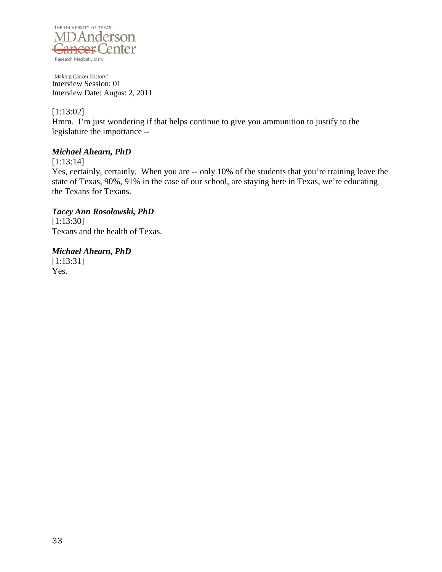![](_page_32_Picture_0.jpeg)

[1:13:02]

Hmm. I'm just wondering if that helps continue to give you ammunition to justify to the legislature the importance --

# *Michael Ahearn, PhD*

[1:13:14]

Yes, certainly, certainly. When you are -- only 10% of the students that you're training leave the state of Texas, 90%, 91% in the case of our school, are staying here in Texas, we're educating the Texans for Texans.

# *Tacey Ann Rosolowski, PhD*

[1:13:30] Texans and the health of Texas.

*Michael Ahearn, PhD* [1:13:31] Yes.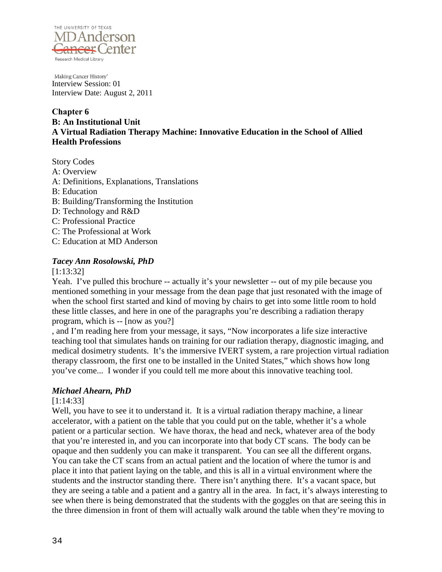![](_page_33_Picture_0.jpeg)

### **Chapter 6 B: An Institutional Unit A Virtual Radiation Therapy Machine: Innovative Education in the School of Allied Health Professions**

Story Codes A: Overview A: Definitions, Explanations, Translations B: Education B: Building/Transforming the Institution D: Technology and R&D C: Professional Practice C: The Professional at Work C: Education at MD Anderson

# *Tacey Ann Rosolowski, PhD*

[1:13:32]

Yeah. I've pulled this brochure -- actually it's your newsletter -- out of my pile because you mentioned something in your message from the dean page that just resonated with the image of when the school first started and kind of moving by chairs to get into some little room to hold these little classes, and here in one of the paragraphs you're describing a radiation therapy program, which is -- [now as you?]

, and I'm reading here from your message, it says, "Now incorporates a life size interactive teaching tool that simulates hands on training for our radiation therapy, diagnostic imaging, and medical dosimetry students. It's the immersive IVERT system, a rare projection virtual radiation therapy classroom, the first one to be installed in the United States," which shows how long you've come... I wonder if you could tell me more about this innovative teaching tool.

# *Michael Ahearn, PhD*

[1:14:33]

Well, you have to see it to understand it. It is a virtual radiation therapy machine, a linear accelerator, with a patient on the table that you could put on the table, whether it's a whole patient or a particular section. We have thorax, the head and neck, whatever area of the body that you're interested in, and you can incorporate into that body CT scans. The body can be opaque and then suddenly you can make it transparent. You can see all the different organs. You can take the CT scans from an actual patient and the location of where the tumor is and place it into that patient laying on the table, and this is all in a virtual environment where the students and the instructor standing there. There isn't anything there. It's a vacant space, but they are seeing a table and a patient and a gantry all in the area. In fact, it's always interesting to see when there is being demonstrated that the students with the goggles on that are seeing this in the three dimension in front of them will actually walk around the table when they're moving to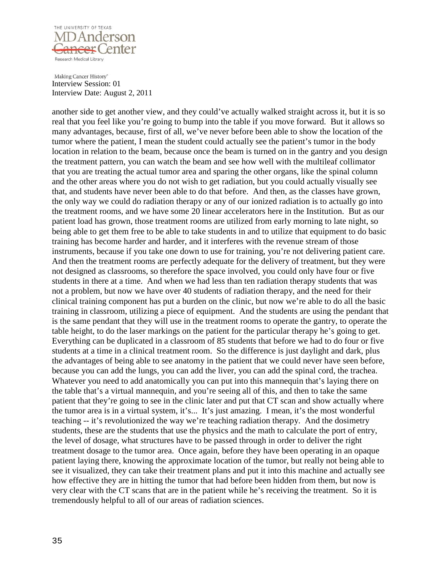![](_page_34_Picture_0.jpeg)

another side to get another view, and they could've actually walked straight across it, but it is so real that you feel like you're going to bump into the table if you move forward. But it allows so many advantages, because, first of all, we've never before been able to show the location of the tumor where the patient, I mean the student could actually see the patient's tumor in the body location in relation to the beam, because once the beam is turned on in the gantry and you design the treatment pattern, you can watch the beam and see how well with the multileaf collimator that you are treating the actual tumor area and sparing the other organs, like the spinal column and the other areas where you do not wish to get radiation, but you could actually visually see that, and students have never been able to do that before. And then, as the classes have grown, the only way we could do radiation therapy or any of our ionized radiation is to actually go into the treatment rooms, and we have some 20 linear accelerators here in the Institution. But as our patient load has grown, those treatment rooms are utilized from early morning to late night, so being able to get them free to be able to take students in and to utilize that equipment to do basic training has become harder and harder, and it interferes with the revenue stream of those instruments, because if you take one down to use for training, you're not delivering patient care. And then the treatment rooms are perfectly adequate for the delivery of treatment, but they were not designed as classrooms, so therefore the space involved, you could only have four or five students in there at a time. And when we had less than ten radiation therapy students that was not a problem, but now we have over 40 students of radiation therapy, and the need for their clinical training component has put a burden on the clinic, but now we're able to do all the basic training in classroom, utilizing a piece of equipment. And the students are using the pendant that is the same pendant that they will use in the treatment rooms to operate the gantry, to operate the table height, to do the laser markings on the patient for the particular therapy he's going to get. Everything can be duplicated in a classroom of 85 students that before we had to do four or five students at a time in a clinical treatment room. So the difference is just daylight and dark, plus the advantages of being able to see anatomy in the patient that we could never have seen before, because you can add the lungs, you can add the liver, you can add the spinal cord, the trachea. Whatever you need to add anatomically you can put into this mannequin that's laying there on the table that's a virtual mannequin, and you're seeing all of this, and then to take the same patient that they're going to see in the clinic later and put that CT scan and show actually where the tumor area is in a virtual system, it's... It's just amazing. I mean, it's the most wonderful teaching -- it's revolutionized the way we're teaching radiation therapy. And the dosimetry students, these are the students that use the physics and the math to calculate the port of entry, the level of dosage, what structures have to be passed through in order to deliver the right treatment dosage to the tumor area. Once again, before they have been operating in an opaque patient laying there, knowing the approximate location of the tumor, but really not being able to see it visualized, they can take their treatment plans and put it into this machine and actually see how effective they are in hitting the tumor that had before been hidden from them, but now is very clear with the CT scans that are in the patient while he's receiving the treatment. So it is tremendously helpful to all of our areas of radiation sciences.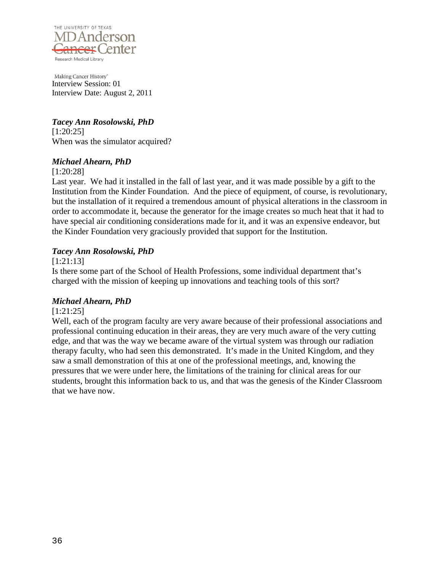![](_page_35_Picture_0.jpeg)

*Tacey Ann Rosolowski, PhD* [1:20:25] When was the simulator acquired?

### *Michael Ahearn, PhD*

[1:20:28]

Last year. We had it installed in the fall of last year, and it was made possible by a gift to the Institution from the Kinder Foundation. And the piece of equipment, of course, is revolutionary, but the installation of it required a tremendous amount of physical alterations in the classroom in order to accommodate it, because the generator for the image creates so much heat that it had to have special air conditioning considerations made for it, and it was an expensive endeavor, but the Kinder Foundation very graciously provided that support for the Institution.

# *Tacey Ann Rosolowski, PhD*

[1:21:13]

Is there some part of the School of Health Professions, some individual department that's charged with the mission of keeping up innovations and teaching tools of this sort?

# *Michael Ahearn, PhD*

# [1:21:25]

Well, each of the program faculty are very aware because of their professional associations and professional continuing education in their areas, they are very much aware of the very cutting edge, and that was the way we became aware of the virtual system was through our radiation therapy faculty, who had seen this demonstrated. It's made in the United Kingdom, and they saw a small demonstration of this at one of the professional meetings, and, knowing the pressures that we were under here, the limitations of the training for clinical areas for our students, brought this information back to us, and that was the genesis of the Kinder Classroom that we have now.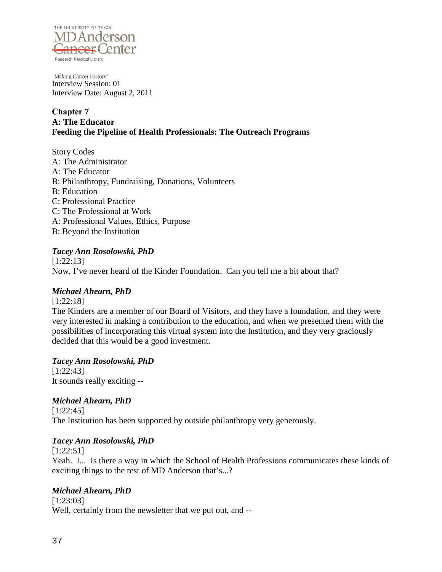

## **Chapter 7 A: The Educator Feeding the Pipeline of Health Professionals: The Outreach Programs**

Story Codes A: The Administrator A: The Educator B: Philanthropy, Fundraising, Donations, Volunteers B: Education C: Professional Practice C: The Professional at Work A: Professional Values, Ethics, Purpose B: Beyond the Institution

## *Tacey Ann Rosolowski, PhD*

[1:22:13] Now, I've never heard of the Kinder Foundation. Can you tell me a bit about that?

## *Michael Ahearn, PhD*

[1:22:18]

The Kinders are a member of our Board of Visitors, and they have a foundation, and they were very interested in making a contribution to the education, and when we presented them with the possibilities of incorporating this virtual system into the Institution, and they very graciously decided that this would be a good investment.

## *Tacey Ann Rosolowski, PhD*

[1:22:43] It sounds really exciting --

## *Michael Ahearn, PhD*

[1:22:45] The Institution has been supported by outside philanthropy very generously.

## *Tacey Ann Rosolowski, PhD*

[1:22:51] Yeah. I... Is there a way in which the School of Health Professions communicates these kinds of exciting things to the rest of MD Anderson that's...?

## *Michael Ahearn, PhD*

[1:23:03] Well, certainly from the newsletter that we put out, and --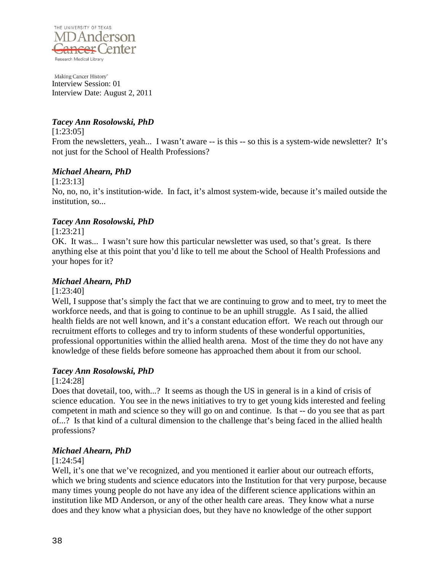

## *Tacey Ann Rosolowski, PhD*

[1:23:05]

From the newsletters, yeah... I wasn't aware -- is this -- so this is a system-wide newsletter? It's not just for the School of Health Professions?

## *Michael Ahearn, PhD*

[1:23:13]

No, no, no, it's institution-wide. In fact, it's almost system-wide, because it's mailed outside the institution, so...

## *Tacey Ann Rosolowski, PhD*

[1:23:21]

OK. It was... I wasn't sure how this particular newsletter was used, so that's great. Is there anything else at this point that you'd like to tell me about the School of Health Professions and your hopes for it?

### *Michael Ahearn, PhD*

[1:23:40]

Well, I suppose that's simply the fact that we are continuing to grow and to meet, try to meet the workforce needs, and that is going to continue to be an uphill struggle. As I said, the allied health fields are not well known, and it's a constant education effort. We reach out through our recruitment efforts to colleges and try to inform students of these wonderful opportunities, professional opportunities within the allied health arena. Most of the time they do not have any knowledge of these fields before someone has approached them about it from our school.

## *Tacey Ann Rosolowski, PhD*

[1:24:28]

Does that dovetail, too, with...? It seems as though the US in general is in a kind of crisis of science education. You see in the news initiatives to try to get young kids interested and feeling competent in math and science so they will go on and continue. Is that -- do you see that as part of...? Is that kind of a cultural dimension to the challenge that's being faced in the allied health professions?

## *Michael Ahearn, PhD*

#### [1:24:54]

Well, it's one that we've recognized, and you mentioned it earlier about our outreach efforts, which we bring students and science educators into the Institution for that very purpose, because many times young people do not have any idea of the different science applications within an institution like MD Anderson, or any of the other health care areas. They know what a nurse does and they know what a physician does, but they have no knowledge of the other support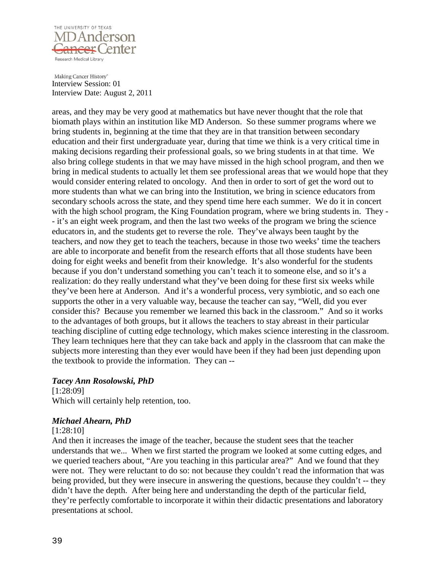

areas, and they may be very good at mathematics but have never thought that the role that biomath plays within an institution like MD Anderson. So these summer programs where we bring students in, beginning at the time that they are in that transition between secondary education and their first undergraduate year, during that time we think is a very critical time in making decisions regarding their professional goals, so we bring students in at that time. We also bring college students in that we may have missed in the high school program, and then we bring in medical students to actually let them see professional areas that we would hope that they would consider entering related to oncology. And then in order to sort of get the word out to more students than what we can bring into the Institution, we bring in science educators from secondary schools across the state, and they spend time here each summer. We do it in concert with the high school program, the King Foundation program, where we bring students in. They -- it's an eight week program, and then the last two weeks of the program we bring the science educators in, and the students get to reverse the role. They've always been taught by the teachers, and now they get to teach the teachers, because in those two weeks' time the teachers are able to incorporate and benefit from the research efforts that all those students have been doing for eight weeks and benefit from their knowledge. It's also wonderful for the students because if you don't understand something you can't teach it to someone else, and so it's a realization: do they really understand what they've been doing for these first six weeks while they've been here at Anderson. And it's a wonderful process, very symbiotic, and so each one supports the other in a very valuable way, because the teacher can say, "Well, did you ever consider this? Because you remember we learned this back in the classroom." And so it works to the advantages of both groups, but it allows the teachers to stay abreast in their particular teaching discipline of cutting edge technology, which makes science interesting in the classroom. They learn techniques here that they can take back and apply in the classroom that can make the subjects more interesting than they ever would have been if they had been just depending upon the textbook to provide the information. They can --

## *Tacey Ann Rosolowski, PhD*

[1:28:09] Which will certainly help retention, too.

#### *Michael Ahearn, PhD*

#### [1:28:10]

And then it increases the image of the teacher, because the student sees that the teacher understands that we... When we first started the program we looked at some cutting edges, and we queried teachers about, "Are you teaching in this particular area?" And we found that they were not. They were reluctant to do so: not because they couldn't read the information that was being provided, but they were insecure in answering the questions, because they couldn't -- they didn't have the depth. After being here and understanding the depth of the particular field, they're perfectly comfortable to incorporate it within their didactic presentations and laboratory presentations at school.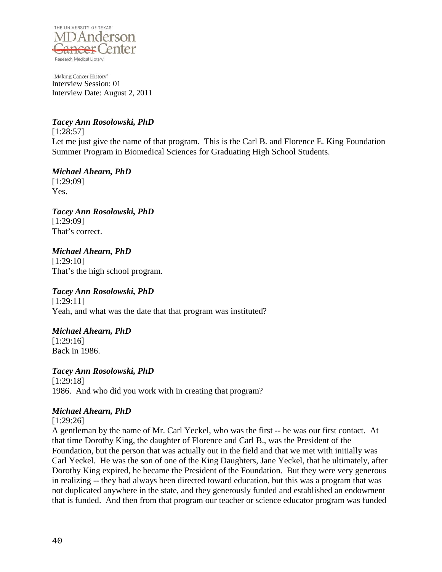

## *Tacey Ann Rosolowski, PhD*

[1:28:57] Let me just give the name of that program. This is the Carl B. and Florence E. King Foundation Summer Program in Biomedical Sciences for Graduating High School Students.

*Michael Ahearn, PhD*

[1:29:09] Yes.

*Tacey Ann Rosolowski, PhD* [1:29:09] That's correct.

*Michael Ahearn, PhD* [1:29:10] That's the high school program.

## *Tacey Ann Rosolowski, PhD*

[1:29:11] Yeah, and what was the date that that program was instituted?

## *Michael Ahearn, PhD*

[1:29:16] Back in 1986.

## *Tacey Ann Rosolowski, PhD*

[1:29:18] 1986. And who did you work with in creating that program?

## *Michael Ahearn, PhD*

[1:29:26]

A gentleman by the name of Mr. Carl Yeckel, who was the first -- he was our first contact. At that time Dorothy King, the daughter of Florence and Carl B., was the President of the Foundation, but the person that was actually out in the field and that we met with initially was Carl Yeckel. He was the son of one of the King Daughters, Jane Yeckel, that he ultimately, after Dorothy King expired, he became the President of the Foundation. But they were very generous in realizing -- they had always been directed toward education, but this was a program that was not duplicated anywhere in the state, and they generously funded and established an endowment that is funded. And then from that program our teacher or science educator program was funded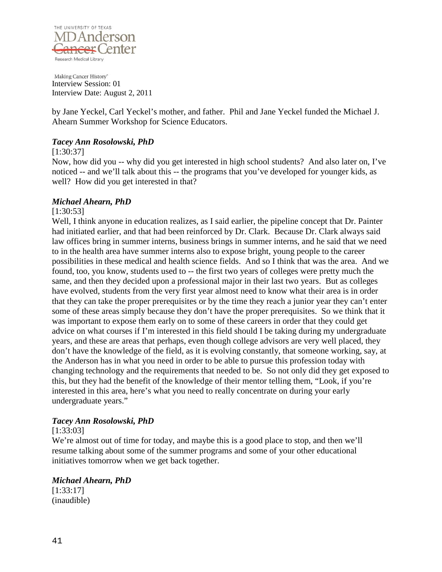

by Jane Yeckel, Carl Yeckel's mother, and father. Phil and Jane Yeckel funded the Michael J. Ahearn Summer Workshop for Science Educators.

### *Tacey Ann Rosolowski, PhD*

[1:30:37]

Now, how did you -- why did you get interested in high school students? And also later on, I've noticed -- and we'll talk about this -- the programs that you've developed for younger kids, as well? How did you get interested in that?

### *Michael Ahearn, PhD*

#### [1:30:53]

Well, I think anyone in education realizes, as I said earlier, the pipeline concept that Dr. Painter had initiated earlier, and that had been reinforced by Dr. Clark. Because Dr. Clark always said law offices bring in summer interns, business brings in summer interns, and he said that we need to in the health area have summer interns also to expose bright, young people to the career possibilities in these medical and health science fields. And so I think that was the area. And we found, too, you know, students used to -- the first two years of colleges were pretty much the same, and then they decided upon a professional major in their last two years. But as colleges have evolved, students from the very first year almost need to know what their area is in order that they can take the proper prerequisites or by the time they reach a junior year they can't enter some of these areas simply because they don't have the proper prerequisites. So we think that it was important to expose them early on to some of these careers in order that they could get advice on what courses if I'm interested in this field should I be taking during my undergraduate years, and these are areas that perhaps, even though college advisors are very well placed, they don't have the knowledge of the field, as it is evolving constantly, that someone working, say, at the Anderson has in what you need in order to be able to pursue this profession today with changing technology and the requirements that needed to be. So not only did they get exposed to this, but they had the benefit of the knowledge of their mentor telling them, "Look, if you're interested in this area, here's what you need to really concentrate on during your early undergraduate years."

#### *Tacey Ann Rosolowski, PhD*

#### [1:33:03]

We're almost out of time for today, and maybe this is a good place to stop, and then we'll resume talking about some of the summer programs and some of your other educational initiatives tomorrow when we get back together.

## *Michael Ahearn, PhD*

[1:33:17] (inaudible)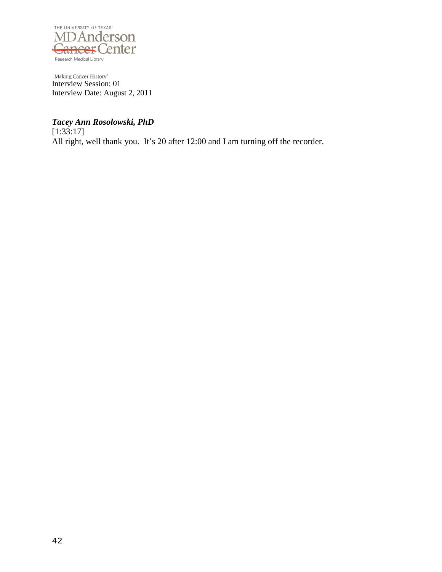

## *Tacey Ann Rosolowski, PhD*

 $[1:33:17]$ All right, well thank you. It's 20 after 12:00 and I am turning off the recorder.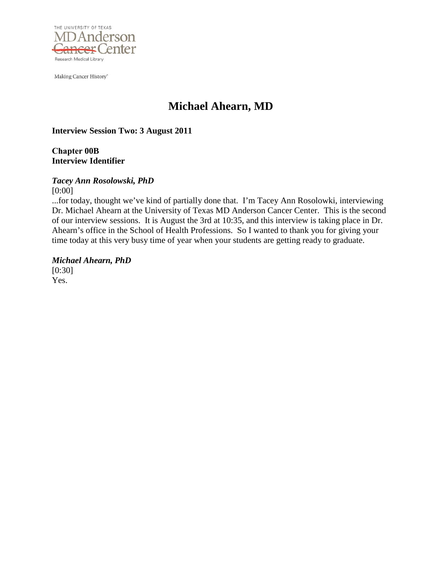

Making Cancer History<sup>®</sup>

# **Michael Ahearn, MD**

**Interview Session Two: 3 August 2011** 

**Chapter 00B Interview Identifier**

## *Tacey Ann Rosolowski, PhD*

[0:00]

...for today, thought we've kind of partially done that. I'm Tacey Ann Rosolowki, interviewing Dr. Michael Ahearn at the University of Texas MD Anderson Cancer Center. This is the second of our interview sessions. It is August the 3rd at 10:35, and this interview is taking place in Dr. Ahearn's office in the School of Health Professions. So I wanted to thank you for giving your time today at this very busy time of year when your students are getting ready to graduate.

*Michael Ahearn, PhD* [0:30] Yes.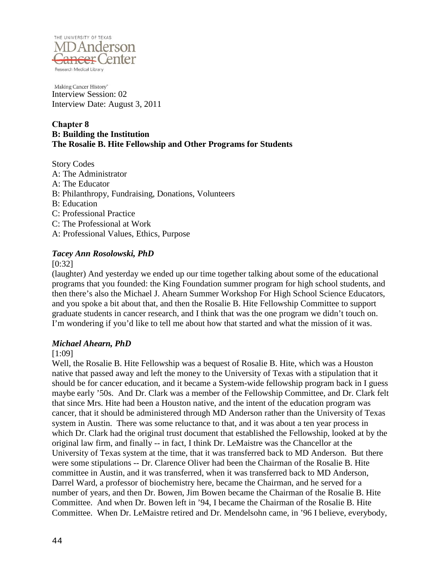

#### **Chapter 8 B: Building the Institution The Rosalie B. Hite Fellowship and Other Programs for Students**

Story Codes A: The Administrator A: The Educator B: Philanthropy, Fundraising, Donations, Volunteers B: Education C: Professional Practice C: The Professional at Work A: Professional Values, Ethics, Purpose

## *Tacey Ann Rosolowski, PhD*

[0:32]

(laughter) And yesterday we ended up our time together talking about some of the educational programs that you founded: the King Foundation summer program for high school students, and then there's also the Michael J. Ahearn Summer Workshop For High School Science Educators, and you spoke a bit about that, and then the Rosalie B. Hite Fellowship Committee to support graduate students in cancer research, and I think that was the one program we didn't touch on. I'm wondering if you'd like to tell me about how that started and what the mission of it was.

## *Michael Ahearn, PhD*

#### [1:09]

Well, the Rosalie B. Hite Fellowship was a bequest of Rosalie B. Hite, which was a Houston native that passed away and left the money to the University of Texas with a stipulation that it should be for cancer education, and it became a System-wide fellowship program back in I guess maybe early '50s. And Dr. Clark was a member of the Fellowship Committee, and Dr. Clark felt that since Mrs. Hite had been a Houston native, and the intent of the education program was cancer, that it should be administered through MD Anderson rather than the University of Texas system in Austin. There was some reluctance to that, and it was about a ten year process in which Dr. Clark had the original trust document that established the Fellowship, looked at by the original law firm, and finally -- in fact, I think Dr. LeMaistre was the Chancellor at the University of Texas system at the time, that it was transferred back to MD Anderson. But there were some stipulations -- Dr. Clarence Oliver had been the Chairman of the Rosalie B. Hite committee in Austin, and it was transferred, when it was transferred back to MD Anderson, Darrel Ward, a professor of biochemistry here, became the Chairman, and he served for a number of years, and then Dr. Bowen, Jim Bowen became the Chairman of the Rosalie B. Hite Committee. And when Dr. Bowen left in '94, I became the Chairman of the Rosalie B. Hite Committee. When Dr. LeMaistre retired and Dr. Mendelsohn came, in '96 I believe, everybody,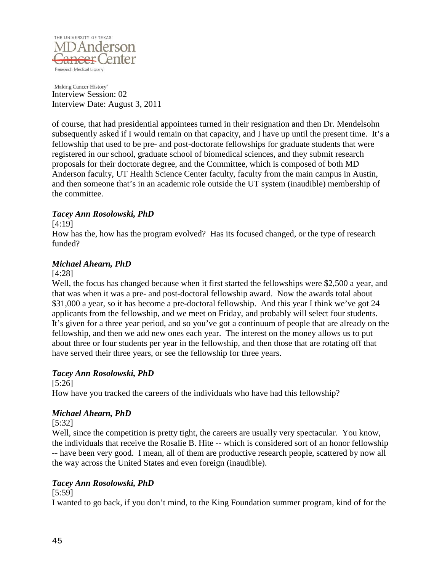

of course, that had presidential appointees turned in their resignation and then Dr. Mendelsohn subsequently asked if I would remain on that capacity, and I have up until the present time. It's a fellowship that used to be pre- and post-doctorate fellowships for graduate students that were registered in our school, graduate school of biomedical sciences, and they submit research proposals for their doctorate degree, and the Committee, which is composed of both MD Anderson faculty, UT Health Science Center faculty, faculty from the main campus in Austin, and then someone that's in an academic role outside the UT system (inaudible) membership of the committee.

### *Tacey Ann Rosolowski, PhD*

#### [4:19]

How has the, how has the program evolved? Has its focused changed, or the type of research funded?

### *Michael Ahearn, PhD*

#### [4:28]

Well, the focus has changed because when it first started the fellowships were \$2,500 a year, and that was when it was a pre- and post-doctoral fellowship award. Now the awards total about \$31,000 a year, so it has become a pre-doctoral fellowship. And this year I think we've got 24 applicants from the fellowship, and we meet on Friday, and probably will select four students. It's given for a three year period, and so you've got a continuum of people that are already on the fellowship, and then we add new ones each year. The interest on the money allows us to put about three or four students per year in the fellowship, and then those that are rotating off that have served their three years, or see the fellowship for three years.

#### *Tacey Ann Rosolowski, PhD*

[5:26]

How have you tracked the careers of the individuals who have had this fellowship?

## *Michael Ahearn, PhD*

[5:32]

Well, since the competition is pretty tight, the careers are usually very spectacular. You know, the individuals that receive the Rosalie B. Hite -- which is considered sort of an honor fellowship -- have been very good. I mean, all of them are productive research people, scattered by now all the way across the United States and even foreign (inaudible).

## *Tacey Ann Rosolowski, PhD*

[5:59]

I wanted to go back, if you don't mind, to the King Foundation summer program, kind of for the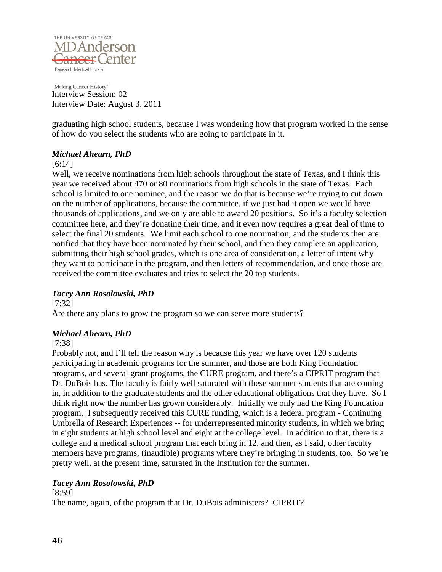

graduating high school students, because I was wondering how that program worked in the sense of how do you select the students who are going to participate in it.

### *Michael Ahearn, PhD*

### [6:14]

Well, we receive nominations from high schools throughout the state of Texas, and I think this year we received about 470 or 80 nominations from high schools in the state of Texas. Each school is limited to one nominee, and the reason we do that is because we're trying to cut down on the number of applications, because the committee, if we just had it open we would have thousands of applications, and we only are able to award 20 positions. So it's a faculty selection committee here, and they're donating their time, and it even now requires a great deal of time to select the final 20 students. We limit each school to one nomination, and the students then are notified that they have been nominated by their school, and then they complete an application, submitting their high school grades, which is one area of consideration, a letter of intent why they want to participate in the program, and then letters of recommendation, and once those are received the committee evaluates and tries to select the 20 top students.

## *Tacey Ann Rosolowski, PhD*

[7:32]

Are there any plans to grow the program so we can serve more students?

## *Michael Ahearn, PhD*

[7:38]

Probably not, and I'll tell the reason why is because this year we have over 120 students participating in academic programs for the summer, and those are both King Foundation programs, and several grant programs, the CURE program, and there's a CIPRIT program that Dr. DuBois has. The faculty is fairly well saturated with these summer students that are coming in, in addition to the graduate students and the other educational obligations that they have. So I think right now the number has grown considerably. Initially we only had the King Foundation program. I subsequently received this CURE funding, which is a federal program - Continuing Umbrella of Research Experiences -- for underrepresented minority students, in which we bring in eight students at high school level and eight at the college level. In addition to that, there is a college and a medical school program that each bring in 12, and then, as I said, other faculty members have programs, (inaudible) programs where they're bringing in students, too. So we're pretty well, at the present time, saturated in the Institution for the summer.

## *Tacey Ann Rosolowski, PhD*

[8:59] The name, again, of the program that Dr. DuBois administers? CIPRIT?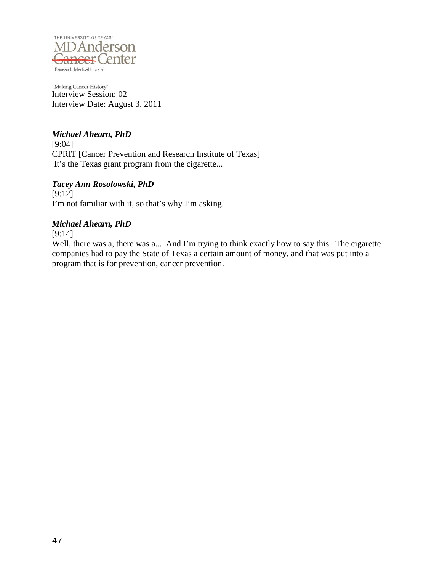

## *Michael Ahearn, PhD*

[9:04] CPRIT [Cancer Prevention and Research Institute of Texas] It's the Texas grant program from the cigarette...

### *Tacey Ann Rosolowski, PhD*

[9:12] I'm not familiar with it, so that's why I'm asking.

### *Michael Ahearn, PhD*

[9:14]

Well, there was a, there was a... And I'm trying to think exactly how to say this. The cigarette companies had to pay the State of Texas a certain amount of money, and that was put into a program that is for prevention, cancer prevention.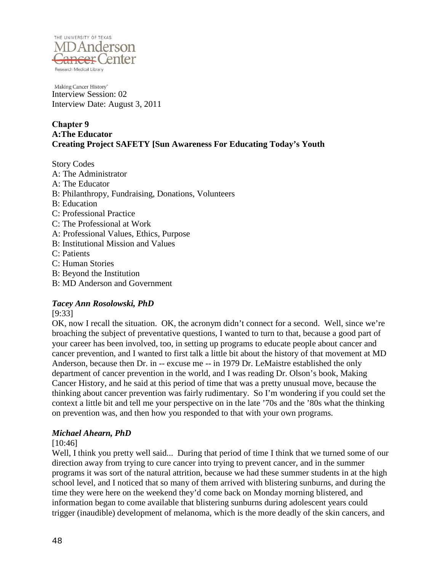

## **Chapter 9 A:The Educator Creating Project SAFETY [Sun Awareness For Educating Today's Youth**

Story Codes A: The Administrator A: The Educator B: Philanthropy, Fundraising, Donations, Volunteers B: Education C: Professional Practice C: The Professional at Work A: Professional Values, Ethics, Purpose B: Institutional Mission and Values C: Patients C: Human Stories B: Beyond the Institution

B: MD Anderson and Government

## *Tacey Ann Rosolowski, PhD*

[9:33]

OK, now I recall the situation. OK, the acronym didn't connect for a second. Well, since we're broaching the subject of preventative questions, I wanted to turn to that, because a good part of your career has been involved, too, in setting up programs to educate people about cancer and cancer prevention, and I wanted to first talk a little bit about the history of that movement at MD Anderson, because then Dr. in -- excuse me -- in 1979 Dr. LeMaistre established the only department of cancer prevention in the world, and I was reading Dr. Olson's book, Making Cancer History, and he said at this period of time that was a pretty unusual move, because the thinking about cancer prevention was fairly rudimentary. So I'm wondering if you could set the context a little bit and tell me your perspective on in the late '70s and the '80s what the thinking on prevention was, and then how you responded to that with your own programs.

## *Michael Ahearn, PhD*

[10:46]

Well, I think you pretty well said... During that period of time I think that we turned some of our direction away from trying to cure cancer into trying to prevent cancer, and in the summer programs it was sort of the natural attrition, because we had these summer students in at the high school level, and I noticed that so many of them arrived with blistering sunburns, and during the time they were here on the weekend they'd come back on Monday morning blistered, and information began to come available that blistering sunburns during adolescent years could trigger (inaudible) development of melanoma, which is the more deadly of the skin cancers, and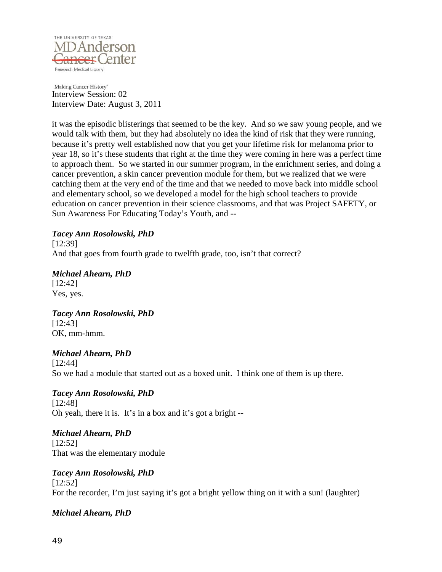

it was the episodic blisterings that seemed to be the key. And so we saw young people, and we would talk with them, but they had absolutely no idea the kind of risk that they were running, because it's pretty well established now that you get your lifetime risk for melanoma prior to year 18, so it's these students that right at the time they were coming in here was a perfect time to approach them. So we started in our summer program, in the enrichment series, and doing a cancer prevention, a skin cancer prevention module for them, but we realized that we were catching them at the very end of the time and that we needed to move back into middle school and elementary school, so we developed a model for the high school teachers to provide education on cancer prevention in their science classrooms, and that was Project SAFETY, or Sun Awareness For Educating Today's Youth, and --

*Tacey Ann Rosolowski, PhD* [12:39] And that goes from fourth grade to twelfth grade, too, isn't that correct?

*Michael Ahearn, PhD* [12:42] Yes, yes.

*Tacey Ann Rosolowski, PhD* [12:43] OK, mm-hmm.

*Michael Ahearn, PhD* [12:44] So we had a module that started out as a boxed unit. I think one of them is up there.

*Tacey Ann Rosolowski, PhD* [12:48] Oh yeah, there it is. It's in a box and it's got a bright --

*Michael Ahearn, PhD* [12:52] That was the elementary module

*Tacey Ann Rosolowski, PhD* [12:52] For the recorder, I'm just saying it's got a bright yellow thing on it with a sun! (laughter)

## *Michael Ahearn, PhD*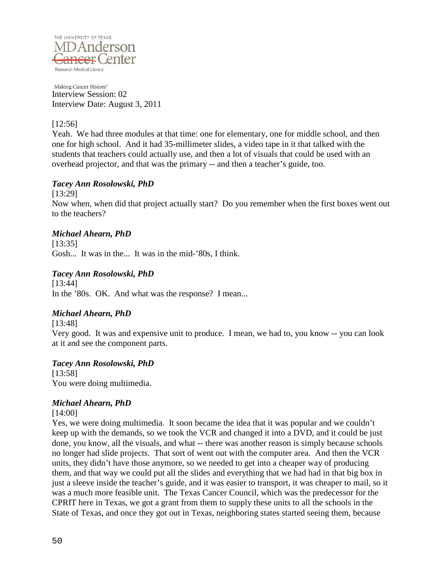

### [12:56]

Yeah. We had three modules at that time: one for elementary, one for middle school, and then one for high school. And it had 35-millimeter slides, a video tape in it that talked with the students that teachers could actually use, and then a lot of visuals that could be used with an overhead projector, and that was the primary -- and then a teacher's guide, too.

### *Tacey Ann Rosolowski, PhD*

[13:29]

Now when, when did that project actually start? Do you remember when the first boxes went out to the teachers?

### *Michael Ahearn, PhD*

[13:35] Gosh... It was in the... It was in the mid-'80s, I think.

## *Tacey Ann Rosolowski, PhD*

[13:44] In the '80s. OK. And what was the response? I mean...

## *Michael Ahearn, PhD*

[13:48] Very good. It was and expensive unit to produce. I mean, we had to, you know -- you can look at it and see the component parts.

#### *Tacey Ann Rosolowski, PhD*

[13:58] You were doing multimedia.

## *Michael Ahearn, PhD*

#### [14:00]

Yes, we were doing multimedia. It soon became the idea that it was popular and we couldn't keep up with the demands, so we took the VCR and changed it into a DVD, and it could be just done, you know, all the visuals, and what -- there was another reason is simply because schools no longer had slide projects. That sort of went out with the computer area. And then the VCR units, they didn't have those anymore, so we needed to get into a cheaper way of producing them, and that way we could put all the slides and everything that we had had in that big box in just a sleeve inside the teacher's guide, and it was easier to transport, it was cheaper to mail, so it was a much more feasible unit. The Texas Cancer Council, which was the predecessor for the CPRIT here in Texas, we got a grant from them to supply these units to all the schools in the State of Texas, and once they got out in Texas, neighboring states started seeing them, because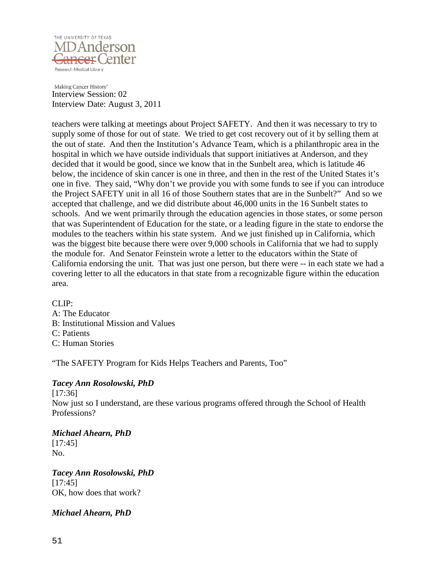

teachers were talking at meetings about Project SAFETY. And then it was necessary to try to supply some of those for out of state. We tried to get cost recovery out of it by selling them at the out of state. And then the Institution's Advance Team, which is a philanthropic area in the hospital in which we have outside individuals that support initiatives at Anderson, and they decided that it would be good, since we know that in the Sunbelt area, which is latitude 46 below, the incidence of skin cancer is one in three, and then in the rest of the United States it's one in five. They said, "Why don't we provide you with some funds to see if you can introduce the Project SAFETY unit in all 16 of those Southern states that are in the Sunbelt?" And so we accepted that challenge, and we did distribute about 46,000 units in the 16 Sunbelt states to schools. And we went primarily through the education agencies in those states, or some person that was Superintendent of Education for the state, or a leading figure in the state to endorse the modules to the teachers within his state system. And we just finished up in California, which was the biggest bite because there were over 9,000 schools in California that we had to supply the module for. And Senator Feinstein wrote a letter to the educators within the State of California endorsing the unit. That was just one person, but there were -- in each state we had a covering letter to all the educators in that state from a recognizable figure within the education area.

 $CLIP$ : A: The Educator B: Institutional Mission and Values C: Patients C: Human Stories

"The SAFETY Program for Kids Helps Teachers and Parents, Too"

## *Tacey Ann Rosolowski, PhD*

[17:36] Now just so I understand, are these various programs offered through the School of Health Professions?

## *Michael Ahearn, PhD*

[17:45] No.

*Tacey Ann Rosolowski, PhD* [17:45] OK, how does that work?

## *Michael Ahearn, PhD*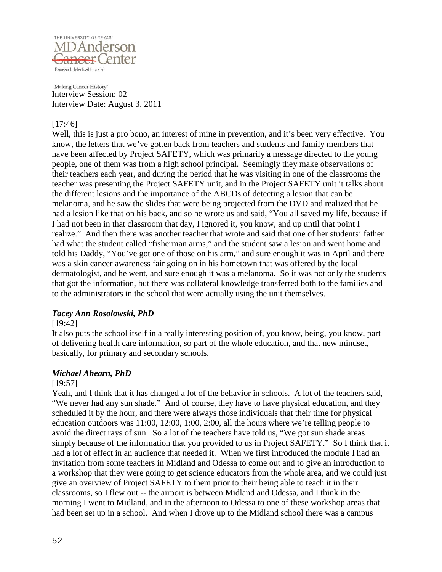

#### [17:46]

Well, this is just a pro bono, an interest of mine in prevention, and it's been very effective. You know, the letters that we've gotten back from teachers and students and family members that have been affected by Project SAFETY, which was primarily a message directed to the young people, one of them was from a high school principal. Seemingly they make observations of their teachers each year, and during the period that he was visiting in one of the classrooms the teacher was presenting the Project SAFETY unit, and in the Project SAFETY unit it talks about the different lesions and the importance of the ABCDs of detecting a lesion that can be melanoma, and he saw the slides that were being projected from the DVD and realized that he had a lesion like that on his back, and so he wrote us and said, "You all saved my life, because if I had not been in that classroom that day, I ignored it, you know, and up until that point I realize." And then there was another teacher that wrote and said that one of her students' father had what the student called "fisherman arms," and the student saw a lesion and went home and told his Daddy, "You've got one of those on his arm," and sure enough it was in April and there was a skin cancer awareness fair going on in his hometown that was offered by the local dermatologist, and he went, and sure enough it was a melanoma. So it was not only the students that got the information, but there was collateral knowledge transferred both to the families and to the administrators in the school that were actually using the unit themselves.

#### *Tacey Ann Rosolowski, PhD*

#### [19:42]

It also puts the school itself in a really interesting position of, you know, being, you know, part of delivering health care information, so part of the whole education, and that new mindset, basically, for primary and secondary schools.

## *Michael Ahearn, PhD*

#### [19:57]

Yeah, and I think that it has changed a lot of the behavior in schools. A lot of the teachers said, "We never had any sun shade." And of course, they have to have physical education, and they scheduled it by the hour, and there were always those individuals that their time for physical education outdoors was 11:00, 12:00, 1:00, 2:00, all the hours where we're telling people to avoid the direct rays of sun. So a lot of the teachers have told us, "We got sun shade areas simply because of the information that you provided to us in Project SAFETY." So I think that it had a lot of effect in an audience that needed it. When we first introduced the module I had an invitation from some teachers in Midland and Odessa to come out and to give an introduction to a workshop that they were going to get science educators from the whole area, and we could just give an overview of Project SAFETY to them prior to their being able to teach it in their classrooms, so I flew out -- the airport is between Midland and Odessa, and I think in the morning I went to Midland, and in the afternoon to Odessa to one of these workshop areas that had been set up in a school. And when I drove up to the Midland school there was a campus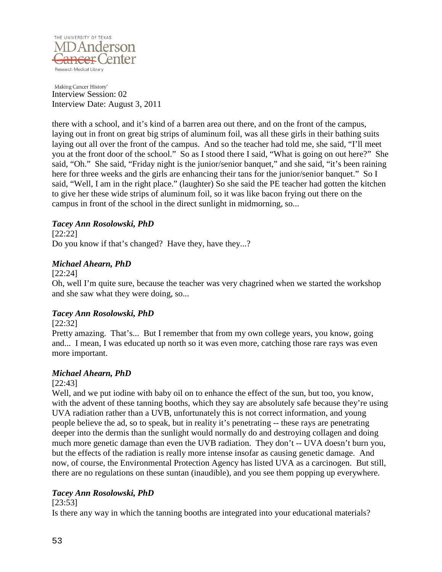

there with a school, and it's kind of a barren area out there, and on the front of the campus, laying out in front on great big strips of aluminum foil, was all these girls in their bathing suits laying out all over the front of the campus. And so the teacher had told me, she said, "I'll meet you at the front door of the school." So as I stood there I said, "What is going on out here?" She said, "Oh." She said, "Friday night is the junior/senior banquet," and she said, "it's been raining here for three weeks and the girls are enhancing their tans for the junior/senior banquet." So I said, "Well, I am in the right place." (laughter) So she said the PE teacher had gotten the kitchen to give her these wide strips of aluminum foil, so it was like bacon frying out there on the campus in front of the school in the direct sunlight in midmorning, so...

## *Tacey Ann Rosolowski, PhD*

[22:22] Do you know if that's changed? Have they, have they...?

### *Michael Ahearn, PhD*

[22:24]

Oh, well I'm quite sure, because the teacher was very chagrined when we started the workshop and she saw what they were doing, so...

## *Tacey Ann Rosolowski, PhD*

### [22:32]

Pretty amazing. That's... But I remember that from my own college years, you know, going and... I mean, I was educated up north so it was even more, catching those rare rays was even more important.

## *Michael Ahearn, PhD*

#### [22:43]

Well, and we put iodine with baby oil on to enhance the effect of the sun, but too, you know, with the advent of these tanning booths, which they say are absolutely safe because they're using UVA radiation rather than a UVB, unfortunately this is not correct information, and young people believe the ad, so to speak, but in reality it's penetrating -- these rays are penetrating deeper into the dermis than the sunlight would normally do and destroying collagen and doing much more genetic damage than even the UVB radiation. They don't -- UVA doesn't burn you, but the effects of the radiation is really more intense insofar as causing genetic damage. And now, of course, the Environmental Protection Agency has listed UVA as a carcinogen. But still, there are no regulations on these suntan (inaudible), and you see them popping up everywhere.

## *Tacey Ann Rosolowski, PhD*

#### [23:53]

Is there any way in which the tanning booths are integrated into your educational materials?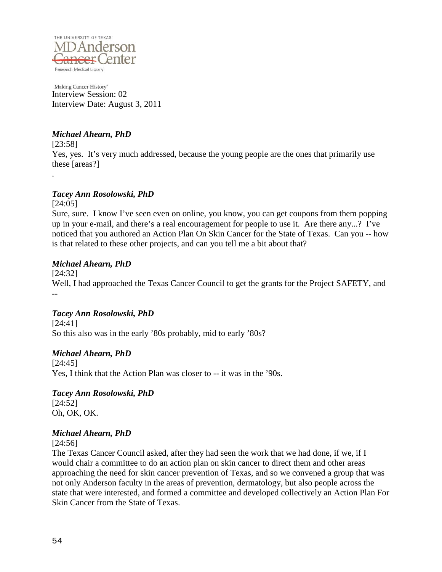

## *Michael Ahearn, PhD*

[23:58] Yes, yes. It's very much addressed, because the young people are the ones that primarily use these [areas?] .

## *Tacey Ann Rosolowski, PhD*

[24:05] Sure, sure. I know I've seen even on online, you know, you can get coupons from them popping up in your e-mail, and there's a real encouragement for people to use it. Are there any...? I've noticed that you authored an Action Plan On Skin Cancer for the State of Texas. Can you -- how is that related to these other projects, and can you tell me a bit about that?

## *Michael Ahearn, PhD*

[24:32] Well, I had approached the Texas Cancer Council to get the grants for the Project SAFETY, and --

## *Tacey Ann Rosolowski, PhD*

[24:41] So this also was in the early '80s probably, mid to early '80s?

## *Michael Ahearn, PhD*

[24:45] Yes, I think that the Action Plan was closer to -- it was in the '90s.

*Tacey Ann Rosolowski, PhD* [24:52] Oh, OK, OK.

## *Michael Ahearn, PhD*

[24:56]

The Texas Cancer Council asked, after they had seen the work that we had done, if we, if I would chair a committee to do an action plan on skin cancer to direct them and other areas approaching the need for skin cancer prevention of Texas, and so we convened a group that was not only Anderson faculty in the areas of prevention, dermatology, but also people across the state that were interested, and formed a committee and developed collectively an Action Plan For Skin Cancer from the State of Texas.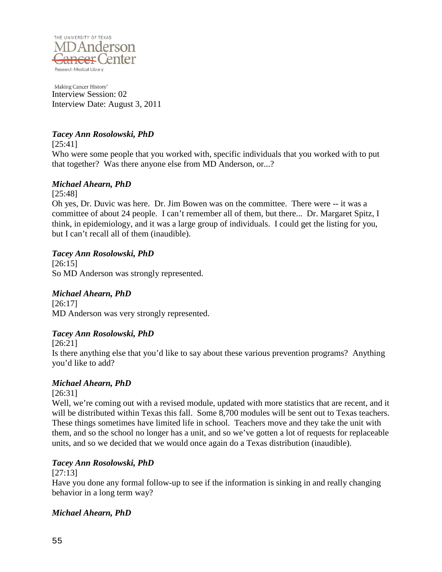

## *Tacey Ann Rosolowski, PhD*

[25:41]

Who were some people that you worked with, specific individuals that you worked with to put that together? Was there anyone else from MD Anderson, or...?

## *Michael Ahearn, PhD*

[25:48]

Oh yes, Dr. Duvic was here. Dr. Jim Bowen was on the committee. There were -- it was a committee of about 24 people. I can't remember all of them, but there... Dr. Margaret Spitz, I think, in epidemiology, and it was a large group of individuals. I could get the listing for you, but I can't recall all of them (inaudible).

## *Tacey Ann Rosolowski, PhD*

[26:15] So MD Anderson was strongly represented.

## *Michael Ahearn, PhD*

[26:17] MD Anderson was very strongly represented.

## *Tacey Ann Rosolowski, PhD*

[26:21]

Is there anything else that you'd like to say about these various prevention programs? Anything you'd like to add?

## *Michael Ahearn, PhD*

[26:31]

Well, we're coming out with a revised module, updated with more statistics that are recent, and it will be distributed within Texas this fall. Some 8,700 modules will be sent out to Texas teachers. These things sometimes have limited life in school. Teachers move and they take the unit with them, and so the school no longer has a unit, and so we've gotten a lot of requests for replaceable units, and so we decided that we would once again do a Texas distribution (inaudible).

## *Tacey Ann Rosolowski, PhD*

[27:13]

Have you done any formal follow-up to see if the information is sinking in and really changing behavior in a long term way?

## *Michael Ahearn, PhD*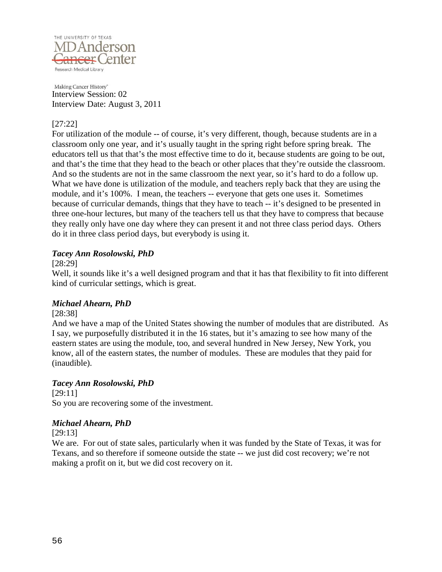

### [27:22]

For utilization of the module -- of course, it's very different, though, because students are in a classroom only one year, and it's usually taught in the spring right before spring break. The educators tell us that that's the most effective time to do it, because students are going to be out, and that's the time that they head to the beach or other places that they're outside the classroom. And so the students are not in the same classroom the next year, so it's hard to do a follow up. What we have done is utilization of the module, and teachers reply back that they are using the module, and it's 100%. I mean, the teachers -- everyone that gets one uses it. Sometimes because of curricular demands, things that they have to teach -- it's designed to be presented in three one-hour lectures, but many of the teachers tell us that they have to compress that because they really only have one day where they can present it and not three class period days. Others do it in three class period days, but everybody is using it.

### *Tacey Ann Rosolowski, PhD*

[28:29]

Well, it sounds like it's a well designed program and that it has that flexibility to fit into different kind of curricular settings, which is great.

## *Michael Ahearn, PhD*

#### [28:38]

And we have a map of the United States showing the number of modules that are distributed. As I say, we purposefully distributed it in the 16 states, but it's amazing to see how many of the eastern states are using the module, too, and several hundred in New Jersey, New York, you know, all of the eastern states, the number of modules. These are modules that they paid for (inaudible).

#### *Tacey Ann Rosolowski, PhD*

[29:11] So you are recovering some of the investment.

#### *Michael Ahearn, PhD*

[29:13]

We are. For out of state sales, particularly when it was funded by the State of Texas, it was for Texans, and so therefore if someone outside the state -- we just did cost recovery; we're not making a profit on it, but we did cost recovery on it.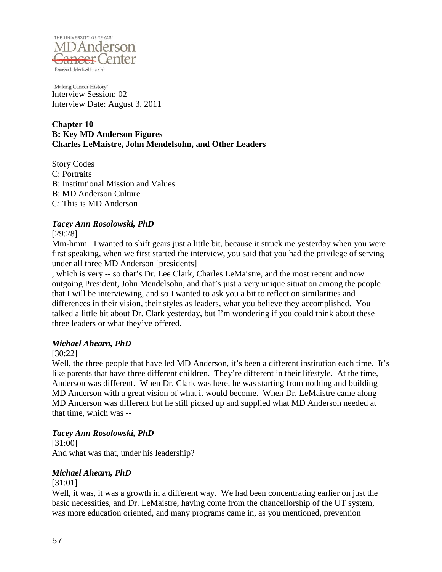

#### **Chapter 10 B: Key MD Anderson Figures Charles LeMaistre, John Mendelsohn, and Other Leaders**

Story Codes C: Portraits B: Institutional Mission and Values B: MD Anderson Culture C: This is MD Anderson

## *Tacey Ann Rosolowski, PhD*

[29:28]

Mm-hmm. I wanted to shift gears just a little bit, because it struck me yesterday when you were first speaking, when we first started the interview, you said that you had the privilege of serving under all three MD Anderson [presidents]

, which is very -- so that's Dr. Lee Clark, Charles LeMaistre, and the most recent and now outgoing President, John Mendelsohn, and that's just a very unique situation among the people that I will be interviewing, and so I wanted to ask you a bit to reflect on similarities and differences in their vision, their styles as leaders, what you believe they accomplished. You talked a little bit about Dr. Clark yesterday, but I'm wondering if you could think about these three leaders or what they've offered.

## *Michael Ahearn, PhD*

## [30:22]

Well, the three people that have led MD Anderson, it's been a different institution each time. It's like parents that have three different children. They're different in their lifestyle. At the time, Anderson was different. When Dr. Clark was here, he was starting from nothing and building MD Anderson with a great vision of what it would become. When Dr. LeMaistre came along MD Anderson was different but he still picked up and supplied what MD Anderson needed at that time, which was --

## *Tacey Ann Rosolowski, PhD*

[31:00] And what was that, under his leadership?

## *Michael Ahearn, PhD*

#### [31:01]

Well, it was, it was a growth in a different way. We had been concentrating earlier on just the basic necessities, and Dr. LeMaistre, having come from the chancellorship of the UT system, was more education oriented, and many programs came in, as you mentioned, prevention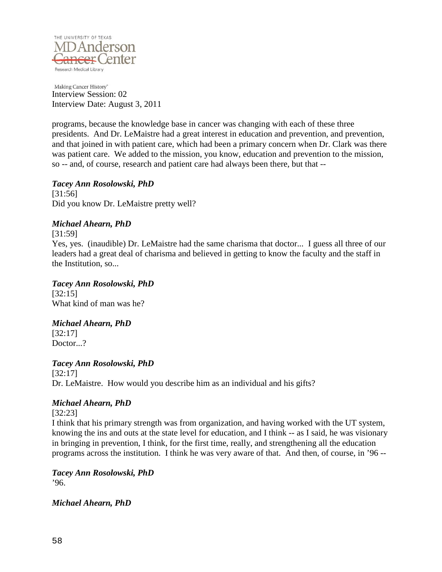

programs, because the knowledge base in cancer was changing with each of these three presidents. And Dr. LeMaistre had a great interest in education and prevention, and prevention, and that joined in with patient care, which had been a primary concern when Dr. Clark was there was patient care. We added to the mission, you know, education and prevention to the mission, so -- and, of course, research and patient care had always been there, but that --

*Tacey Ann Rosolowski, PhD* [31:56] Did you know Dr. LeMaistre pretty well?

## *Michael Ahearn, PhD*

[31:59]

Yes, yes. (inaudible) Dr. LeMaistre had the same charisma that doctor... I guess all three of our leaders had a great deal of charisma and believed in getting to know the faculty and the staff in the Institution, so...

## *Tacey Ann Rosolowski, PhD*

[32:15] What kind of man was he?

## *Michael Ahearn, PhD*

[32:17] Doctor...?

*Tacey Ann Rosolowski, PhD* [32:17]

Dr. LeMaistre. How would you describe him as an individual and his gifts?

## *Michael Ahearn, PhD*

[32:23]

I think that his primary strength was from organization, and having worked with the UT system, knowing the ins and outs at the state level for education, and I think -- as I said, he was visionary in bringing in prevention, I think, for the first time, really, and strengthening all the education programs across the institution. I think he was very aware of that. And then, of course, in '96 --

*Tacey Ann Rosolowski, PhD* '96.

*Michael Ahearn, PhD*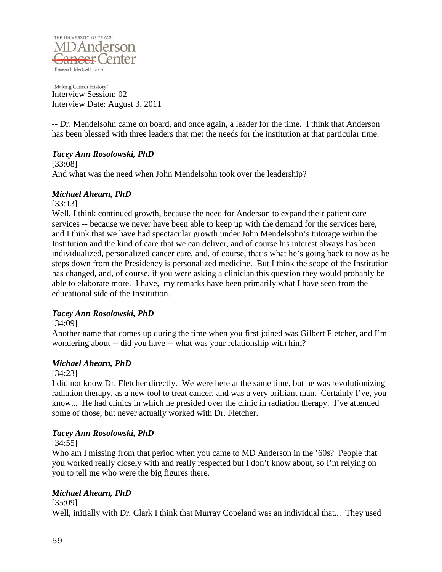

-- Dr. Mendelsohn came on board, and once again, a leader for the time. I think that Anderson has been blessed with three leaders that met the needs for the institution at that particular time.

## *Tacey Ann Rosolowski, PhD*

[33:08] And what was the need when John Mendelsohn took over the leadership?

### *Michael Ahearn, PhD*

[33:13]

Well, I think continued growth, because the need for Anderson to expand their patient care services -- because we never have been able to keep up with the demand for the services here, and I think that we have had spectacular growth under John Mendelsohn's tutorage within the Institution and the kind of care that we can deliver, and of course his interest always has been individualized, personalized cancer care, and, of course, that's what he's going back to now as he steps down from the Presidency is personalized medicine. But I think the scope of the Institution has changed, and, of course, if you were asking a clinician this question they would probably be able to elaborate more. I have, my remarks have been primarily what I have seen from the educational side of the Institution.

## *Tacey Ann Rosolowski, PhD*

[34:09]

Another name that comes up during the time when you first joined was Gilbert Fletcher, and I'm wondering about -- did you have -- what was your relationship with him?

## *Michael Ahearn, PhD*

[34:23]

I did not know Dr. Fletcher directly. We were here at the same time, but he was revolutionizing radiation therapy, as a new tool to treat cancer, and was a very brilliant man. Certainly I've, you know... He had clinics in which he presided over the clinic in radiation therapy. I've attended some of those, but never actually worked with Dr. Fletcher.

## *Tacey Ann Rosolowski, PhD*

[34:55]

Who am I missing from that period when you came to MD Anderson in the '60s? People that you worked really closely with and really respected but I don't know about, so I'm relying on you to tell me who were the big figures there.

## *Michael Ahearn, PhD*

[35:09]

Well, initially with Dr. Clark I think that Murray Copeland was an individual that... They used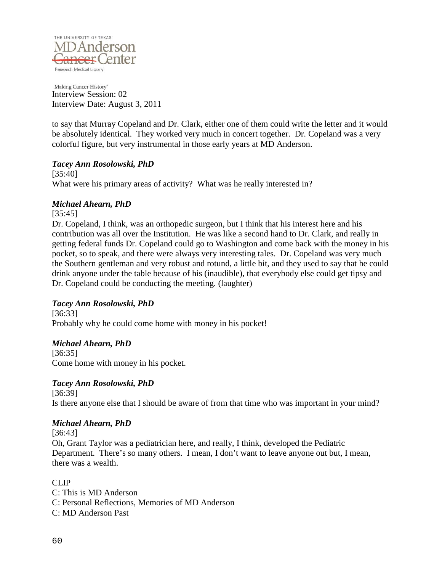

to say that Murray Copeland and Dr. Clark, either one of them could write the letter and it would be absolutely identical. They worked very much in concert together. Dr. Copeland was a very colorful figure, but very instrumental in those early years at MD Anderson.

## *Tacey Ann Rosolowski, PhD*

[35:40] What were his primary areas of activity? What was he really interested in?

### *Michael Ahearn, PhD*

[35:45]

Dr. Copeland, I think, was an orthopedic surgeon, but I think that his interest here and his contribution was all over the Institution. He was like a second hand to Dr. Clark, and really in getting federal funds Dr. Copeland could go to Washington and come back with the money in his pocket, so to speak, and there were always very interesting tales. Dr. Copeland was very much the Southern gentleman and very robust and rotund, a little bit, and they used to say that he could drink anyone under the table because of his (inaudible), that everybody else could get tipsy and Dr. Copeland could be conducting the meeting. (laughter)

## *Tacey Ann Rosolowski, PhD*

[36:33] Probably why he could come home with money in his pocket!

## *Michael Ahearn, PhD*

[36:35] Come home with money in his pocket.

## *Tacey Ann Rosolowski, PhD*

[36:39] Is there anyone else that I should be aware of from that time who was important in your mind?

## *Michael Ahearn, PhD*

[36:43]

Oh, Grant Taylor was a pediatrician here, and really, I think, developed the Pediatric Department. There's so many others. I mean, I don't want to leave anyone out but, I mean, there was a wealth.

CLIP<sub></sub>

C: This is MD Anderson C: Personal Reflections, Memories of MD Anderson C: MD Anderson Past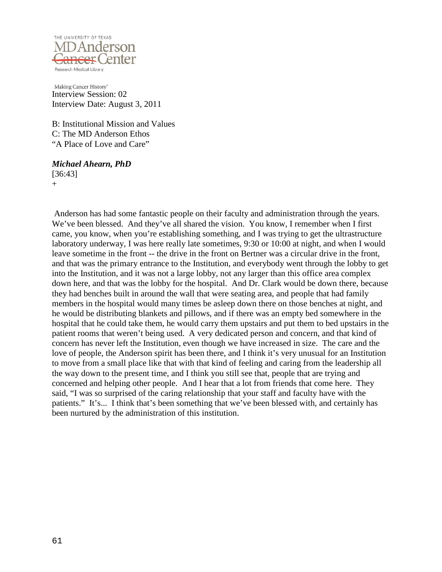

B: Institutional Mission and Values C: The MD Anderson Ethos "A Place of Love and Care"

#### *Michael Ahearn, PhD* [36:43]

 $+$ 

Anderson has had some fantastic people on their faculty and administration through the years. We've been blessed. And they've all shared the vision. You know, I remember when I first came, you know, when you're establishing something, and I was trying to get the ultrastructure laboratory underway, I was here really late sometimes, 9:30 or 10:00 at night, and when I would leave sometime in the front -- the drive in the front on Bertner was a circular drive in the front, and that was the primary entrance to the Institution, and everybody went through the lobby to get into the Institution, and it was not a large lobby, not any larger than this office area complex down here, and that was the lobby for the hospital. And Dr. Clark would be down there, because they had benches built in around the wall that were seating area, and people that had family members in the hospital would many times be asleep down there on those benches at night, and he would be distributing blankets and pillows, and if there was an empty bed somewhere in the hospital that he could take them, he would carry them upstairs and put them to bed upstairs in the patient rooms that weren't being used. A very dedicated person and concern, and that kind of concern has never left the Institution, even though we have increased in size. The care and the love of people, the Anderson spirit has been there, and I think it's very unusual for an Institution to move from a small place like that with that kind of feeling and caring from the leadership all the way down to the present time, and I think you still see that, people that are trying and concerned and helping other people. And I hear that a lot from friends that come here. They said, "I was so surprised of the caring relationship that your staff and faculty have with the patients." It's... I think that's been something that we've been blessed with, and certainly has been nurtured by the administration of this institution.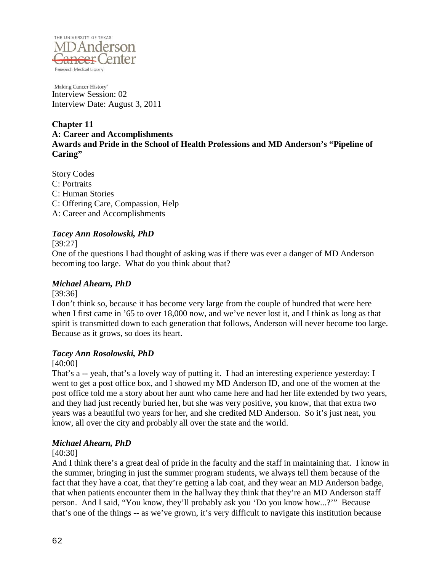

### **Chapter 11 A: Career and Accomplishments Awards and Pride in the School of Health Professions and MD Anderson's "Pipeline of** Caring"

Story Codes C: Portraits C: Human Stories C: Offering Care, Compassion, Help A: Career and Accomplishments

### *Tacey Ann Rosolowski, PhD*

[39:27]

One of the questions I had thought of asking was if there was ever a danger of MD Anderson becoming too large. What do you think about that?

## *Michael Ahearn, PhD*

[39:36]

I don't think so, because it has become very large from the couple of hundred that were here when I first came in '65 to over 18,000 now, and we've never lost it, and I think as long as that spirit is transmitted down to each generation that follows, Anderson will never become too large. Because as it grows, so does its heart.

## *Tacey Ann Rosolowski, PhD*

[40:00]

That's a -- yeah, that's a lovely way of putting it. I had an interesting experience yesterday: I went to get a post office box, and I showed my MD Anderson ID, and one of the women at the post office told me a story about her aunt who came here and had her life extended by two years, and they had just recently buried her, but she was very positive, you know, that that extra two years was a beautiful two years for her, and she credited MD Anderson. So it's just neat, you know, all over the city and probably all over the state and the world.

## *Michael Ahearn, PhD*

#### [40:30]

And I think there's a great deal of pride in the faculty and the staff in maintaining that. I know in the summer, bringing in just the summer program students, we always tell them because of the fact that they have a coat, that they're getting a lab coat, and they wear an MD Anderson badge, that when patients encounter them in the hallway they think that they're an MD Anderson staff person. And I said, "You know, they'll probably ask you 'Do you know how...?'" Because that's one of the things -- as we've grown, it's very difficult to navigate this institution because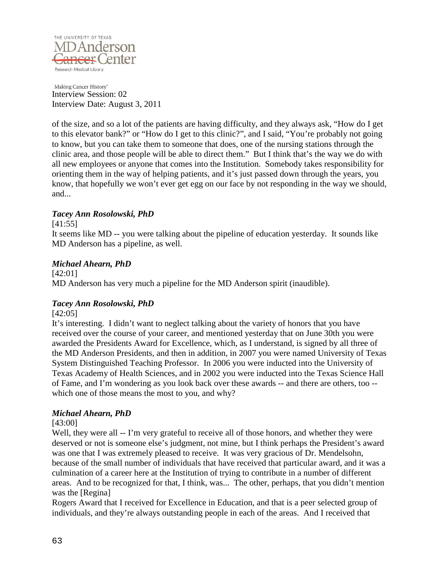

of the size, and so a lot of the patients are having difficulty, and they always ask, "How do I get to this elevator bank?" or "How do I get to this clinic?", and I said, "You're probably not going to know, but you can take them to someone that does, one of the nursing stations through the clinic area, and those people will be able to direct them." But I think that's the way we do with all new employees or anyone that comes into the Institution. Somebody takes responsibility for orienting them in the way of helping patients, and it's just passed down through the years, you know, that hopefully we won't ever get egg on our face by not responding in the way we should, and...

## *Tacey Ann Rosolowski, PhD*

[41:55]

It seems like MD -- you were talking about the pipeline of education yesterday. It sounds like MD Anderson has a pipeline, as well.

### *Michael Ahearn, PhD*

[42:01] MD Anderson has very much a pipeline for the MD Anderson spirit (inaudible).

## *Tacey Ann Rosolowski, PhD*

[42:05]

It's interesting. I didn't want to neglect talking about the variety of honors that you have received over the course of your career, and mentioned yesterday that on June 30th you were awarded the Presidents Award for Excellence, which, as I understand, is signed by all three of the MD Anderson Presidents, and then in addition, in 2007 you were named University of Texas System Distinguished Teaching Professor. In 2006 you were inducted into the University of Texas Academy of Health Sciences, and in 2002 you were inducted into the Texas Science Hall of Fame, and I'm wondering as you look back over these awards -- and there are others, too - which one of those means the most to you, and why?

## *Michael Ahearn, PhD*

[43:00]

Well, they were all -- I'm very grateful to receive all of those honors, and whether they were deserved or not is someone else's judgment, not mine, but I think perhaps the President's award was one that I was extremely pleased to receive. It was very gracious of Dr. Mendelsohn, because of the small number of individuals that have received that particular award, and it was a culmination of a career here at the Institution of trying to contribute in a number of different areas. And to be recognized for that, I think, was... The other, perhaps, that you didn't mention was the [Regina]

Rogers Award that I received for Excellence in Education, and that is a peer selected group of individuals, and they're always outstanding people in each of the areas. And I received that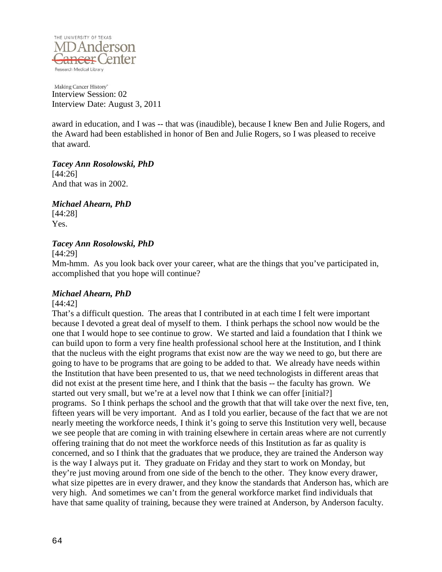

award in education, and I was -- that was (inaudible), because I knew Ben and Julie Rogers, and the Award had been established in honor of Ben and Julie Rogers, so I was pleased to receive that award.

*Tacey Ann Rosolowski, PhD* [44:26] And that was in 2002.

*Michael Ahearn, PhD*

[44:28] Yes.

## *Tacey Ann Rosolowski, PhD*

[44:29]

Mm-hmm. As you look back over your career, what are the things that you've participated in, accomplished that you hope will continue?

## *Michael Ahearn, PhD*

#### [44:42]

That's a difficult question. The areas that I contributed in at each time I felt were important because I devoted a great deal of myself to them. I think perhaps the school now would be the one that I would hope to see continue to grow. We started and laid a foundation that I think we can build upon to form a very fine health professional school here at the Institution, and I think that the nucleus with the eight programs that exist now are the way we need to go, but there are going to have to be programs that are going to be added to that. We already have needs within the Institution that have been presented to us, that we need technologists in different areas that did not exist at the present time here, and I think that the basis -- the faculty has grown. We started out very small, but we're at a level now that I think we can offer [initial?] programs. So I think perhaps the school and the growth that that will take over the next five, ten, fifteen years will be very important. And as I told you earlier, because of the fact that we are not nearly meeting the workforce needs, I think it's going to serve this Institution very well, because we see people that are coming in with training elsewhere in certain areas where are not currently offering training that do not meet the workforce needs of this Institution as far as quality is concerned, and so I think that the graduates that we produce, they are trained the Anderson way is the way I always put it. They graduate on Friday and they start to work on Monday, but they're just moving around from one side of the bench to the other. They know every drawer, what size pipettes are in every drawer, and they know the standards that Anderson has, which are very high. And sometimes we can't from the general workforce market find individuals that have that same quality of training, because they were trained at Anderson, by Anderson faculty.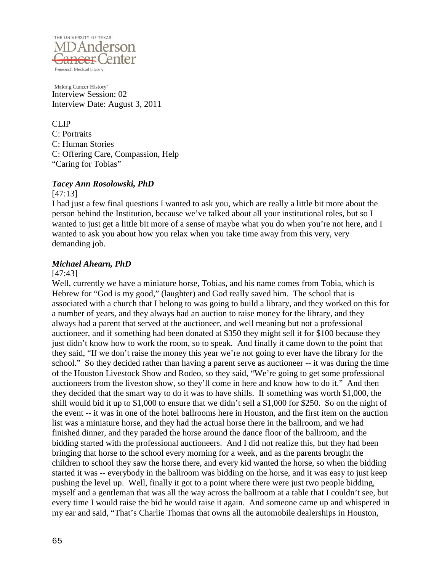

CLIP C: Portraits C: Human Stories C: Offering Care, Compassion, Help "Caring for Tobias"

#### *Tacey Ann Rosolowski, PhD*

#### [47:13]

I had just a few final questions I wanted to ask you, which are really a little bit more about the person behind the Institution, because we've talked about all your institutional roles, but so I wanted to just get a little bit more of a sense of maybe what you do when you're not here, and I wanted to ask you about how you relax when you take time away from this very, very demanding job.

## *Michael Ahearn, PhD*

### [47:43]

Well, currently we have a miniature horse, Tobias, and his name comes from Tobia, which is Hebrew for "God is my good," (laughter) and God really saved him. The school that is associated with a church that I belong to was going to build a library, and they worked on this for a number of years, and they always had an auction to raise money for the library, and they always had a parent that served at the auctioneer, and well meaning but not a professional auctioneer, and if something had been donated at \$350 they might sell it for \$100 because they just didn't know how to work the room, so to speak. And finally it came down to the point that they said, "If we don't raise the money this year we're not going to ever have the library for the school." So they decided rather than having a parent serve as auctioneer -- it was during the time of the Houston Livestock Show and Rodeo, so they said, "We're going to get some professional auctioneers from the liveston show, so they'll come in here and know how to do it." And then they decided that the smart way to do it was to have shills. If something was worth \$1,000, the shill would bid it up to \$1,000 to ensure that we didn't sell a \$1,000 for \$250. So on the night of the event -- it was in one of the hotel ballrooms here in Houston, and the first item on the auction list was a miniature horse, and they had the actual horse there in the ballroom, and we had finished dinner, and they paraded the horse around the dance floor of the ballroom, and the bidding started with the professional auctioneers. And I did not realize this, but they had been bringing that horse to the school every morning for a week, and as the parents brought the children to school they saw the horse there, and every kid wanted the horse, so when the bidding started it was -- everybody in the ballroom was bidding on the horse, and it was easy to just keep pushing the level up. Well, finally it got to a point where there were just two people bidding, myself and a gentleman that was all the way across the ballroom at a table that I couldn't see, but every time I would raise the bid he would raise it again. And someone came up and whispered in my ear and said, "That's Charlie Thomas that owns all the automobile dealerships in Houston,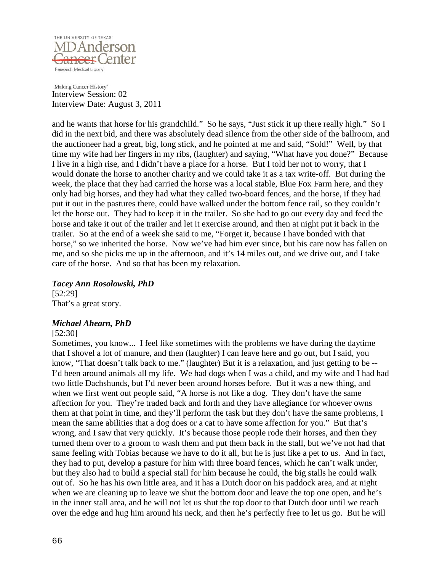

and he wants that horse for his grandchild." So he says, "Just stick it up there really high." So I did in the next bid, and there was absolutely dead silence from the other side of the ballroom, and the auctioneer had a great, big, long stick, and he pointed at me and said, "Sold!" Well, by that time my wife had her fingers in my ribs, (laughter) and saying, "What have you done?" Because I live in a high rise, and I didn't have a place for a horse. But I told her not to worry, that I would donate the horse to another charity and we could take it as a tax write-off. But during the week, the place that they had carried the horse was a local stable, Blue Fox Farm here, and they only had big horses, and they had what they called two-board fences, and the horse, if they had put it out in the pastures there, could have walked under the bottom fence rail, so they couldn't let the horse out. They had to keep it in the trailer. So she had to go out every day and feed the horse and take it out of the trailer and let it exercise around, and then at night put it back in the trailer. So at the end of a week she said to me, "Forget it, because I have bonded with that horse," so we inherited the horse. Now we've had him ever since, but his care now has fallen on me, and so she picks me up in the afternoon, and it's 14 miles out, and we drive out, and I take care of the horse. And so that has been my relaxation.

#### *Tacey Ann Rosolowski, PhD* [52:29] That's a great story.

## *Michael Ahearn, PhD*

#### [52:30]

Sometimes, you know... I feel like sometimes with the problems we have during the daytime that I shovel a lot of manure, and then (laughter) I can leave here and go out, but I said, you know, "That doesn't talk back to me." (laughter) But it is a relaxation, and just getting to be -- I'd been around animals all my life. We had dogs when I was a child, and my wife and I had had two little Dachshunds, but I'd never been around horses before. But it was a new thing, and when we first went out people said, "A horse is not like a dog. They don't have the same affection for you. They're traded back and forth and they have allegiance for whoever owns them at that point in time, and they'll perform the task but they don't have the same problems, I mean the same abilities that a dog does or a cat to have some affection for you." But that's wrong, and I saw that very quickly. It's because those people rode their horses, and then they turned them over to a groom to wash them and put them back in the stall, but we've not had that same feeling with Tobias because we have to do it all, but he is just like a pet to us. And in fact, they had to put, develop a pasture for him with three board fences, which he can't walk under, but they also had to build a special stall for him because he could, the big stalls he could walk out of. So he has his own little area, and it has a Dutch door on his paddock area, and at night when we are cleaning up to leave we shut the bottom door and leave the top one open, and he's in the inner stall area, and he will not let us shut the top door to that Dutch door until we reach over the edge and hug him around his neck, and then he's perfectly free to let us go. But he will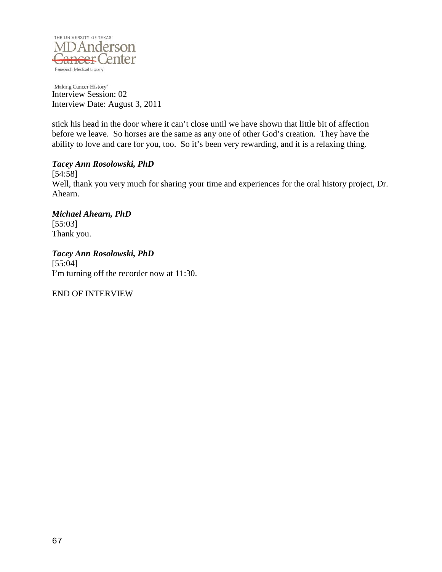

stick his head in the door where it can't close until we have shown that little bit of affection before we leave. So horses are the same as any one of other God's creation. They have the ability to love and care for you, too. So it's been very rewarding, and it is a relaxing thing.

## *Tacey Ann Rosolowski, PhD*

[54:58] Well, thank you very much for sharing your time and experiences for the oral history project, Dr. Ahearn.

*Michael Ahearn, PhD* [55:03] Thank you.

*Tacey Ann Rosolowski, PhD* [55:04] I'm turning off the recorder now at 11:30.

END OF INTERVIEW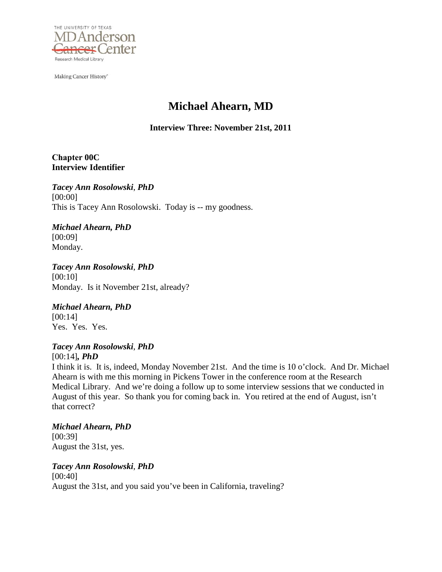

Making Cancer History<sup>®</sup>

# **Michael Ahearn, MD**

**Interview Three: November 21st, 2011** 

**Chapter 00C Interview Identifier**

*Tacey Ann Rosolowski*, *PhD* [00:00] This is Tacey Ann Rosolowski. Today is -- my goodness.

*Michael Ahearn, PhD* [00:09] Monday.

*Tacey Ann Rosolowski*, *PhD* [00:10] Monday. Is it November 21st, already?

*Michael Ahearn, PhD* [00:14] Yes. Yes. Yes.

*Tacey Ann Rosolowski*, *PhD* [00:14]*, PhD*

I think it is. It is, indeed, Monday November 21st. And the time is 10 o'clock. And Dr. Michael Ahearn is with me this morning in Pickens Tower in the conference room at the Research Medical Library. And we're doing a follow up to some interview sessions that we conducted in August of this year. So thank you for coming back in. You retired at the end of August, isn't that correct?

*Michael Ahearn, PhD* [00:39] August the 31st, yes.

*Tacey Ann Rosolowski*, *PhD* [00:40] August the 31st, and you said you've been in California, traveling?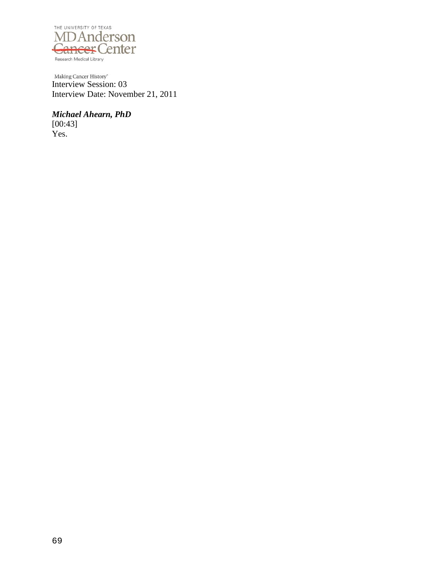

Making Cancer History<sup>®</sup><br>Interview Session: 03 Interview Date: November 21, 2011

*Michael Ahearn, PhD* [00:43] Yes.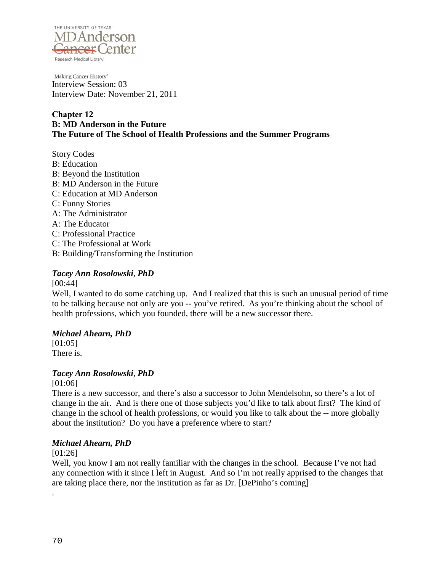

Making Cancer History<sup>®</sup> Interview Session: 03 Interview Date: November 21, 2011

## **Chapter 12 B: MD Anderson in the Future The Future of The School of Health Professions and the Summer Programs**

Story Codes B: Education B: Beyond the Institution B: MD Anderson in the Future C: Education at MD Anderson C: Funny Stories A: The Administrator A: The Educator C: Professional Practice C: The Professional at Work B: Building/Transforming the Institution

## *Tacey Ann Rosolowski*, *PhD*

[00:44]

Well, I wanted to do some catching up. And I realized that this is such an unusual period of time to be talking because not only are you -- you've retired. As you're thinking about the school of health professions, which you founded, there will be a new successor there.

## *Michael Ahearn, PhD*

[01:05] There is.

## *Tacey Ann Rosolowski*, *PhD*

[01:06]

There is a new successor, and there's also a successor to John Mendelsohn, so there's a lot of change in the air. And is there one of those subjects you'd like to talk about first? The kind of change in the school of health professions, or would you like to talk about the -- more globally about the institution? Do you have a preference where to start?

## *Michael Ahearn, PhD*

[01:26]

Well, you know I am not really familiar with the changes in the school. Because I've not had any connection with it since I left in August. And so I'm not really apprised to the changes that are taking place there, nor the institution as far as Dr. [DePinho's coming]

.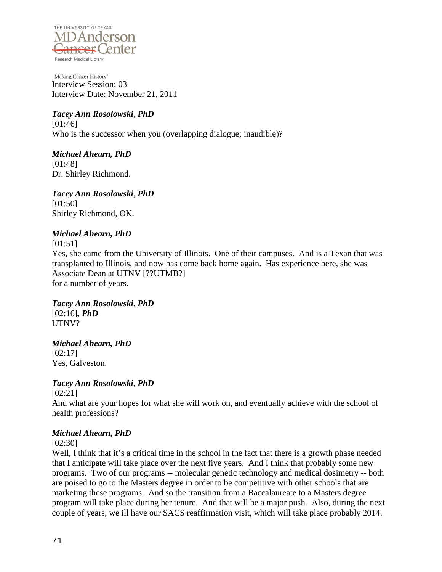

Making Cancer History<sup>®</sup> Interview Session: 03 Interview Date: November 21, 2011

## *Tacey Ann Rosolowski*, *PhD*

[01:46] Who is the successor when you (overlapping dialogue; inaudible)?

*Michael Ahearn, PhD* [01:48] Dr. Shirley Richmond.

*Tacey Ann Rosolowski*, *PhD* [01:50] Shirley Richmond, OK.

## *Michael Ahearn, PhD*

[01:51]

Yes, she came from the University of Illinois. One of their campuses. And is a Texan that was transplanted to Illinois, and now has come back home again. Has experience here, she was Associate Dean at UTNV [??UTMB?] for a number of years.

*Tacey Ann Rosolowski*, *PhD* [02:16]*, PhD* UTNV?

*Michael Ahearn, PhD* [02:17]

Yes, Galveston.

## *Tacey Ann Rosolowski*, *PhD*

[02:21]

And what are your hopes for what she will work on, and eventually achieve with the school of health professions?

## *Michael Ahearn, PhD*

[02:30]

Well, I think that it's a critical time in the school in the fact that there is a growth phase needed that I anticipate will take place over the next five years. And I think that probably some new programs. Two of our programs -- molecular genetic technology and medical dosimetry -- both are poised to go to the Masters degree in order to be competitive with other schools that are marketing these programs. And so the transition from a Baccalaureate to a Masters degree program will take place during her tenure. And that will be a major push. Also, during the next couple of years, we ill have our SACS reaffirmation visit, which will take place probably 2014.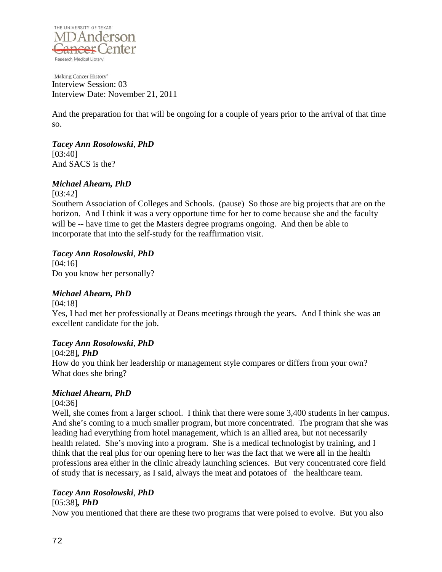

Making Cancer History<sup>®</sup> Interview Session: 03 Interview Date: November 21, 2011

And the preparation for that will be ongoing for a couple of years prior to the arrival of that time so.

*Tacey Ann Rosolowski*, *PhD* [03:40] And SACS is the?

## *Michael Ahearn, PhD*

[03:42]

Southern Association of Colleges and Schools. (pause) So those are big projects that are on the horizon. And I think it was a very opportune time for her to come because she and the faculty will be -- have time to get the Masters degree programs ongoing. And then be able to incorporate that into the self-study for the reaffirmation visit.

## *Tacey Ann Rosolowski*, *PhD*

[04:16] Do you know her personally?

## *Michael Ahearn, PhD*

[04:18]

Yes, I had met her professionally at Deans meetings through the years. And I think she was an excellent candidate for the job.

## *Tacey Ann Rosolowski*, *PhD*

## [04:28]*, PhD*

How do you think her leadership or management style compares or differs from your own? What does she bring?

## *Michael Ahearn, PhD*

## [04:36]

Well, she comes from a larger school. I think that there were some 3,400 students in her campus. And she's coming to a much smaller program, but more concentrated. The program that she was leading had everything from hotel management, which is an allied area, but not necessarily health related. She's moving into a program. She is a medical technologist by training, and I think that the real plus for our opening here to her was the fact that we were all in the health professions area either in the clinic already launching sciences. But very concentrated core field of study that is necessary, as I said, always the meat and potatoes of the healthcare team.

## *Tacey Ann Rosolowski*, *PhD*

## [05:38]*, PhD*

Now you mentioned that there are these two programs that were poised to evolve. But you also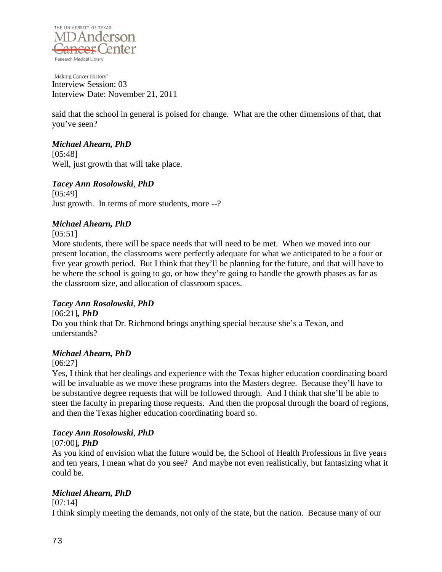

said that the school in general is poised for change. What are the other dimensions of that, that you've seen?

# *Michael Ahearn, PhD*

[05:48] Well, just growth that will take place.

## *Tacey Ann Rosolowski*, *PhD*

[05:49] Just growth. In terms of more students, more --?

# *Michael Ahearn, PhD*

[05:51]

More students, there will be space needs that will need to be met. When we moved into our present location, the classrooms were perfectly adequate for what we anticipated to be a four or five year growth period. But I think that they'll be planning for the future, and that will have to be where the school is going to go, or how they're going to handle the growth phases as far as the classroom size, and allocation of classroom spaces.

## *Tacey Ann Rosolowski*, *PhD*

[06:21]*, PhD* Do you think that Dr. Richmond brings anything special because she's a Texan, and understands?

# *Michael Ahearn, PhD*

[06:27]

Yes, I think that her dealings and experience with the Texas higher education coordinating board will be invaluable as we move these programs into the Masters degree. Because they'll have to be substantive degree requests that will be followed through. And I think that she'll be able to steer the faculty in preparing those requests. And then the proposal through the board of regions, and then the Texas higher education coordinating board so.

# *Tacey Ann Rosolowski*, *PhD*

## [07:00]*, PhD*

As you kind of envision what the future would be, the School of Health Professions in five years and ten years, I mean what do you see? And maybe not even realistically, but fantasizing what it could be.

# *Michael Ahearn, PhD*

[07:14]

I think simply meeting the demands, not only of the state, but the nation. Because many of our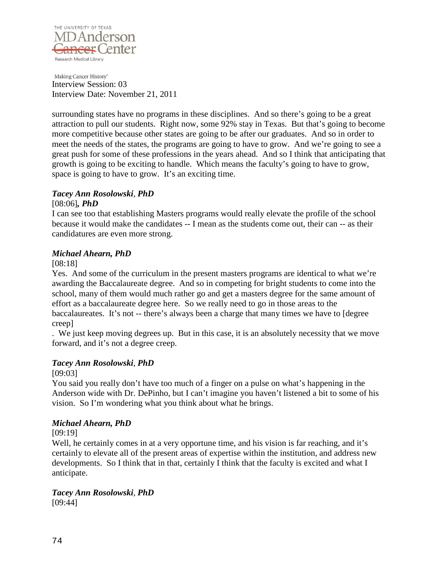

surrounding states have no programs in these disciplines. And so there's going to be a great attraction to pull our students. Right now, some 92% stay in Texas. But that's going to become more competitive because other states are going to be after our graduates. And so in order to meet the needs of the states, the programs are going to have to grow. And we're going to see a great push for some of these professions in the years ahead. And so I think that anticipating that growth is going to be exciting to handle. Which means the faculty's going to have to grow, space is going to have to grow. It's an exciting time.

#### *Tacey Ann Rosolowski*, *PhD*

#### [08:06]*, PhD*

I can see too that establishing Masters programs would really elevate the profile of the school because it would make the candidates -- I mean as the students come out, their can -- as their candidatures are even more strong.

#### *Michael Ahearn, PhD*

[08:18]

Yes. And some of the curriculum in the present masters programs are identical to what we're awarding the Baccalaureate degree. And so in competing for bright students to come into the school, many of them would much rather go and get a masters degree for the same amount of effort as a baccalaureate degree here. So we really need to go in those areas to the baccalaureates. It's not -- there's always been a charge that many times we have to [degree creep]

. We just keep moving degrees up. But in this case, it is an absolutely necessity that we move forward, and it's not a degree creep.

#### *Tacey Ann Rosolowski*, *PhD*

[09:03]

You said you really don't have too much of a finger on a pulse on what's happening in the Anderson wide with Dr. DePinho, but I can't imagine you haven't listened a bit to some of his vision. So I'm wondering what you think about what he brings.

#### *Michael Ahearn, PhD*

[09:19]

Well, he certainly comes in at a very opportune time, and his vision is far reaching, and it's certainly to elevate all of the present areas of expertise within the institution, and address new developments. So I think that in that, certainly I think that the faculty is excited and what I anticipate.

# *Tacey Ann Rosolowski*, *PhD*

[09:44]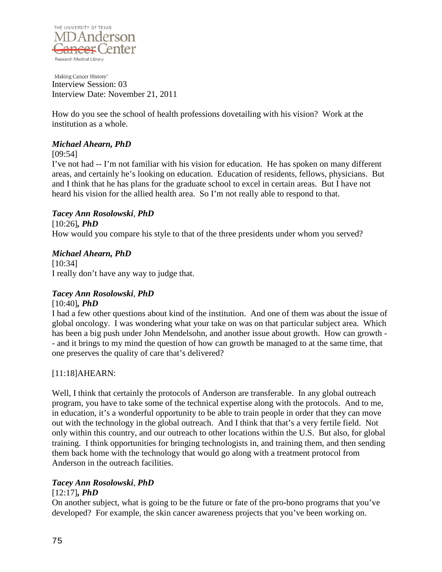

How do you see the school of health professions dovetailing with his vision? Work at the institution as a whole.

#### *Michael Ahearn, PhD*

[09:54]

I've not had -- I'm not familiar with his vision for education. He has spoken on many different areas, and certainly he's looking on education. Education of residents, fellows, physicians. But and I think that he has plans for the graduate school to excel in certain areas. But I have not heard his vision for the allied health area. So I'm not really able to respond to that.

## *Tacey Ann Rosolowski*, *PhD*

[10:26]*, PhD* How would you compare his style to that of the three presidents under whom you served?

## *Michael Ahearn, PhD*

[10:34] I really don't have any way to judge that.

# *Tacey Ann Rosolowski*, *PhD*

#### [10:40]*, PhD*

I had a few other questions about kind of the institution. And one of them was about the issue of global oncology. I was wondering what your take on was on that particular subject area. Which has been a big push under John Mendelsohn, and another issue about growth. How can growth - - and it brings to my mind the question of how can growth be managed to at the same time, that one preserves the quality of care that's delivered?

## [11:18]AHEARN:

Well, I think that certainly the protocols of Anderson are transferable. In any global outreach program, you have to take some of the technical expertise along with the protocols. And to me, in education, it's a wonderful opportunity to be able to train people in order that they can move out with the technology in the global outreach. And I think that that's a very fertile field. Not only within this country, and our outreach to other locations within the U.S. But also, for global training. I think opportunities for bringing technologists in, and training them, and then sending them back home with the technology that would go along with a treatment protocol from Anderson in the outreach facilities.

## *Tacey Ann Rosolowski*, *PhD*

#### [12:17]*, PhD*

On another subject, what is going to be the future or fate of the pro-bono programs that you've developed? For example, the skin cancer awareness projects that you've been working on.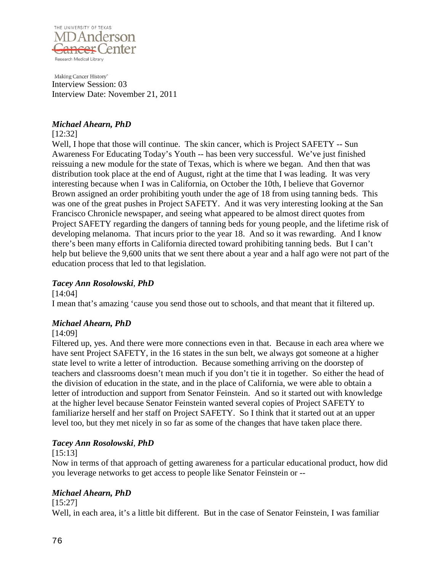

#### *Michael Ahearn, PhD*

#### [12:32]

Well, I hope that those will continue. The skin cancer, which is Project SAFETY -- Sun Awareness For Educating Today's Youth -- has been very successful. We've just finished reissuing a new module for the state of Texas, which is where we began. And then that was distribution took place at the end of August, right at the time that I was leading. It was very interesting because when I was in California, on October the 10th, I believe that Governor Brown assigned an order prohibiting youth under the age of 18 from using tanning beds. This was one of the great pushes in Project SAFETY. And it was very interesting looking at the San Francisco Chronicle newspaper, and seeing what appeared to be almost direct quotes from Project SAFETY regarding the dangers of tanning beds for young people, and the lifetime risk of developing melanoma. That incurs prior to the year 18. And so it was rewarding. And I know there's been many efforts in California directed toward prohibiting tanning beds. But I can't help but believe the 9,600 units that we sent there about a year and a half ago were not part of the education process that led to that legislation.

## *Tacey Ann Rosolowski*, *PhD*

[14:04]

I mean that's amazing 'cause you send those out to schools, and that meant that it filtered up.

## *Michael Ahearn, PhD*

#### [14:09]

Filtered up, yes. And there were more connections even in that. Because in each area where we have sent Project SAFETY, in the 16 states in the sun belt, we always got someone at a higher state level to write a letter of introduction. Because something arriving on the doorstep of teachers and classrooms doesn't mean much if you don't tie it in together. So either the head of the division of education in the state, and in the place of California, we were able to obtain a letter of introduction and support from Senator Feinstein. And so it started out with knowledge at the higher level because Senator Feinstein wanted several copies of Project SAFETY to familiarize herself and her staff on Project SAFETY. So I think that it started out at an upper level too, but they met nicely in so far as some of the changes that have taken place there.

## *Tacey Ann Rosolowski*, *PhD*

#### [15:13]

Now in terms of that approach of getting awareness for a particular educational product, how did you leverage networks to get access to people like Senator Feinstein or --

## *Michael Ahearn, PhD*

[15:27]

Well, in each area, it's a little bit different. But in the case of Senator Feinstein, I was familiar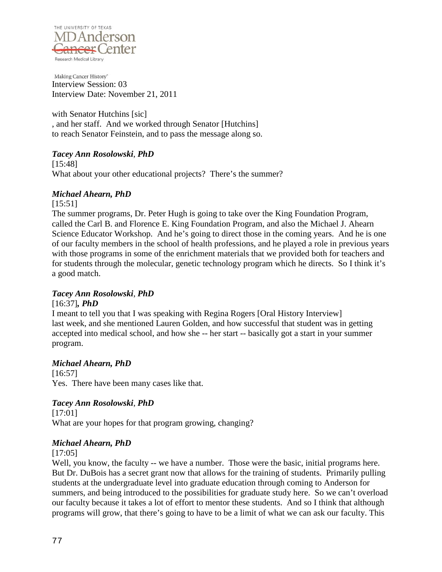

with Senator Hutchins [sic] , and her staff. And we worked through Senator [Hutchins] to reach Senator Feinstein, and to pass the message along so.

## *Tacey Ann Rosolowski*, *PhD*

[15:48] What about your other educational projects? There's the summer?

## *Michael Ahearn, PhD*

[15:51] The summer programs, Dr. Peter Hugh is going to take over the King Foundation Program, called the Carl B. and Florence E. King Foundation Program, and also the Michael J. Ahearn Science Educator Workshop. And he's going to direct those in the coming years. And he is one of our faculty members in the school of health professions, and he played a role in previous years with those programs in some of the enrichment materials that we provided both for teachers and for students through the molecular, genetic technology program which he directs. So I think it's a good match.

## *Tacey Ann Rosolowski*, *PhD*

[16:37]*, PhD*

I meant to tell you that I was speaking with Regina Rogers [Oral History Interview] last week, and she mentioned Lauren Golden, and how successful that student was in getting accepted into medical school, and how she -- her start -- basically got a start in your summer program.

## *Michael Ahearn, PhD*

[16:57] Yes. There have been many cases like that.

# *Tacey Ann Rosolowski*, *PhD*

[17:01] What are your hopes for that program growing, changing?

## *Michael Ahearn, PhD*

[17:05]

Well, you know, the faculty -- we have a number. Those were the basic, initial programs here. But Dr. DuBois has a secret grant now that allows for the training of students. Primarily pulling students at the undergraduate level into graduate education through coming to Anderson for summers, and being introduced to the possibilities for graduate study here. So we can't overload our faculty because it takes a lot of effort to mentor these students. And so I think that although programs will grow, that there's going to have to be a limit of what we can ask our faculty. This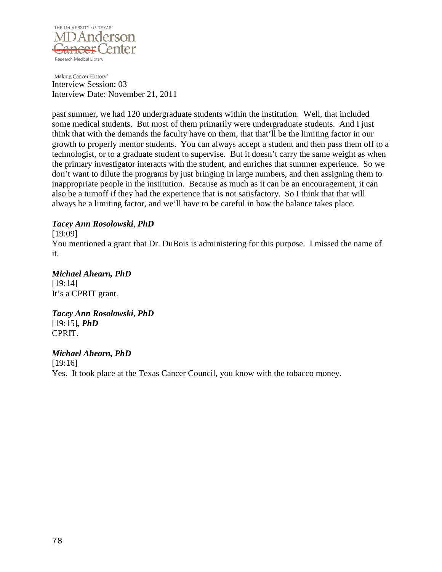

past summer, we had 120 undergraduate students within the institution. Well, that included some medical students. But most of them primarily were undergraduate students. And I just think that with the demands the faculty have on them, that that'll be the limiting factor in our growth to properly mentor students. You can always accept a student and then pass them off to a technologist, or to a graduate student to supervise. But it doesn't carry the same weight as when the primary investigator interacts with the student, and enriches that summer experience. So we don't want to dilute the programs by just bringing in large numbers, and then assigning them to inappropriate people in the institution. Because as much as it can be an encouragement, it can also be a turnoff if they had the experience that is not satisfactory. So I think that that will always be a limiting factor, and we'll have to be careful in how the balance takes place.

#### *Tacey Ann Rosolowski*, *PhD*

[19:09]

You mentioned a grant that Dr. DuBois is administering for this purpose. I missed the name of it.

# *Michael Ahearn, PhD* [19:14]

It's a CPRIT grant.

# *Tacey Ann Rosolowski*, *PhD* [19:15]*, PhD* CPRIT.

## *Michael Ahearn, PhD*

[19:16] Yes. It took place at the Texas Cancer Council, you know with the tobacco money.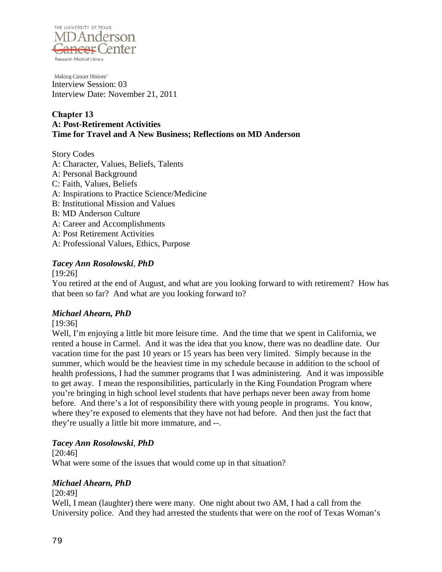

## **Chapter 13 A: Post-Retirement Activities Time for Travel and A New Business; Reflections on MD Anderson**

Story Codes A: Character, Values, Beliefs, Talents A: Personal Background C: Faith, Values, Beliefs A: Inspirations to Practice Science/Medicine B: Institutional Mission and Values B: MD Anderson Culture A: Career and Accomplishments A: Post Retirement Activities A: Professional Values, Ethics, Purpose

## *Tacey Ann Rosolowski*, *PhD*

[19:26]

You retired at the end of August, and what are you looking forward to with retirement? How has that been so far? And what are you looking forward to?

## *Michael Ahearn, PhD*

[19:36]

Well, I'm enjoying a little bit more leisure time. And the time that we spent in California, we rented a house in Carmel. And it was the idea that you know, there was no deadline date. Our vacation time for the past 10 years or 15 years has been very limited. Simply because in the summer, which would be the heaviest time in my schedule because in addition to the school of health professions, I had the summer programs that I was administering. And it was impossible to get away. I mean the responsibilities, particularly in the King Foundation Program where you're bringing in high school level students that have perhaps never been away from home before. And there's a lot of responsibility there with young people in programs. You know, where they're exposed to elements that they have not had before. And then just the fact that they're usually a little bit more immature, and --.

## *Tacey Ann Rosolowski*, *PhD*

[20:46] What were some of the issues that would come up in that situation?

#### *Michael Ahearn, PhD*

[20:49]

Well, I mean (laughter) there were many. One night about two AM, I had a call from the University police. And they had arrested the students that were on the roof of Texas Woman's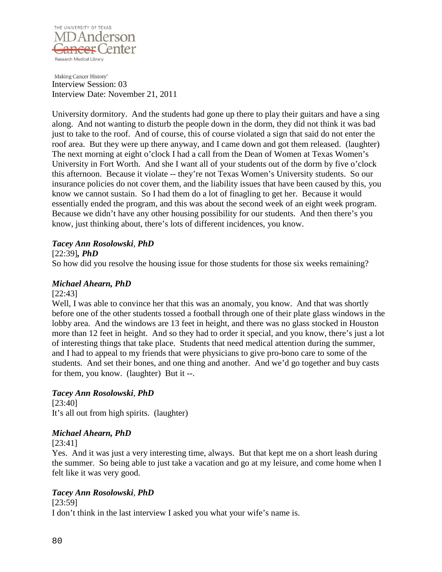

University dormitory. And the students had gone up there to play their guitars and have a sing along. And not wanting to disturb the people down in the dorm, they did not think it was bad just to take to the roof. And of course, this of course violated a sign that said do not enter the roof area. But they were up there anyway, and I came down and got them released. (laughter) The next morning at eight o'clock I had a call from the Dean of Women at Texas Women's University in Fort Worth. And she I want all of your students out of the dorm by five o'clock this afternoon. Because it violate -- they're not Texas Women's University students. So our insurance policies do not cover them, and the liability issues that have been caused by this, you know we cannot sustain. So I had them do a lot of finagling to get her. Because it would essentially ended the program, and this was about the second week of an eight week program. Because we didn't have any other housing possibility for our students. And then there's you know, just thinking about, there's lots of different incidences, you know.

#### *Tacey Ann Rosolowski*, *PhD*

#### [22:39]*, PhD*

So how did you resolve the housing issue for those students for those six weeks remaining?

## *Michael Ahearn, PhD*

#### [22:43]

Well, I was able to convince her that this was an anomaly, you know. And that was shortly before one of the other students tossed a football through one of their plate glass windows in the lobby area. And the windows are 13 feet in height, and there was no glass stocked in Houston more than 12 feet in height. And so they had to order it special, and you know, there's just a lot of interesting things that take place. Students that need medical attention during the summer, and I had to appeal to my friends that were physicians to give pro-bono care to some of the students. And set their bones, and one thing and another. And we'd go together and buy casts for them, you know. (laughter) But it --.

## *Tacey Ann Rosolowski*, *PhD*

[23:40] It's all out from high spirits. (laughter)

## *Michael Ahearn, PhD*

#### [23:41]

Yes. And it was just a very interesting time, always. But that kept me on a short leash during the summer. So being able to just take a vacation and go at my leisure, and come home when I felt like it was very good.

## *Tacey Ann Rosolowski*, *PhD*

[23:59]

I don't think in the last interview I asked you what your wife's name is.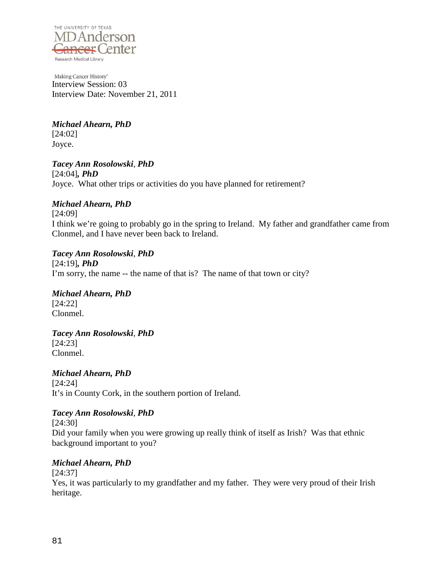

*Michael Ahearn, PhD* [24:02] Joyce.

*Tacey Ann Rosolowski*, *PhD* [24:04]*, PhD* Joyce. What other trips or activities do you have planned for retirement?

## *Michael Ahearn, PhD*

[24:09]

I think we're going to probably go in the spring to Ireland. My father and grandfather came from Clonmel, and I have never been back to Ireland.

## *Tacey Ann Rosolowski*, *PhD*

[24:19]*, PhD* I'm sorry, the name -- the name of that is? The name of that town or city?

*Michael Ahearn, PhD* [24:22]

Clonmel.

*Tacey Ann Rosolowski*, *PhD* [24:23] Clonmel.

*Michael Ahearn, PhD* [24:24] It's in County Cork, in the southern portion of Ireland.

## *Tacey Ann Rosolowski*, *PhD*

[24:30] Did your family when you were growing up really think of itself as Irish? Was that ethnic background important to you?

## *Michael Ahearn, PhD*

[24:37]

Yes, it was particularly to my grandfather and my father. They were very proud of their Irish heritage.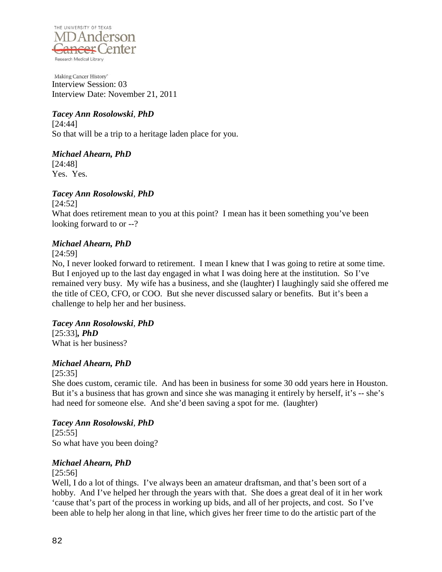

# *Tacey Ann Rosolowski*, *PhD*

[24:44] So that will be a trip to a heritage laden place for you.

*Michael Ahearn, PhD* [24:48] Yes. Yes.

# *Tacey Ann Rosolowski*, *PhD*

[24:52] What does retirement mean to you at this point? I mean has it been something you've been looking forward to or --?

## *Michael Ahearn, PhD*

[24:59]

No, I never looked forward to retirement. I mean I knew that I was going to retire at some time. But I enjoyed up to the last day engaged in what I was doing here at the institution. So I've remained very busy. My wife has a business, and she (laughter) I laughingly said she offered me the title of CEO, CFO, or COO. But she never discussed salary or benefits. But it's been a challenge to help her and her business.

#### *Tacey Ann Rosolowski*, *PhD* [25:33]*, PhD*

What is her business?

# *Michael Ahearn, PhD*

[25:35]

She does custom, ceramic tile. And has been in business for some 30 odd years here in Houston. But it's a business that has grown and since she was managing it entirely by herself, it's -- she's had need for someone else. And she'd been saving a spot for me. (laughter)

## *Tacey Ann Rosolowski*, *PhD*

[25:55] So what have you been doing?

## *Michael Ahearn, PhD*

#### [25:56]

Well, I do a lot of things. I've always been an amateur draftsman, and that's been sort of a hobby. And I've helped her through the years with that. She does a great deal of it in her work 'cause that's part of the process in working up bids, and all of her projects, and cost. So I've been able to help her along in that line, which gives her freer time to do the artistic part of the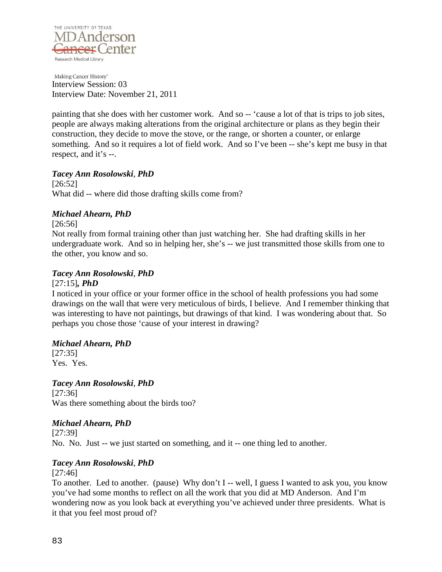

painting that she does with her customer work. And so -- 'cause a lot of that is trips to job sites, people are always making alterations from the original architecture or plans as they begin their construction, they decide to move the stove, or the range, or shorten a counter, or enlarge something. And so it requires a lot of field work. And so I've been -- she's kept me busy in that respect, and it's --.

#### *Tacey Ann Rosolowski*, *PhD*

[26:52] What did -- where did those drafting skills come from?

## *Michael Ahearn, PhD*

[26:56]

Not really from formal training other than just watching her. She had drafting skills in her undergraduate work. And so in helping her, she's -- we just transmitted those skills from one to the other, you know and so.

#### *Tacey Ann Rosolowski*, *PhD*

#### [27:15]*, PhD*

I noticed in your office or your former office in the school of health professions you had some drawings on the wall that were very meticulous of birds, I believe. And I remember thinking that was interesting to have not paintings, but drawings of that kind. I was wondering about that. So perhaps you chose those 'cause of your interest in drawing?

#### *Michael Ahearn, PhD*

[27:35] Yes. Yes.

*Tacey Ann Rosolowski*, *PhD*

[27:36] Was there something about the birds too?

## *Michael Ahearn, PhD*

[27:39] No. No. Just -- we just started on something, and it -- one thing led to another.

## *Tacey Ann Rosolowski*, *PhD*

[27:46]

To another. Led to another. (pause) Why don't I -- well, I guess I wanted to ask you, you know you've had some months to reflect on all the work that you did at MD Anderson. And I'm wondering now as you look back at everything you've achieved under three presidents. What is it that you feel most proud of?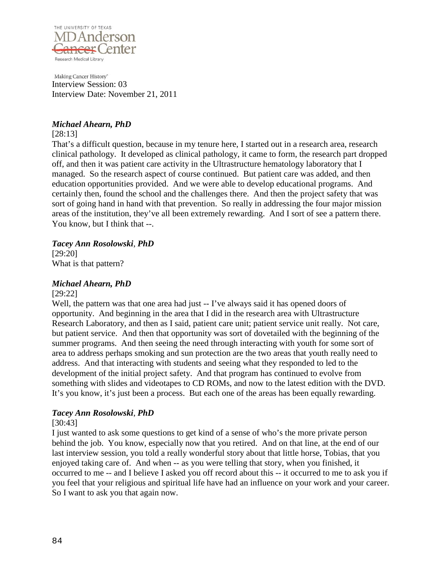

#### *Michael Ahearn, PhD*

#### [28:13]

That's a difficult question, because in my tenure here, I started out in a research area, research clinical pathology. It developed as clinical pathology, it came to form, the research part dropped off, and then it was patient care activity in the Ultrastructure hematology laboratory that I managed. So the research aspect of course continued. But patient care was added, and then education opportunities provided. And we were able to develop educational programs. And certainly then, found the school and the challenges there. And then the project safety that was sort of going hand in hand with that prevention. So really in addressing the four major mission areas of the institution, they've all been extremely rewarding. And I sort of see a pattern there. You know, but I think that --.

#### *Tacey Ann Rosolowski*, *PhD*

[29:20] What is that pattern?

## *Michael Ahearn, PhD*

#### [29:22]

Well, the pattern was that one area had just -- I've always said it has opened doors of opportunity. And beginning in the area that I did in the research area with Ultrastructure Research Laboratory, and then as I said, patient care unit; patient service unit really. Not care, but patient service. And then that opportunity was sort of dovetailed with the beginning of the summer programs. And then seeing the need through interacting with youth for some sort of area to address perhaps smoking and sun protection are the two areas that youth really need to address. And that interacting with students and seeing what they responded to led to the development of the initial project safety. And that program has continued to evolve from something with slides and videotapes to CD ROMs, and now to the latest edition with the DVD. It's you know, it's just been a process. But each one of the areas has been equally rewarding.

## *Tacey Ann Rosolowski*, *PhD*

#### [30:43]

I just wanted to ask some questions to get kind of a sense of who's the more private person behind the job. You know, especially now that you retired. And on that line, at the end of our last interview session, you told a really wonderful story about that little horse, Tobias, that you enjoyed taking care of. And when -- as you were telling that story, when you finished, it occurred to me -- and I believe I asked you off record about this -- it occurred to me to ask you if you feel that your religious and spiritual life have had an influence on your work and your career. So I want to ask you that again now.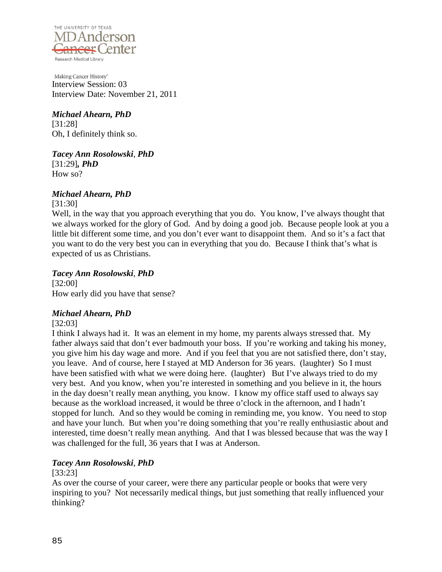

*Michael Ahearn, PhD* [31:28] Oh, I definitely think so.

*Tacey Ann Rosolowski*, *PhD* [31:29]*, PhD* How so?

# *Michael Ahearn, PhD*

[31:30]

Well, in the way that you approach everything that you do. You know, I've always thought that we always worked for the glory of God. And by doing a good job. Because people look at you a little bit different some time, and you don't ever want to disappoint them. And so it's a fact that you want to do the very best you can in everything that you do. Because I think that's what is expected of us as Christians.

## *Tacey Ann Rosolowski*, *PhD*

[32:00] How early did you have that sense?

# *Michael Ahearn, PhD*

[32:03]

I think I always had it. It was an element in my home, my parents always stressed that. My father always said that don't ever badmouth your boss. If you're working and taking his money, you give him his day wage and more. And if you feel that you are not satisfied there, don't stay, you leave. And of course, here I stayed at MD Anderson for 36 years. (laughter) So I must have been satisfied with what we were doing here. (laughter) But I've always tried to do my very best. And you know, when you're interested in something and you believe in it, the hours in the day doesn't really mean anything, you know. I know my office staff used to always say because as the workload increased, it would be three o'clock in the afternoon, and I hadn't stopped for lunch. And so they would be coming in reminding me, you know. You need to stop and have your lunch. But when you're doing something that you're really enthusiastic about and interested, time doesn't really mean anything. And that I was blessed because that was the way I was challenged for the full, 36 years that I was at Anderson.

# *Tacey Ann Rosolowski*, *PhD*

#### [33:23]

As over the course of your career, were there any particular people or books that were very inspiring to you? Not necessarily medical things, but just something that really influenced your thinking?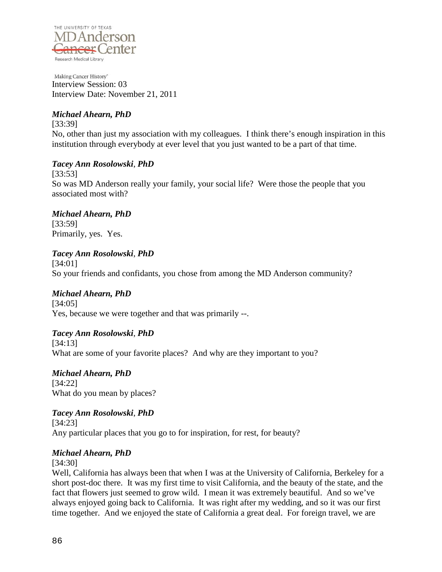

# *Michael Ahearn, PhD*

[33:39] No, other than just my association with my colleagues. I think there's enough inspiration in this institution through everybody at ever level that you just wanted to be a part of that time.

# *Tacey Ann Rosolowski*, *PhD*

[33:53] So was MD Anderson really your family, your social life? Were those the people that you associated most with?

*Michael Ahearn, PhD* [33:59] Primarily, yes. Yes.

# *Tacey Ann Rosolowski*, *PhD*

[34:01] So your friends and confidants, you chose from among the MD Anderson community?

## *Michael Ahearn, PhD*

[34:05] Yes, because we were together and that was primarily --.

## *Tacey Ann Rosolowski*, *PhD*

[34:13] What are some of your favorite places? And why are they important to you?

*Michael Ahearn, PhD* [34:22] What do you mean by places?

*Tacey Ann Rosolowski*, *PhD* [34:23] Any particular places that you go to for inspiration, for rest, for beauty?

## *Michael Ahearn, PhD*

[34:30]

Well, California has always been that when I was at the University of California, Berkeley for a short post-doc there. It was my first time to visit California, and the beauty of the state, and the fact that flowers just seemed to grow wild. I mean it was extremely beautiful. And so we've always enjoyed going back to California. It was right after my wedding, and so it was our first time together. And we enjoyed the state of California a great deal. For foreign travel, we are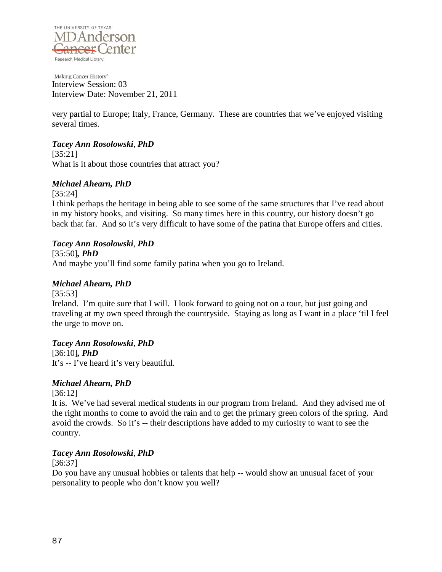

very partial to Europe; Italy, France, Germany. These are countries that we've enjoyed visiting several times.

# *Tacey Ann Rosolowski*, *PhD*

[35:21] What is it about those countries that attract you?

# *Michael Ahearn, PhD*

[35:24]

I think perhaps the heritage in being able to see some of the same structures that I've read about in my history books, and visiting. So many times here in this country, our history doesn't go back that far. And so it's very difficult to have some of the patina that Europe offers and cities.

# *Tacey Ann Rosolowski*, *PhD*

[35:50]*, PhD*

And maybe you'll find some family patina when you go to Ireland.

# *Michael Ahearn, PhD*

[35:53]

Ireland. I'm quite sure that I will. I look forward to going not on a tour, but just going and traveling at my own speed through the countryside. Staying as long as I want in a place 'til I feel the urge to move on.

# *Tacey Ann Rosolowski*, *PhD*

[36:10]*, PhD* It's -- I've heard it's very beautiful.

# *Michael Ahearn, PhD*

[36:12]

It is. We've had several medical students in our program from Ireland. And they advised me of the right months to come to avoid the rain and to get the primary green colors of the spring. And avoid the crowds. So it's -- their descriptions have added to my curiosity to want to see the country.

## *Tacey Ann Rosolowski*, *PhD*

[36:37]

Do you have any unusual hobbies or talents that help -- would show an unusual facet of your personality to people who don't know you well?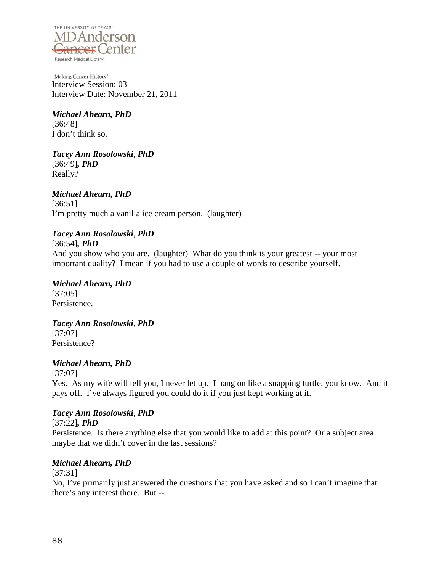

*Michael Ahearn, PhD* [36:48]

I don't think so.

*Tacey Ann Rosolowski*, *PhD* [36:49]*, PhD* Really?

*Michael Ahearn, PhD* [36:51] I'm pretty much a vanilla ice cream person. (laughter)

# *Tacey Ann Rosolowski*, *PhD*

[36:54]*, PhD*

And you show who you are. (laughter) What do you think is your greatest -- your most important quality? I mean if you had to use a couple of words to describe yourself.

*Michael Ahearn, PhD* [37:05] Persistence.

*Tacey Ann Rosolowski*, *PhD* [37:07] Persistence?

# *Michael Ahearn, PhD*

[37:07] Yes. As my wife will tell you, I never let up. I hang on like a snapping turtle, you know. And it pays off. I've always figured you could do it if you just kept working at it.

# *Tacey Ann Rosolowski*, *PhD*

[37:22]*, PhD*

Persistence. Is there anything else that you would like to add at this point? Or a subject area maybe that we didn't cover in the last sessions?

# *Michael Ahearn, PhD*

[37:31]

No, I've primarily just answered the questions that you have asked and so I can't imagine that there's any interest there. But --.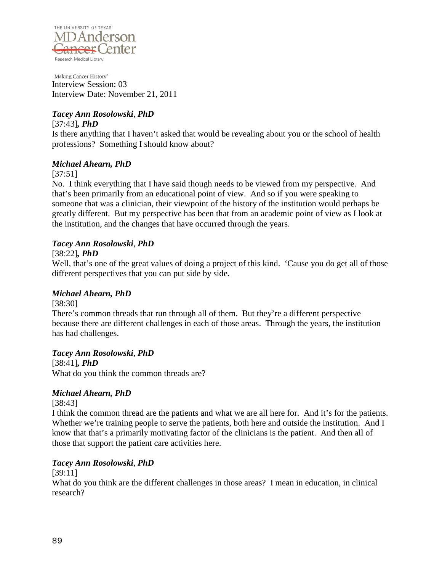

# *Tacey Ann Rosolowski*, *PhD*

[37:43]*, PhD*

Is there anything that I haven't asked that would be revealing about you or the school of health professions? Something I should know about?

## *Michael Ahearn, PhD*

[37:51]

No. I think everything that I have said though needs to be viewed from my perspective. And that's been primarily from an educational point of view. And so if you were speaking to someone that was a clinician, their viewpoint of the history of the institution would perhaps be greatly different. But my perspective has been that from an academic point of view as I look at the institution, and the changes that have occurred through the years.

## *Tacey Ann Rosolowski*, *PhD*

#### [38:22]*, PhD*

Well, that's one of the great values of doing a project of this kind. 'Cause you do get all of those different perspectives that you can put side by side.

## *Michael Ahearn, PhD*

[38:30]

There's common threads that run through all of them. But they're a different perspective because there are different challenges in each of those areas. Through the years, the institution has had challenges.

## *Tacey Ann Rosolowski*, *PhD*

[38:41]*, PhD* What do you think the common threads are?

## *Michael Ahearn, PhD*

[38:43]

I think the common thread are the patients and what we are all here for. And it's for the patients. Whether we're training people to serve the patients, both here and outside the institution. And I know that that's a primarily motivating factor of the clinicians is the patient. And then all of those that support the patient care activities here.

## *Tacey Ann Rosolowski*, *PhD*

[39:11]

What do you think are the different challenges in those areas? I mean in education, in clinical research?